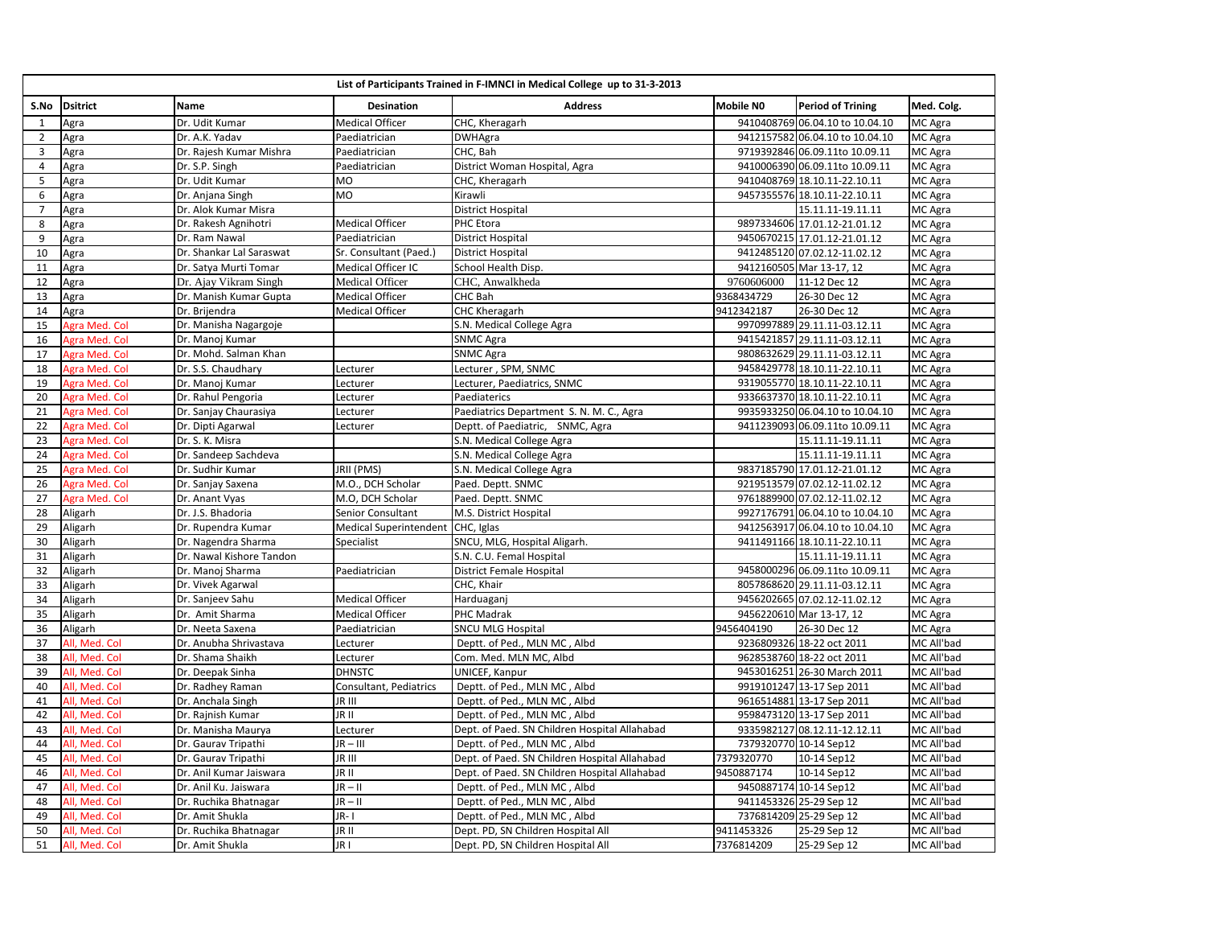|                | List of Participants Trained in F-IMNCI in Medical College up to 31-3-2013 |                          |                        |                                               |            |                                 |            |  |  |
|----------------|----------------------------------------------------------------------------|--------------------------|------------------------|-----------------------------------------------|------------|---------------------------------|------------|--|--|
| S.No           | <b>Dsitrict</b>                                                            | Name                     | <b>Desination</b>      | <b>Address</b>                                | Mobile NO  | <b>Period of Trining</b>        | Med. Colg. |  |  |
| 1              | Agra                                                                       | Dr. Udit Kumar           | Medical Officer        | CHC, Kheragarh                                |            | 9410408769 06.04.10 to 10.04.10 | MC Agra    |  |  |
| $\overline{2}$ | Agra                                                                       | Dr. A.K. Yadav           | Paediatrician          | <b>DWHAgra</b>                                |            | 9412157582 06.04.10 to 10.04.10 | MC Agra    |  |  |
| 3              | Agra                                                                       | Dr. Rajesh Kumar Mishra  | Paediatrician          | CHC, Bah                                      |            | 9719392846 06.09.11to 10.09.11  | MC Agra    |  |  |
| 4              | Agra                                                                       | Dr. S.P. Singh           | Paediatrician          | District Woman Hospital, Agra                 |            | 9410006390 06.09.11to 10.09.11  | MC Agra    |  |  |
| 5              | Agra                                                                       | Dr. Udit Kumar           | MO                     | CHC, Kheragarh                                |            | 9410408769 18.10.11-22.10.11    | MC Agra    |  |  |
| 6              | Agra                                                                       | Dr. Anjana Singh         | MO                     | Kirawli                                       |            | 9457355576 18.10.11-22.10.11    | MC Agra    |  |  |
| $\overline{7}$ | Agra                                                                       | Dr. Alok Kumar Misra     |                        | District Hospital                             |            | 15.11.11-19.11.11               | MC Agra    |  |  |
| 8              | Agra                                                                       | Dr. Rakesh Agnihotri     | <b>Medical Officer</b> | PHC Etora                                     |            | 9897334606 17.01.12-21.01.12    | MC Agra    |  |  |
| 9              | Agra                                                                       | Dr. Ram Nawal            | Paediatrician          | <b>District Hospital</b>                      |            | 9450670215 17.01.12-21.01.12    | MC Agra    |  |  |
| 10             | Agra                                                                       | Dr. Shankar Lal Saraswat | Sr. Consultant (Paed.) | <b>District Hospital</b>                      |            | 9412485120 07.02.12-11.02.12    | MC Agra    |  |  |
| 11             | Agra                                                                       | Dr. Satya Murti Tomar    | Medical Officer IC     | School Health Disp.                           |            | 9412160505 Mar 13-17, 12        | MC Agra    |  |  |
| 12             | Agra                                                                       | Dr. Ajay Vikram Singh    | Medical Officer        | CHC, Anwalkheda                               | 9760606000 | 11-12 Dec 12                    | MC Agra    |  |  |
| 13             | Agra                                                                       | Dr. Manish Kumar Gupta   | Medical Officer        | CHC Bah                                       | 9368434729 | 26-30 Dec 12                    | MC Agra    |  |  |
| 14             | Agra                                                                       | Dr. Brijendra            | <b>Medical Officer</b> | CHC Kheragarh                                 | 9412342187 | 26-30 Dec 12                    | MC Agra    |  |  |
| 15             | Agra Med. Col                                                              | Dr. Manisha Nagargoje    |                        | S.N. Medical College Agra                     |            | 9970997889 29.11.11-03.12.11    | MC Agra    |  |  |
| 16             | Agra Med. Col                                                              | Dr. Manoj Kumar          |                        | <b>SNMC Agra</b>                              |            | 9415421857 29.11.11-03.12.11    | MC Agra    |  |  |
| 17             | Agra Med. Col                                                              | Dr. Mohd. Salman Khan    |                        | <b>SNMC Agra</b>                              |            | 9808632629 29.11.11-03.12.11    | MC Agra    |  |  |
| 18             | Agra Med. Col                                                              | Dr. S.S. Chaudhary       | Lecturer               | Lecturer, SPM, SNMC                           |            | 9458429778 18.10.11-22.10.11    | MC Agra    |  |  |
| 19             | Agra Med. Col                                                              | Dr. Manoj Kumar          | Lecturer               | Lecturer, Paediatrics, SNMC                   |            | 9319055770 18.10.11-22.10.11    | MC Agra    |  |  |
| 20             | Agra Med. Col                                                              | Dr. Rahul Pengoria       | Lecturer               | Paediaterics                                  |            | 9336637370 18.10.11-22.10.11    | MC Agra    |  |  |
| 21             | Agra Med. Col                                                              | Dr. Sanjay Chaurasiya    | Lecturer               | Paediatrics Department S. N. M. C., Agra      |            | 9935933250 06.04.10 to 10.04.10 | MC Agra    |  |  |
| 22             | Agra Med. Col                                                              | Dr. Dipti Agarwal        | Lecturer               | Deptt. of Paediatric, SNMC, Agra              |            | 9411239093 06.09.11to 10.09.11  | MC Agra    |  |  |
| 23             | Agra Med. Col                                                              | Dr. S. K. Misra          |                        | S.N. Medical College Agra                     |            | 15.11.11-19.11.11               | MC Agra    |  |  |
| 24             | Agra Med. Col                                                              | Dr. Sandeep Sachdeva     |                        | S.N. Medical College Agra                     |            | 15.11.11-19.11.11               | MC Agra    |  |  |
| 25             | Agra Med. Col                                                              | Dr. Sudhir Kumar         | JRII (PMS)             | S.N. Medical College Agra                     |            | 9837185790 17.01.12-21.01.12    | MC Agra    |  |  |
| 26             | Agra Med. Col                                                              | Dr. Sanjay Saxena        | M.O., DCH Scholar      | Paed. Deptt. SNMC                             |            | 9219513579 07.02.12-11.02.12    | MC Agra    |  |  |
| 27             | Agra Med. Col                                                              | Dr. Anant Vyas           | M.O, DCH Scholar       | Paed. Deptt. SNMC                             |            | 9761889900 07.02.12-11.02.12    | MC Agra    |  |  |
| 28             | Aligarh                                                                    | Dr. J.S. Bhadoria        | Senior Consultant      | M.S. District Hospital                        |            | 9927176791 06.04.10 to 10.04.10 | MC Agra    |  |  |
| 29             | Aligarh                                                                    | Dr. Rupendra Kumar       | Medical Superintendent | CHC, Iglas                                    |            | 9412563917 06.04.10 to 10.04.10 | MC Agra    |  |  |
| 30             | Aligarh                                                                    | Dr. Nagendra Sharma      | Specialist             | SNCU, MLG, Hospital Aligarh.                  |            | 9411491166 18.10.11-22.10.11    | MC Agra    |  |  |
| 31             | Aligarh                                                                    | Dr. Nawal Kishore Tandon |                        | S.N. C.U. Femal Hospital                      |            | 15.11.11-19.11.11               | MC Agra    |  |  |
| 32             | Aligarh                                                                    | Dr. Manoj Sharma         | Paediatrician          | District Female Hospital                      |            | 9458000296 06.09.11to 10.09.11  | MC Agra    |  |  |
| 33             | Aligarh                                                                    | Dr. Vivek Agarwal        |                        | CHC, Khair                                    |            | 8057868620 29.11.11-03.12.11    | MC Agra    |  |  |
| 34             | Aligarh                                                                    | Dr. Sanjeev Sahu         | Medical Officer        | Harduaganj                                    |            | 9456202665 07.02.12-11.02.12    | MC Agra    |  |  |
| 35             | Aligarh                                                                    | Dr. Amit Sharma          | Medical Officer        | PHC Madrak                                    |            | 9456220610 Mar 13-17, 12        | MC Agra    |  |  |
| 36             | Aligarh                                                                    | Dr. Neeta Saxena         | Paediatrician          | <b>SNCU MLG Hospital</b>                      | 9456404190 | 26-30 Dec 12                    | MC Agra    |  |  |
| 37             | All, Med. Col                                                              | Dr. Anubha Shrivastava   | Lecturer               | Deptt. of Ped., MLN MC, Albd                  |            | 9236809326 18-22 oct 2011       | MC All'bad |  |  |
| 38             | All, Med. Col                                                              | Dr. Shama Shaikh         | Lecturer               | Com. Med. MLN MC, Albd                        |            | 9628538760 18-22 oct 2011       | MC All'bad |  |  |
| 39             | All, Med. Col                                                              | Dr. Deepak Sinha         | <b>DHNSTC</b>          | UNICEF, Kanpur                                |            | 9453016251 26-30 March 2011     | MC All'bad |  |  |
| 40             | All, Med. Col                                                              | Dr. Radhey Raman         | Consultant, Pediatrics | Deptt. of Ped., MLN MC, Albd                  |            | 9919101247 13-17 Sep 2011       | MC All'bad |  |  |
| 41             | All, Med. Col                                                              | Dr. Anchala Singh        | JR III                 | Deptt. of Ped., MLN MC, Albd                  |            | 9616514881 13-17 Sep 2011       | MC All'bad |  |  |
| 42             | All, Med. Col                                                              | Dr. Rajnish Kumar        | JR II                  | Deptt. of Ped., MLN MC, Albd                  |            | 9598473120 13-17 Sep 2011       | MC All'bad |  |  |
| 43             | All, Med. Col                                                              | Dr. Manisha Maurya       | Lecturer               | Dept. of Paed. SN Children Hospital Allahabad |            | 9335982127 08.12.11-12.12.11    | MC All'bad |  |  |
| 44             | All, Med. Col                                                              | Dr. Gaurav Tripathi      | $JR - III$             | Deptt. of Ped., MLN MC, Albd                  |            | 7379320770 10-14 Sep12          | MC All'bad |  |  |
| 45             | All, Med. Col                                                              | Dr. Gaurav Tripathi      | JR III                 | Dept. of Paed. SN Children Hospital Allahabad | 7379320770 | 10-14 Sep12                     | MC All'bad |  |  |
| 46             | All, Med. Col                                                              | Dr. Anil Kumar Jaiswara  | JR II                  | Dept. of Paed. SN Children Hospital Allahabad | 9450887174 | 10-14 Sep12                     | MC All'bad |  |  |
| 47             | All, Med. Col                                                              | Dr. Anil Ku. Jaiswara    | $JR - II$              | Deptt. of Ped., MLN MC, Albd                  |            | 9450887174 10-14 Sep12          | MC All'bad |  |  |
| 48             | All, Med. Col                                                              | Dr. Ruchika Bhatnagar    | $JR - II$              | Deptt. of Ped., MLN MC, Albd                  |            | 9411453326 25-29 Sep 12         | MC All'bad |  |  |
| 49             | All, Med. Col                                                              | Dr. Amit Shukla          | $IR-1$                 | Deptt. of Ped., MLN MC, Albd                  |            | 7376814209 25-29 Sep 12         | MC All'bad |  |  |
| 50             | All, Med. Col                                                              | Dr. Ruchika Bhatnagar    | JR II                  | Dept. PD, SN Children Hospital All            | 9411453326 | 25-29 Sep 12                    | MC All'bad |  |  |
| 51             | All, Med. Col                                                              | Dr. Amit Shukla          | JR I                   | Dept. PD, SN Children Hospital All            | 7376814209 | 25-29 Sep 12                    | MC All'bad |  |  |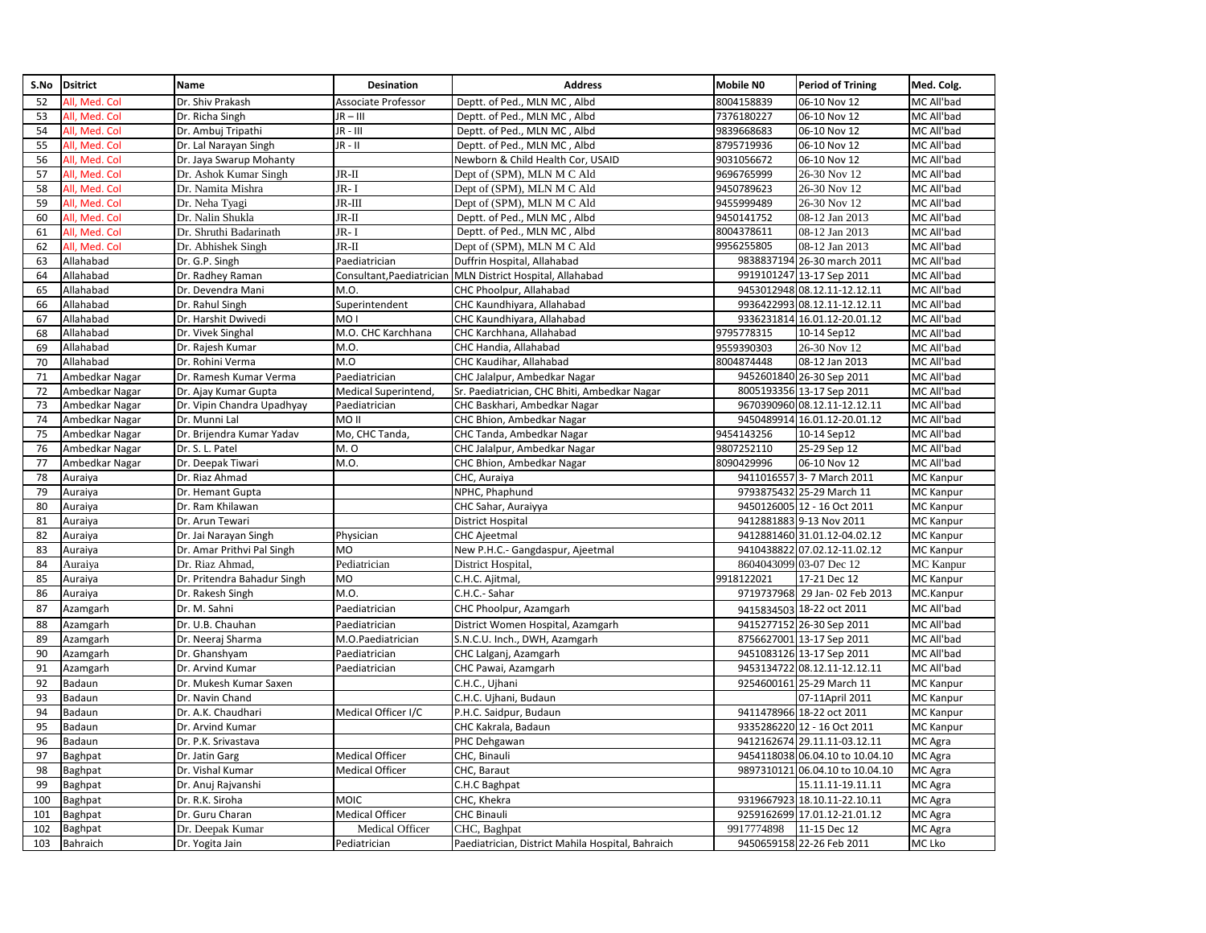| S.No | <b>Dsitrict</b> | Name                        | Desination             | <b>Address</b>                                             | <b>Mobile NO</b> | <b>Period of Trining</b>        | Med. Colg.       |
|------|-----------------|-----------------------------|------------------------|------------------------------------------------------------|------------------|---------------------------------|------------------|
| 52   | All. Med. Col   | Dr. Shiv Prakash            | Associate Professor    | Deptt. of Ped., MLN MC, Albd                               | 8004158839       | 06-10 Nov 12                    | MC All'bad       |
| 53   | All, Med. Col   | Dr. Richa Singh             | $JR - III$             | Deptt. of Ped., MLN MC, Albd                               | 7376180227       | 06-10 Nov 12                    | MC All'bad       |
| 54   | All. Med. Col   | Dr. Ambuj Tripathi          | JR - III               | Deptt. of Ped., MLN MC, Albd                               | 9839668683       | 06-10 Nov 12                    | MC All'bad       |
| 55   | All, Med. Col   | Dr. Lal Narayan Singh       | $JR - II$              | Deptt. of Ped., MLN MC, Albd                               | 8795719936       | 06-10 Nov 12                    | MC All'bad       |
| 56   | All, Med. Col   | Dr. Jaya Swarup Mohanty     |                        | Newborn & Child Health Cor, USAID                          | 9031056672       | 06-10 Nov 12                    | MC All'bad       |
| 57   | All, Med. Col   | Dr. Ashok Kumar Singh       | $JR-II$                | Dept of (SPM), MLN M C Ald                                 | 9696765999       | 26-30 Nov 12                    | MC All'bad       |
| 58   | All, Med. Col   | Dr. Namita Mishra           | JR-I                   | Dept of (SPM), MLN M C Ald                                 | 9450789623       | 26-30 Nov 12                    | MC All'bad       |
| 59   | All, Med. Col   | Dr. Neha Tyagi              | $JR-III$               | Dept of (SPM), MLN M C Ald                                 | 9455999489       | 26-30 Nov 12                    | MC All'bad       |
| 60   | All, Med. Col   | Dr. Nalin Shukla            | $JR-II$                | Deptt. of Ped., MLN MC, Albd                               | 9450141752       | 08-12 Jan 2013                  | MC All'bad       |
| 61   | All, Med. Col   | Dr. Shruthi Badarinath      | JR-I                   | Deptt. of Ped., MLN MC, Albd                               | 8004378611       | 08-12 Jan 2013                  | MC All'bad       |
| 62   | All, Med. Col   | Dr. Abhishek Singh          | $JR-II$                | Dept of (SPM), MLN M C Ald                                 | 9956255805       | 08-12 Jan 2013                  | MC All'bad       |
| 63   | Allahabad       | Dr. G.P. Singh              | Paediatrician          | Duffrin Hospital, Allahabad                                |                  | 9838837194 26-30 march 2011     | MC All'bad       |
| 64   | Allahabad       | Dr. Radhey Raman            |                        | Consultant, Paediatrician MLN District Hospital, Allahabad |                  | 9919101247 13-17 Sep 2011       | MC All'bad       |
| 65   | Allahabad       | Dr. Devendra Mani           | M.O.                   | CHC Phoolpur, Allahabad                                    |                  | 9453012948 08.12.11-12.12.11    | MC All'bad       |
| 66   | Allahabad       | Dr. Rahul Singh             | Superintendent         | CHC Kaundhiyara, Allahabad                                 |                  | 9936422993 08.12.11-12.12.11    | MC All'bad       |
| 67   | Allahabad       | Dr. Harshit Dwivedi         | MO <sub>1</sub>        | CHC Kaundhiyara, Allahabad                                 |                  | 9336231814 16.01.12-20.01.12    | MC All'bad       |
| 68   | Allahabad       | Dr. Vivek Singhal           | M.O. CHC Karchhana     | CHC Karchhana, Allahabad                                   | 9795778315       | 10-14 Sep12                     | MC All'bad       |
| 69   | Allahabad       | Dr. Rajesh Kumar            | M.O.                   | CHC Handia, Allahabad                                      | 9559390303       | 26-30 Nov 12                    | MC All'bad       |
| 70   | Allahabad       | Dr. Rohini Verma            | M.O                    | CHC Kaudihar, Allahabad                                    | 8004874448       | 08-12 Jan 2013                  | MC All'bad       |
| 71   | Ambedkar Nagar  | Dr. Ramesh Kumar Verma      | Paediatrician          | CHC Jalalpur, Ambedkar Nagar                               |                  | 9452601840 26-30 Sep 2011       | MC All'bad       |
| 72   | Ambedkar Nagar  | Dr. Ajay Kumar Gupta        | Medical Superintend,   | Sr. Paediatrician, CHC Bhiti, Ambedkar Nagar               |                  | 8005193356 13-17 Sep 2011       | MC All'bad       |
| 73   | Ambedkar Nagar  | Dr. Vipin Chandra Upadhyay  | Paediatrician          | CHC Baskhari, Ambedkar Nagar                               |                  | 9670390960 08.12.11-12.12.11    | MC All'bad       |
| 74   | Ambedkar Nagar  | Dr. Munni Lal               | MO <sub>II</sub>       | CHC Bhion, Ambedkar Nagar                                  |                  | 9450489914 16.01.12-20.01.12    | MC All'bad       |
| 75   | Ambedkar Nagar  | Dr. Brijendra Kumar Yadav   | Mo, CHC Tanda,         | CHC Tanda, Ambedkar Nagar                                  | 9454143256       | 10-14 Sep12                     | MC All'bad       |
| 76   | Ambedkar Nagar  | Dr. S. L. Patel             | M. O                   | CHC Jalalpur, Ambedkar Nagar                               | 9807252110       | 25-29 Sep 12                    | MC All'bad       |
| 77   | Ambedkar Nagar  | Dr. Deepak Tiwari           | M.O.                   | CHC Bhion, Ambedkar Nagar                                  | 8090429996       | 06-10 Nov 12                    | MC All'bad       |
| 78   | Auraiya         | Dr. Riaz Ahmad              |                        | CHC, Auraiya                                               |                  | 9411016557 3- 7 March 2011      | MC Kanpur        |
| 79   | Auraiya         | Dr. Hemant Gupta            |                        | NPHC, Phaphund                                             |                  | 9793875432 25-29 March 11       | <b>MC</b> Kanpur |
| 80   | Auraiya         | Dr. Ram Khilawan            |                        | CHC Sahar, Auraiyya                                        |                  | 9450126005 12 - 16 Oct 2011     | <b>MC</b> Kanpur |
| 81   | Auraiya         | Dr. Arun Tewari             |                        | District Hospital                                          |                  | 9412881883 9-13 Nov 2011        | <b>MC Kanpur</b> |
| 82   | Auraiya         | Dr. Jai Narayan Singh       | Physician              | <b>CHC Ajeetmal</b>                                        |                  | 9412881460 31.01.12-04.02.12    | <b>MC Kanpur</b> |
| 83   | Auraiya         | Dr. Amar Prithvi Pal Singh  | MO                     | New P.H.C.- Gangdaspur, Ajeetmal                           |                  | 9410438822 07.02.12-11.02.12    | <b>MC</b> Kanpur |
| 84   | Auraiya         | Dr. Riaz Ahmad.             | Pediatrician           | District Hospital.                                         |                  | 8604043099 03-07 Dec 12         | <b>MC</b> Kanpur |
| 85   | Auraiya         | Dr. Pritendra Bahadur Singh | <b>MO</b>              | C.H.C. Ajitmal                                             | 9918122021       | 17-21 Dec 12                    | MC Kanpur        |
| 86   | Auraiya         | Dr. Rakesh Singh            | M.O.                   | C.H.C.- Sahar                                              |                  | 9719737968 29 Jan- 02 Feb 2013  | MC.Kanpur        |
| 87   | Azamgarh        | Dr. M. Sahni                | Paediatrician          | CHC Phoolpur, Azamgarh                                     |                  | 9415834503 18-22 oct 2011       | MC All'bad       |
| 88   | Azamgarh        | Dr. U.B. Chauhan            | Paediatrician          | District Women Hospital, Azamgarh                          |                  | 9415277152 26-30 Sep 2011       | MC All'bad       |
| 89   | Azamgarh        | Dr. Neeraj Sharma           | M.O.Paediatrician      | S.N.C.U. Inch., DWH, Azamgarh                              |                  | 8756627001 13-17 Sep 2011       | MC All'bad       |
| 90   | Azamgarh        | Dr. Ghanshyam               | Paediatrician          | CHC Lalganj, Azamgarh                                      |                  | 9451083126 13-17 Sep 2011       | MC All'bad       |
| 91   | Azamgarh        | Dr. Arvind Kumar            | Paediatrician          | CHC Pawai, Azamgarh                                        |                  | 9453134722 08.12.11-12.12.11    | MC All'bad       |
| 92   | Badaun          | Dr. Mukesh Kumar Saxen      |                        | C.H.C., Ujhani                                             |                  | 9254600161 25-29 March 11       | MC Kanpur        |
| 93   | Badaun          | Dr. Navin Chand             |                        | C.H.C. Ujhani, Budaun                                      |                  | 07-11April 2011                 | MC Kanpur        |
| 94   | Badaun          | Dr. A.K. Chaudhari          | Medical Officer I/C    | P.H.C. Saidpur, Budaun                                     |                  | 9411478966 18-22 oct 2011       | <b>MC</b> Kanpur |
| 95   | Badaun          | Dr. Arvind Kumar            |                        | CHC Kakrala, Badaun                                        |                  | 9335286220 12 - 16 Oct 2011     | <b>MC</b> Kanpur |
| 96   | Badaun          | Dr. P.K. Srivastava         |                        | PHC Dehgawan                                               |                  | 9412162674 29.11.11-03.12.11    | MC Agra          |
| 97   | Baghpat         | Dr. Jatin Garg              | <b>Medical Officer</b> | CHC, Binauli                                               |                  | 9454118038 06.04.10 to 10.04.10 | MC Agra          |
| 98   | Baghpat         | Dr. Vishal Kumar            | Medical Officer        | CHC, Baraut                                                |                  | 9897310121 06.04.10 to 10.04.10 | MC Agra          |
| 99   | Baghpat         | Dr. Anuj Rajvanshi          |                        | C.H.C Baghpat                                              |                  | 15.11.11-19.11.11               | MC Agra          |
| 100  | Baghpat         | Dr. R.K. Siroha             | MOIC                   | CHC, Khekra                                                |                  | 9319667923 18.10.11-22.10.11    | MC Agra          |
| 101  | Baghpat         | Dr. Guru Charan             | Medical Officer        | <b>CHC Binauli</b>                                         |                  | 9259162699 17.01.12-21.01.12    | MC Agra          |
| 102  | Baghpat         | Dr. Deepak Kumar            | Medical Officer        | CHC, Baghpat                                               | 9917774898       | 11-15 Dec 12                    | MC Agra          |
| 103  | Bahraich        | Dr. Yogita Jain             | Pediatrician           | Paediatrician, District Mahila Hospital, Bahraich          |                  | 9450659158 22-26 Feb 2011       | MC Lko           |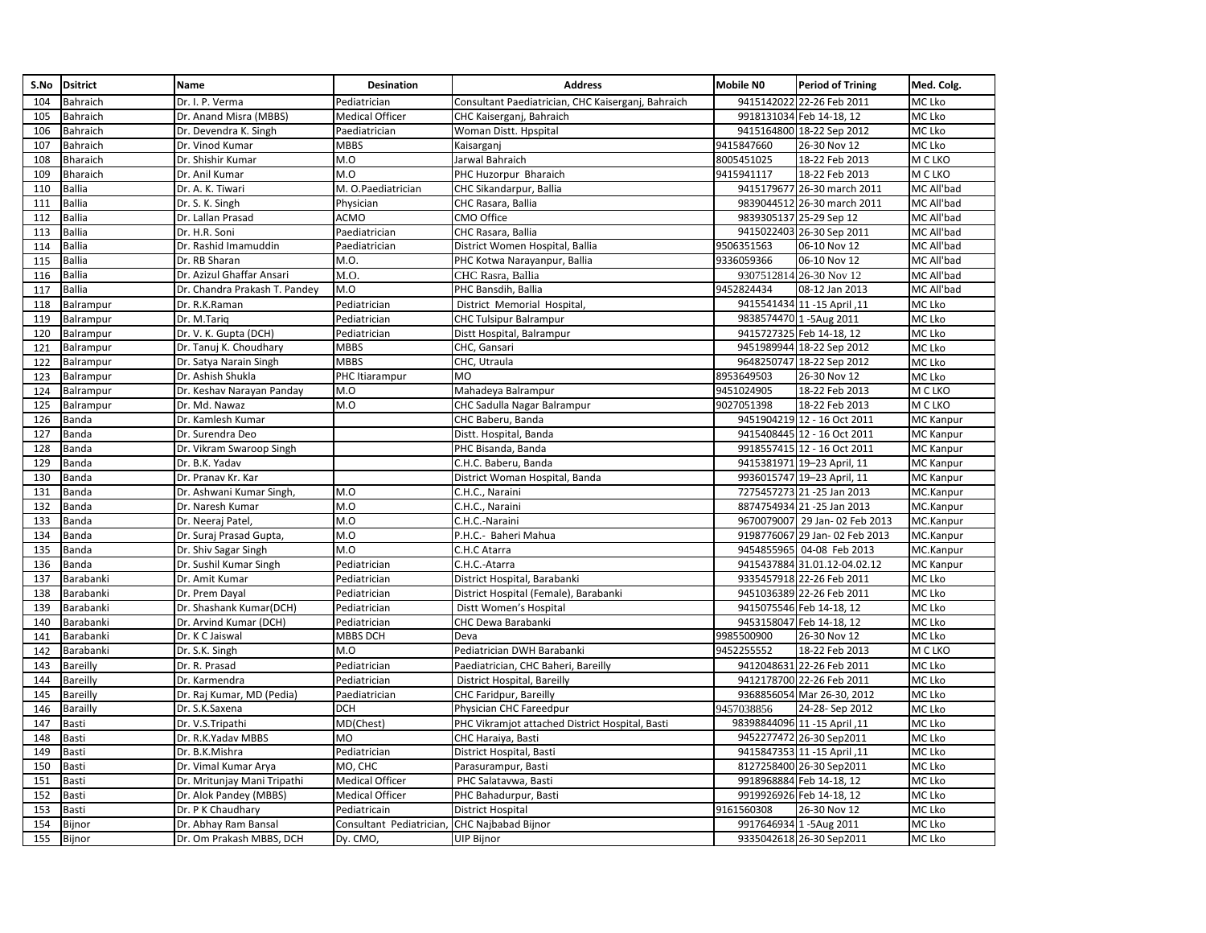| S.No | <b>Dsitrict</b> | Name                          | Desination               | <b>Address</b>                                     | <b>Mobile NO</b> | <b>Period of Trining</b>       | Med. Colg.       |
|------|-----------------|-------------------------------|--------------------------|----------------------------------------------------|------------------|--------------------------------|------------------|
| 104  | Bahraich        | Dr. I. P. Verma               | Pediatrician             | Consultant Paediatrician, CHC Kaiserganj, Bahraich |                  | 9415142022 22-26 Feb 2011      | MC Lko           |
| 105  | Bahraich        | Dr. Anand Misra (MBBS)        | <b>Medical Officer</b>   | CHC Kaiserganj, Bahraich                           |                  | 9918131034 Feb 14-18, 12       | MC Lko           |
| 106  | Bahraich        | Dr. Devendra K. Singh         | Paediatrician            | Woman Distt. Hpspital                              |                  | 9415164800 18-22 Sep 2012      | MC Lko           |
| 107  | Bahraich        | Dr. Vinod Kumar               | MBBS                     | Kaisarganj                                         | 9415847660       | 26-30 Nov 12                   | MC Lko           |
| 108  | Bharaich        | Dr. Shishir Kumar             | M.O                      | Jarwal Bahraich                                    | 8005451025       | 18-22 Feb 2013                 | M C LKO          |
| 109  | Bharaich        | Dr. Anil Kumar                | M.O                      | PHC Huzorpur Bharaich                              | 9415941117       | 18-22 Feb 2013                 | M C LKO          |
| 110  | Ballia          | Dr. A. K. Tiwari              | M. O.Paediatrician       | CHC Sikandarpur, Ballia                            |                  | 9415179677 26-30 march 2011    | MC All'bad       |
| 111  | <b>Ballia</b>   | Dr. S. K. Singh               | Physician                | CHC Rasara, Ballia                                 |                  | 9839044512 26-30 march 2011    | MC All'bad       |
| 112  | Ballia          | Dr. Lallan Prasad             | ACMO                     | CMO Office                                         |                  | 9839305137 25-29 Sep 12        | MC All'bad       |
| 113  | <b>Ballia</b>   | Dr. H.R. Soni                 | Paediatrician            | CHC Rasara, Ballia                                 |                  | 9415022403 26-30 Sep 2011      | MC All'bad       |
| 114  | <b>Ballia</b>   | Dr. Rashid Imamuddin          | Paediatrician            | District Women Hospital, Ballia                    | 9506351563       | 06-10 Nov 12                   | MC All'bad       |
| 115  | <b>Ballia</b>   | Dr. RB Sharan                 | M.O.                     | PHC Kotwa Narayanpur, Ballia                       | 9336059366       | 06-10 Nov 12                   | MC All'bad       |
| 116  | Ballia          | Dr. Azizul Ghaffar Ansari     | M.O.                     | CHC Rasra, Ballia                                  |                  | 9307512814 26-30 Nov 12        | MC All'bad       |
| 117  | <b>Ballia</b>   | Dr. Chandra Prakash T. Pandey | M.O                      | PHC Bansdih, Ballia                                | 9452824434       | 08-12 Jan 2013                 | MC All'bad       |
| 118  | Balrampur       | Dr. R.K.Raman                 | Pediatrician             | District Memorial Hospital,                        |                  | 9415541434 11 -15 April ,11    | MC Lko           |
| 119  | Balrampur       | Dr. M.Tariq                   | Pediatrician             | <b>CHC Tulsipur Balrampur</b>                      |                  | 9838574470 1-5Aug 2011         | MC Lko           |
| 120  | Balrampur       | Dr. V. K. Gupta (DCH)         | Pediatrician             | Distt Hospital, Balrampur                          |                  | 9415727325 Feb 14-18, 12       | MC Lko           |
| 121  | Balrampur       | Dr. Tanuj K. Choudhary        | <b>MBBS</b>              | CHC, Gansari                                       |                  | 9451989944 18-22 Sep 2012      | MC Lko           |
| 122  | Balrampur       | Dr. Satya Narain Singh        | <b>MBBS</b>              | CHC, Utraula                                       |                  | 9648250747 18-22 Sep 2012      | MC Lko           |
| 123  | Balrampur       | Dr. Ashish Shukla             | PHC Itiarampur           | <b>MO</b>                                          | 8953649503       | 26-30 Nov 12                   | MC Lko           |
| 124  | Balrampur       | Dr. Keshav Narayan Panday     | M.O                      | Mahadeya Balrampur                                 | 9451024905       | 18-22 Feb 2013                 | M C LKO          |
| 125  | Balrampur       | Dr. Md. Nawaz                 | M.O                      | CHC Sadulla Nagar Balrampur                        | 9027051398       | 18-22 Feb 2013                 | M C LKO          |
| 126  | Banda           | Dr. Kamlesh Kumar             |                          | CHC Baberu, Banda                                  |                  | 9451904219 12 - 16 Oct 2011    | <b>MC</b> Kanpur |
| 127  | Banda           | Dr. Surendra Deo              |                          | Distt. Hospital, Banda                             |                  | 9415408445 12 - 16 Oct 2011    | <b>MC Kanpur</b> |
| 128  | Banda           | Dr. Vikram Swaroop Singh      |                          | PHC Bisanda, Banda                                 |                  | 9918557415 12 - 16 Oct 2011    | <b>MC Kanpur</b> |
| 129  | Banda           | Dr. B.K. Yadav                |                          | C.H.C. Baberu, Banda                               |                  | 9415381971 19-23 April, 11     | <b>MC Kanpur</b> |
| 130  | Banda           | Dr. Pranav Kr. Kar            |                          | District Woman Hospital, Banda                     |                  | 9936015747 19-23 April, 11     | MC Kanpur        |
| 131  | Banda           | Dr. Ashwani Kumar Singh,      | M.O                      | C.H.C., Naraini                                    |                  | 7275457273 21 -25 Jan 2013     | MC.Kanpur        |
| 132  | Banda           | Dr. Naresh Kumar              | M.O                      | C.H.C., Naraini                                    |                  | 8874754934 21 -25 Jan 2013     | MC.Kanpur        |
| 133  | Banda           | Dr. Neeraj Patel              | M.O                      | C.H.C.-Naraini                                     |                  | 9670079007 29 Jan- 02 Feb 2013 | MC.Kanpur        |
| 134  | Banda           | Dr. Suraj Prasad Gupta,       | M.O                      | P.H.C.- Baheri Mahua                               |                  | 9198776067 29 Jan- 02 Feb 2013 | MC.Kanpur        |
| 135  | Banda           | Dr. Shiv Sagar Singh          | M.O                      | C.H.C Atarra                                       |                  | 9454855965 04-08 Feb 2013      | MC.Kanpur        |
| 136  | Banda           | Dr. Sushil Kumar Singh        | Pediatrician             | C.H.C.-Atarra                                      |                  | 9415437884 31.01.12-04.02.12   | <b>MC Kanpur</b> |
| 137  | Barabanki       | Dr. Amit Kumar                | Pediatrician             | District Hospital, Barabanki                       |                  | 9335457918 22-26 Feb 2011      | MC Lko           |
| 138  | Barabanki       | Dr. Prem Dayal                | Pediatrician             | District Hospital (Female), Barabanki              |                  | 9451036389 22-26 Feb 2011      | MC Lko           |
| 139  | Barabanki       | Dr. Shashank Kumar(DCH)       | Pediatrician             | Distt Women's Hospital                             |                  | 9415075546 Feb 14-18, 12       | MC Lko           |
| 140  | Barabanki       | Dr. Arvind Kumar (DCH)        | Pediatrician             | <b>CHC Dewa Barabanki</b>                          |                  | 9453158047 Feb 14-18, 12       | MC Lko           |
| 141  | Barabanki       | Dr. K C Jaiswal               | MBBS DCH                 | Deva                                               | 9985500900       | 26-30 Nov 12                   | MC Lko           |
| 142  | Barabanki       | Dr. S.K. Singh                | M.O                      | Pediatrician DWH Barabanki                         | 9452255552       | 18-22 Feb 2013                 | M C LKO          |
| 143  | Bareilly        | Dr. R. Prasad                 | Pediatrician             | Paediatrician, CHC Baheri, Bareilly                |                  | 9412048631 22-26 Feb 2011      | MC Lko           |
| 144  | Bareilly        | Dr. Karmendra                 | Pediatrician             | District Hospital, Bareilly                        |                  | 9412178700 22-26 Feb 2011      | MC Lko           |
| 145  | Bareilly        | Dr. Raj Kumar, MD (Pedia)     | Paediatrician            | CHC Faridpur, Bareilly                             |                  | 9368856054 Mar 26-30, 2012     | MC Lko           |
| 146  | Barailly        | Dr. S.K.Saxena                | DCH                      | Physician CHC Fareedpur                            | 9457038856       | 24-28-Sep 2012                 | MC Lko           |
| 147  | Basti           | Dr. V.S.Tripathi              | MD(Chest)                | PHC Vikramjot attached District Hospital, Basti    |                  | 98398844096 11 - 15 April , 11 | MC Lko           |
| 148  | Basti           | Dr. R.K.Yadav MBBS            | МO                       | CHC Haraiya, Basti                                 |                  | 9452277472 26-30 Sep2011       | MC Lko           |
| 149  | Basti           | Dr. B.K.Mishra                | Pediatrician             | District Hospital, Basti                           |                  | 9415847353 11 -15 April ,11    | MC Lko           |
| 150  | Basti           | Dr. Vimal Kumar Arya          | MO, CHC                  | Parasurampur, Basti                                |                  | 8127258400 26-30 Sep2011       | MC Lko           |
| 151  | Basti           | Dr. Mritunjay Mani Tripathi   | <b>Medical Officer</b>   | PHC Salatavwa, Basti                               |                  | 9918968884 Feb 14-18, 12       | MC Lko           |
| 152  | Basti           | Dr. Alok Pandey (MBBS)        | Medical Officer          | PHC Bahadurpur, Basti                              |                  | 9919926926 Feb 14-18, 12       | MC Lko           |
| 153  | Basti           | Dr. P K Chaudhary             | Pediatricain             | <b>District Hospital</b>                           | 9161560308       | 26-30 Nov 12                   | MC Lko           |
| 154  | Bijnor          | Dr. Abhay Ram Bansal          | Consultant Pediatrician, | <b>CHC Najbabad Bijnor</b>                         |                  | 9917646934 1-5Aug 2011         | MC Lko           |
| 155  | Bijnor          | Dr. Om Prakash MBBS, DCH      | Dy. CMO,                 | <b>UIP Bijnor</b>                                  |                  | 9335042618 26-30 Sep2011       | MC Lko           |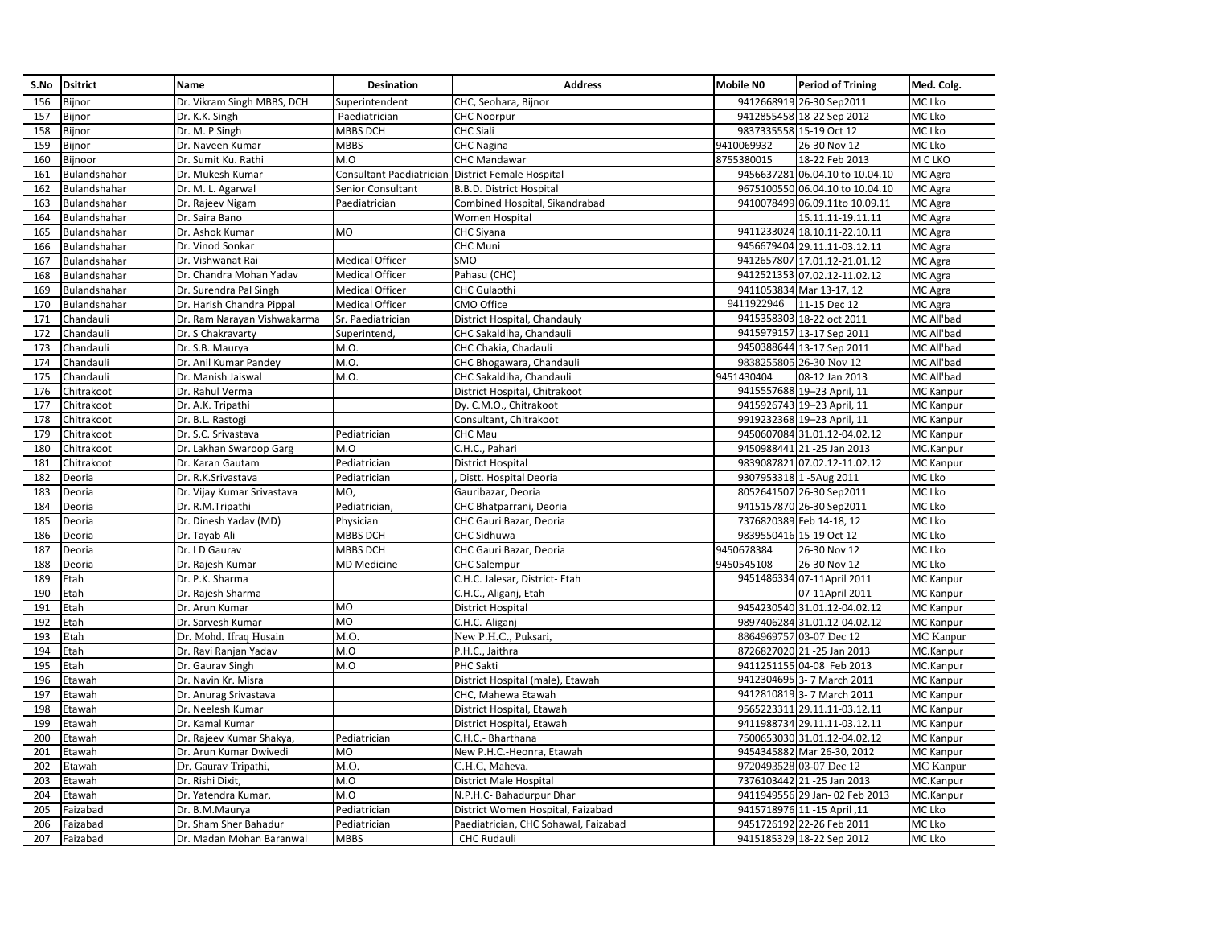| S.No | <b>Dsitrict</b> | <b>Name</b>                 | Desination               | <b>Address</b>                       | <b>Mobile NO</b> | <b>Period of Trining</b>        | Med. Colg.       |
|------|-----------------|-----------------------------|--------------------------|--------------------------------------|------------------|---------------------------------|------------------|
| 156  | Bijnor          | Dr. Vikram Singh MBBS, DCH  | Superintendent           | CHC, Seohara, Bijnor                 |                  | 9412668919 26-30 Sep2011        | MC Lko           |
| 157  | Bijnor          | Dr. K.K. Singh              | Paediatrician            | <b>CHC Noorpur</b>                   |                  | 9412855458 18-22 Sep 2012       | MC Lko           |
| 158  | Bijnor          | Dr. M. P Singh              | MBBS DCH                 | <b>CHC Siali</b>                     |                  | 9837335558 15-19 Oct 12         | MC Lko           |
| 159  | Bijnor          | Dr. Naveen Kumar            | <b>MBBS</b>              | <b>CHC Nagina</b>                    | 9410069932       | 26-30 Nov 12                    | MC Lko           |
| 160  | Bijnoor         | Dr. Sumit Ku. Rathi         | M.O                      | <b>CHC Mandawar</b>                  | 8755380015       | 18-22 Feb 2013                  | M C LKO          |
| 161  | Bulandshahar    | Dr. Mukesh Kumar            | Consultant Paediatrician | <b>District Female Hospital</b>      |                  | 9456637281 06.04.10 to 10.04.10 | MC Agra          |
| 162  | Bulandshahar    | Dr. M. L. Agarwal           | Senior Consultant        | B.B.D. District Hospital             |                  | 9675100550 06.04.10 to 10.04.10 | MC Agra          |
| 163  | Bulandshahar    | Dr. Rajeev Nigam            | Paediatrician            | Combined Hospital, Sikandrabad       |                  | 9410078499 06.09.11to 10.09.11  | MC Agra          |
| 164  | Bulandshahar    | Dr. Saira Bano              |                          | <b>Women Hospital</b>                |                  | 15.11.11-19.11.11               | MC Agra          |
| 165  | Bulandshahar    | Dr. Ashok Kumar             | MO                       | <b>CHC Siyana</b>                    |                  | 9411233024 18.10.11-22.10.11    | MC Agra          |
| 166  | Bulandshahar    | Dr. Vinod Sonkar            |                          | <b>CHC Muni</b>                      |                  | 9456679404 29.11.11-03.12.11    | MC Agra          |
| 167  | Bulandshahar    | Dr. Vishwanat Rai           | <b>Medical Officer</b>   | SMO                                  |                  | 9412657807 17.01.12-21.01.12    | MC Agra          |
| 168  | Bulandshahar    | Dr. Chandra Mohan Yadav     | <b>Medical Officer</b>   | Pahasu (CHC)                         |                  | 9412521353 07.02.12-11.02.12    | MC Agra          |
| 169  | Bulandshahar    | Dr. Surendra Pal Singh      | <b>Medical Officer</b>   | <b>CHC Gulaothi</b>                  |                  | 9411053834 Mar 13-17, 12        | MC Agra          |
| 170  | Bulandshahar    | Dr. Harish Chandra Pippal   | <b>Medical Officer</b>   | <b>CMO Office</b>                    | 9411922946       | 11-15 Dec 12                    | MC Agra          |
| 171  | Chandauli       | Dr. Ram Narayan Vishwakarma | Sr. Paediatrician        | District Hospital, Chandauly         |                  | 9415358303 18-22 oct 2011       | MC All'bad       |
| 172  | Chandauli       | Dr. S Chakravarty           | Superintend,             | CHC Sakaldiha, Chandauli             |                  | 9415979157 13-17 Sep 2011       | MC All'bad       |
| 173  | Chandauli       | Dr. S.B. Maurya             | M.O.                     | CHC Chakia, Chadauli                 |                  | 9450388644 13-17 Sep 2011       | MC All'bad       |
| 174  | Chandauli       | Dr. Anil Kumar Pandey       | M.O.                     | CHC Bhogawara, Chandauli             |                  | 9838255805 26-30 Nov 12         | MC All'bad       |
| 175  | Chandauli       | Dr. Manish Jaiswal          | M.O.                     | CHC Sakaldiha, Chandauli             | 9451430404       | 08-12 Jan 2013                  | MC All'bad       |
| 176  | Chitrakoot      | Dr. Rahul Verma             |                          | District Hospital, Chitrakoot        |                  | 9415557688 19-23 April, 11      | MC Kanpur        |
| 177  | Chitrakoot      | Dr. A.K. Tripathi           |                          | Dy. C.M.O., Chitrakoot               |                  | 9415926743 19-23 April, 11      | MC Kanpur        |
| 178  | Chitrakoot      | Dr. B.L. Rastogi            |                          | Consultant, Chitrakoot               |                  | 9919232368 19-23 April, 11      | MC Kanpur        |
| 179  | Chitrakoot      | Dr. S.C. Srivastava         | Pediatrician             | CHC Mau                              |                  | 9450607084 31.01.12-04.02.12    | MC Kanpur        |
| 180  | Chitrakoot      | Dr. Lakhan Swaroop Garg     | M.O                      | C.H.C., Pahari                       |                  | 9450988441 21 -25 Jan 2013      | MC.Kanpur        |
| 181  | Chitrakoot      | Dr. Karan Gautam            | Pediatrician             | <b>District Hospital</b>             |                  | 9839087821 07.02.12-11.02.12    | MC Kanpur        |
| 182  | Deoria          | Dr. R.K.Srivastava          | Pediatrician             | Distt. Hospital Deoria               |                  | 9307953318 1-5Aug 2011          | MC Lko           |
| 183  | Deoria          | Dr. Vijay Kumar Srivastava  | MO,                      | Gauribazar, Deoria                   |                  | 8052641507 26-30 Sep2011        | MC Lko           |
| 184  | Deoria          | Dr. R.M.Tripathi            | Pediatrician,            | CHC Bhatparrani, Deoria              |                  | 9415157870 26-30 Sep2011        | MC Lko           |
| 185  | Deoria          | Dr. Dinesh Yadav (MD)       | Physician                | CHC Gauri Bazar, Deoria              |                  | 7376820389 Feb 14-18, 12        | MC Lko           |
| 186  | Deoria          | Dr. Tayab Ali               | MBBS DCH                 | <b>CHC Sidhuwa</b>                   |                  | 9839550416 15-19 Oct 12         | MC Lko           |
| 187  | Deoria          | Dr. I D Gaurav              | MBBS DCH                 | CHC Gauri Bazar, Deoria              | 9450678384       | 26-30 Nov 12                    | MC Lko           |
| 188  | Deoria          | Dr. Rajesh Kumar            | <b>MD Medicine</b>       | <b>CHC Salempur</b>                  | 9450545108       | 26-30 Nov 12                    | MC Lko           |
| 189  | Etah            | Dr. P.K. Sharma             |                          | C.H.C. Jalesar, District- Etah       |                  | 9451486334 07-11April 2011      | MC Kanpur        |
| 190  | Etah            | Dr. Rajesh Sharma           |                          | C.H.C., Aliganj, Etah                |                  | 07-11April 2011                 | MC Kanpur        |
| 191  | Etah            | Dr. Arun Kumar              | <b>MO</b>                | <b>District Hospital</b>             |                  | 9454230540 31.01.12-04.02.12    | <b>MC Kanpur</b> |
| 192  | Etah            | Dr. Sarvesh Kumar           | <b>MO</b>                | C.H.C.-Aliganj                       |                  | 9897406284 31.01.12-04.02.12    | MC Kanpur        |
| 193  | Etah            | Dr. Mohd. Ifraq Husain      | M.O.                     | New P.H.C., Puksari,                 |                  | 8864969757 03-07 Dec 12         | <b>MC</b> Kanpur |
| 194  | Etah            | Dr. Ravi Ranjan Yadav       | M.O                      | P.H.C., Jaithra                      |                  | 8726827020 21-25 Jan 2013       | MC.Kanpur        |
| 195  | Etah            | Dr. Gaurav Singh            | M.O                      | <b>PHC Sakti</b>                     |                  | 9411251155 04-08 Feb 2013       | MC.Kanpur        |
| 196  | Etawah          | Dr. Navin Kr. Misra         |                          | District Hospital (male), Etawah     |                  | 9412304695 3- 7 March 2011      | MC Kanpur        |
| 197  | Etawah          | Dr. Anurag Srivastava       |                          | CHC, Mahewa Etawah                   |                  | 9412810819 3- 7 March 2011      | MC Kanpur        |
| 198  | Etawah          | Dr. Neelesh Kumar           |                          | District Hospital, Etawah            |                  | 9565223311 29.11.11-03.12.11    | MC Kanpur        |
| 199  | Etawah          | Dr. Kamal Kumar             |                          | District Hospital, Etawah            |                  | 9411988734 29.11.11-03.12.11    | MC Kanpur        |
| 200  | Etawah          | Dr. Rajeev Kumar Shakya,    | Pediatrician             | C.H.C.- Bharthana                    |                  | 7500653030 31.01.12-04.02.12    | <b>MC Kanpur</b> |
| 201  | Etawah          | Dr. Arun Kumar Dwivedi      | <b>MO</b>                | New P.H.C.-Heonra, Etawah            |                  | 9454345882 Mar 26-30, 2012      | MC Kanpur        |
| 202  | Etawah          | Dr. Gaurav Tripathi,        | M.O.                     | C.H.C, Maheva,                       |                  | 9720493528 03-07 Dec 12         | <b>MC</b> Kanpur |
| 203  | Etawah          | Dr. Rishi Dixit,            | M.O                      | <b>District Male Hospital</b>        |                  | 7376103442 21 -25 Jan 2013      | MC.Kanpur        |
| 204  | Etawah          | Dr. Yatendra Kumar,         | M.O                      | N.P.H.C- Bahadurpur Dhar             |                  | 9411949556 29 Jan- 02 Feb 2013  | MC.Kanpur        |
| 205  | Faizabad        | Dr. B.M.Maurya              | Pediatrician             | District Women Hospital, Faizabad    |                  | 11, 9415718976 11 -15 April     | MC Lko           |
| 206  | Faizabad        | Dr. Sham Sher Bahadur       | Pediatrician             | Paediatrician, CHC Sohawal, Faizabad |                  | 9451726192 22-26 Feb 2011       | MC Lko           |
| 207  | Faizabad        | Dr. Madan Mohan Baranwal    | <b>MBBS</b>              | <b>CHC Rudauli</b>                   |                  | 9415185329 18-22 Sep 2012       | MC Lko           |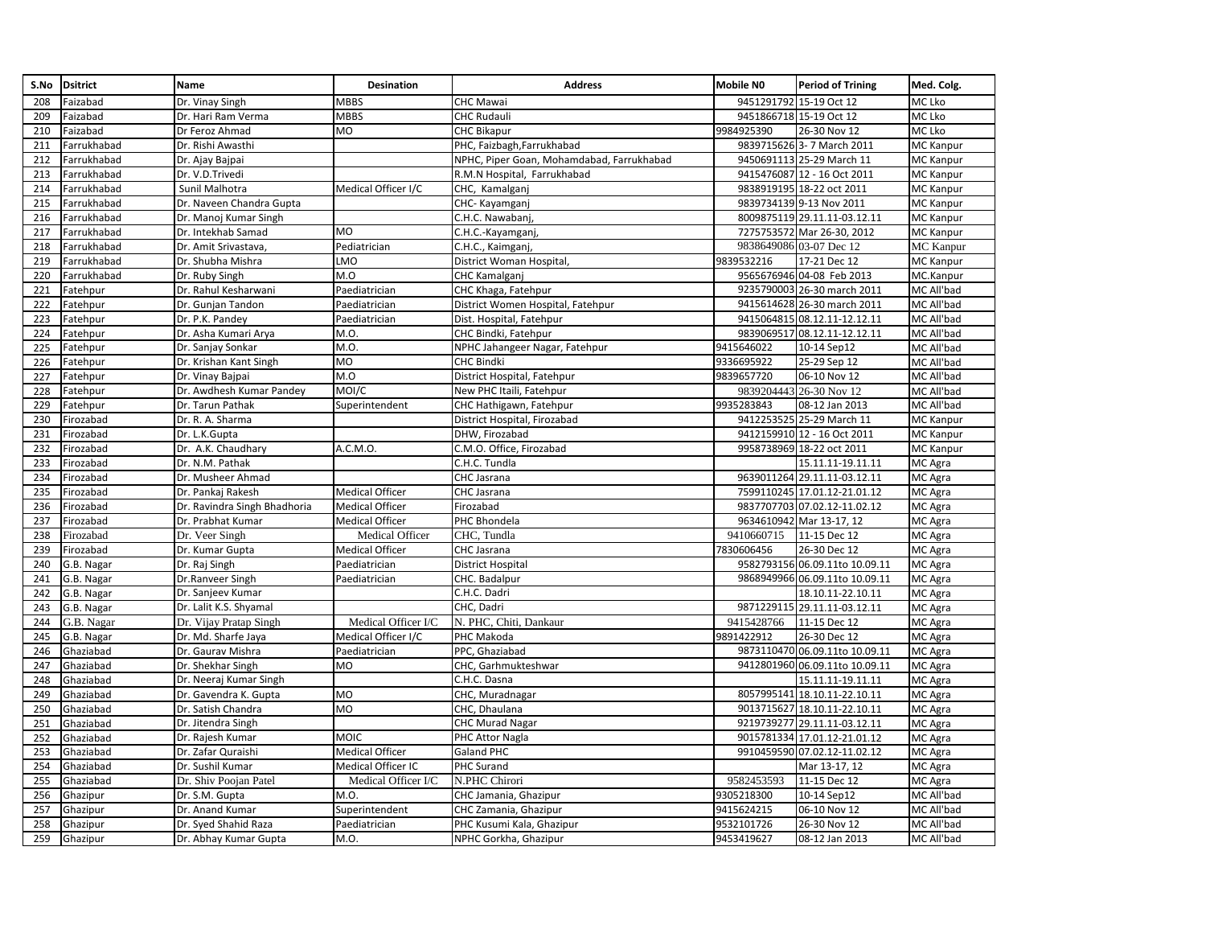| Dr. Vinay Singh<br><b>MBBS</b><br>9451291792 15-19 Oct 12<br>208<br><b>CHC Mawai</b><br>MC Lko<br>Faizabad<br><b>MBBS</b><br>9451866718 15-19 Oct 12<br>209<br>Faizabad<br>Dr. Hari Ram Verma<br><b>CHC Rudauli</b><br>MC Lko<br>MC Lko<br>210<br>MO<br><b>CHC Bikapur</b><br>9984925390<br>26-30 Nov 12<br>Faizabad<br>Dr Feroz Ahmad<br>211<br>Farrukhabad<br>Dr. Rishi Awasthi<br>PHC, Faizbagh, Farrukhabad<br>9839715626<br>3-7 March 2011<br>MC Kanpur<br>9450691113 25-29 March 11<br>212<br>Farrukhabad<br>NPHC, Piper Goan, Mohamdabad, Farrukhabad<br>MC Kanpur<br>Dr. Ajay Bajpai<br>9415476087 12 - 16 Oct 2011<br>213<br>MC Kanpur<br>Farrukhabad<br>Dr. V.D.Trivedi<br>R.M.N Hospital, Farrukhabad<br>214<br>Farrukhabad<br>Medical Officer I/C<br>9838919195 18-22 oct 2011<br>MC Kanpur<br>Sunil Malhotra<br>CHC, Kamalganj<br>215<br>9839734139 9-13 Nov 2011<br>MC Kanpur<br>Farrukhabad<br>Dr. Naveen Chandra Gupta<br>CHC- Kayamganj<br>216<br>Farrukhabad<br>C.H.C. Nawabanj,<br>8009875119 29.11.11-03.12.11<br><b>MC Kanpur</b><br>Dr. Manoj Kumar Singh<br>217<br>Farrukhabad<br>Dr. Intekhab Samad<br>MO<br>C.H.C.-Kayamganj<br>7275753572 Mar 26-30, 2012<br>MC Kanpur<br>218<br>Pediatrician<br>9838649086 03-07 Dec 12<br><b>MC</b> Kanpur<br>Farrukhabad<br>Dr. Amit Srivastava,<br>C.H.C., Kaimganj,<br>219<br>Farrukhabad<br>LMO<br>9839532216<br>17-21 Dec 12<br>MC Kanpur<br>Dr. Shubha Mishra<br>District Woman Hospital,<br>M.O<br>MC.Kanpur<br>220<br>9565676946 04-08 Feb 2013<br>Farrukhabad<br>Dr. Ruby Singh<br>CHC Kamalganj<br>221<br>Fatehpur<br>Paediatrician<br>9235790003 26-30 march 2011<br>MC All'bad<br>Dr. Rahul Kesharwani<br>CHC Khaga, Fatehpur<br>222<br>9415614628 26-30 march 2011<br>MC All'bad<br>Fatehpur<br>Dr. Gunjan Tandon<br>Paediatrician<br>District Women Hospital, Fatehpur<br>MC All'bad<br>223<br>Dr. P.K. Pandey<br>Paediatrician<br>9415064815 08.12.11-12.12.11<br>Fatehpur<br>Dist. Hospital, Fatehpur<br>224<br>Dr. Asha Kumari Arya<br>M.O.<br>CHC Bindki, Fatehpur<br>9839069517 08.12.11-12.12.11<br>MC All'bad<br>Fatehpur<br>225<br>M.O.<br>9415646022<br>MC All'bad<br>Fatehpur<br>Dr. Sanjay Sonkar<br>NPHC Jahangeer Nagar, Fatehpur<br>10-14 Sep12<br><b>MO</b><br>9336695922<br>25-29 Sep 12<br>226<br>Fatehpur<br>Dr. Krishan Kant Singh<br><b>CHC Bindki</b><br>MC All'bad<br>M.O<br>MC All'bad<br>227<br>Fatehpur<br>Dr. Vinay Bajpai<br>District Hospital, Fatehpur<br>9839657720<br>06-10 Nov 12<br>MOI/C<br>9839204443 26-30 Nov 12<br>MC All'bad<br>228<br>Fatehpur<br>Dr. Awdhesh Kumar Pandey<br>New PHC Itaili, Fatehpur<br>229<br>Dr. Tarun Pathak<br>CHC Hathigawn, Fatehpur<br>9935283843<br>08-12 Jan 2013<br>MC All'bad<br>Fatehpur<br>Superintendent<br>9412253525 25-29 March 11<br>230<br>Firozabad<br>Dr. R. A. Sharma<br>District Hospital, Firozabad<br>MC Kanpur<br>231<br>Firozabad<br>Dr. L.K.Gupta<br>DHW, Firozabad<br>9412159910 12 - 16 Oct 2011<br>MC Kanpur<br>232<br>C.M.O. Office, Firozabad<br>9958738969 18-22 oct 2011<br>MC Kanpur<br>Firozabad<br>Dr. A.K. Chaudhary<br>A.C.M.O.<br>Dr. N.M. Pathak<br>C.H.C. Tundla<br>233<br>Firozabad<br>15.11.11-19.11.11<br>MC Agra<br>234<br>Dr. Musheer Ahmad<br>CHC Jasrana<br>9639011264 29.11.11-03.12.11<br>MC Agra<br>Firozabad<br>235<br>Firozabad<br>Dr. Pankaj Rakesh<br><b>Medical Officer</b><br>CHC Jasrana<br>7599110245 17.01.12-21.01.12<br>MC Agra<br><b>Medical Officer</b><br>9837707703 07.02.12-11.02.12<br>236<br>Firozabad<br>Dr. Ravindra Singh Bhadhoria<br>Firozabad<br>MC Agra<br>237<br>Firozabad<br>Dr. Prabhat Kumar<br><b>Medical Officer</b><br>PHC Bhondela<br>9634610942 Mar 13-17, 12<br>MC Agra<br>Medical Officer<br>9410660715<br>MC Agra<br>238<br>Firozabad<br>Dr. Veer Singh<br>CHC, Tundla<br>11-15 Dec 12<br>239<br>26-30 Dec 12<br>MC Agra<br>Firozabad<br><b>Medical Officer</b><br>7830606456<br>Dr. Kumar Gupta<br><b>CHC Jasrana</b><br>9582793156 06.09.11to 10.09.11<br>240<br>G.B. Nagar<br>Dr. Raj Singh<br>Paediatrician<br><b>District Hospital</b><br>MC Agra<br>9868949966 06.09.11to 10.09.11<br>241<br>MC Agra<br>G.B. Nagar<br>Dr.Ranveer Singh<br>Paediatrician<br>CHC. Badalpur<br>242<br>C.H.C. Dadri<br>18.10.11-22.10.11<br>MC Agra<br>G.B. Nagar<br>Dr. Sanjeev Kumar<br>9871229115 29.11.11-03.12.11<br>243<br>G.B. Nagar<br>Dr. Lalit K.S. Shyamal<br>CHC, Dadri<br>MC Agra<br>Medical Officer I/C<br>244<br>G.B. Nagar<br>Dr. Vijay Pratap Singh<br>N. PHC, Chiti, Dankaur<br>9415428766<br>11-15 Dec 12<br>MC Agra<br>245<br>9891422912<br>26-30 Dec 12<br>G.B. Nagar<br>Dr. Md. Sharfe Jaya<br>Medical Officer I/C<br>PHC Makoda<br>MC Agra<br>246<br>Ghaziabad<br>PPC, Ghaziabad<br>9873110470 06.09.11to 10.09.11<br>MC Agra<br>Dr. Gaurav Mishra<br>Paediatrician<br>247<br>MO<br>9412801960 06.09.11to 10.09.11<br>MC Agra<br>Ghaziabad<br>Dr. Shekhar Singh<br>CHC, Garhmukteshwar<br>C.H.C. Dasna<br>248<br>Ghaziabad<br>Dr. Neeraj Kumar Singh<br>15.11.11-19.11.11<br>MC Agra<br>8057995141 18.10.11-22.10.11<br>249<br>Ghaziabad<br>Dr. Gavendra K. Gupta<br>MO<br>CHC, Muradnagar<br>MC Agra<br>MO<br>250<br>9013715627 18.10.11-22.10.11<br>MC Agra<br>Ghaziabad<br>Dr. Satish Chandra<br>CHC, Dhaulana<br>9219739277 29.11.11-03.12.11<br>251<br>Ghaziabad<br>Dr. Jitendra Singh<br>CHC Murad Nagar<br>MC Agra<br>252<br>MOIC<br>9015781334 17.01.12-21.01.12<br>Ghaziabad<br>PHC Attor Nagla<br>MC Agra<br>Dr. Rajesh Kumar<br><b>Medical Officer</b><br>253<br>Ghaziabad<br>Dr. Zafar Quraishi<br>Galand PHC<br>9910459590 07.02.12-11.02.12<br>MC Agra<br>254<br>Ghaziabad<br>Dr. Sushil Kumar<br>Medical Officer IC<br>PHC Surand<br>Mar 13-17, 12<br>MC Agra<br>255<br>Medical Officer I/C<br>N.PHC Chirori<br>9582453593<br>11-15 Dec 12<br>MC Agra<br>Ghaziabad<br>Dr. Shiv Poojan Patel<br>MC All'bad<br>256<br>Ghazipur<br>Dr. S.M. Gupta<br>M.O.<br>CHC Jamania, Ghazipur<br>9305218300<br>10-14 Sep12<br>MC All'bad<br>257<br>Ghazipur<br>Dr. Anand Kumar<br>Superintendent<br>CHC Zamania, Ghazipur<br>9415624215<br>06-10 Nov 12<br>Ghazipur<br>Dr. Syed Shahid Raza<br>Paediatrician<br>9532101726<br>26-30 Nov 12<br>258<br>PHC Kusumi Kala, Ghazipur<br>MC All'bad | S.No | <b>Dsitrict</b> | Name                  | <b>Desination</b> | <b>Address</b>        | <b>Mobile NO</b> | <b>Period of Trining</b> | Med. Colg. |
|--------------------------------------------------------------------------------------------------------------------------------------------------------------------------------------------------------------------------------------------------------------------------------------------------------------------------------------------------------------------------------------------------------------------------------------------------------------------------------------------------------------------------------------------------------------------------------------------------------------------------------------------------------------------------------------------------------------------------------------------------------------------------------------------------------------------------------------------------------------------------------------------------------------------------------------------------------------------------------------------------------------------------------------------------------------------------------------------------------------------------------------------------------------------------------------------------------------------------------------------------------------------------------------------------------------------------------------------------------------------------------------------------------------------------------------------------------------------------------------------------------------------------------------------------------------------------------------------------------------------------------------------------------------------------------------------------------------------------------------------------------------------------------------------------------------------------------------------------------------------------------------------------------------------------------------------------------------------------------------------------------------------------------------------------------------------------------------------------------------------------------------------------------------------------------------------------------------------------------------------------------------------------------------------------------------------------------------------------------------------------------------------------------------------------------------------------------------------------------------------------------------------------------------------------------------------------------------------------------------------------------------------------------------------------------------------------------------------------------------------------------------------------------------------------------------------------------------------------------------------------------------------------------------------------------------------------------------------------------------------------------------------------------------------------------------------------------------------------------------------------------------------------------------------------------------------------------------------------------------------------------------------------------------------------------------------------------------------------------------------------------------------------------------------------------------------------------------------------------------------------------------------------------------------------------------------------------------------------------------------------------------------------------------------------------------------------------------------------------------------------------------------------------------------------------------------------------------------------------------------------------------------------------------------------------------------------------------------------------------------------------------------------------------------------------------------------------------------------------------------------------------------------------------------------------------------------------------------------------------------------------------------------------------------------------------------------------------------------------------------------------------------------------------------------------------------------------------------------------------------------------------------------------------------------------------------------------------------------------------------------------------------------------------------------------------------------------------------------------------------------------------------------------------------------------------------------------------------------------------------------------------------------------------------------------------------------------------------------------------------------------------------------------------------------------------------------------------------------------------------------------------------------------------------------------------------------------------------------------------------------------------------------------------------------------------------------------------------------------------------------------------------------------------------------------------------------------------------------------------------------------------------------------------------------------------------------------------------------------------------------------------------------------------------------------------------------------------------------------------------------------------------------------------------------------------------------------------------------------------------------------------------------------------------------------------------------------------------------------------------------------------------------------------------------------------------------------------------------------------------------------------------------------------------------------------------------------------------------------------|------|-----------------|-----------------------|-------------------|-----------------------|------------------|--------------------------|------------|
|                                                                                                                                                                                                                                                                                                                                                                                                                                                                                                                                                                                                                                                                                                                                                                                                                                                                                                                                                                                                                                                                                                                                                                                                                                                                                                                                                                                                                                                                                                                                                                                                                                                                                                                                                                                                                                                                                                                                                                                                                                                                                                                                                                                                                                                                                                                                                                                                                                                                                                                                                                                                                                                                                                                                                                                                                                                                                                                                                                                                                                                                                                                                                                                                                                                                                                                                                                                                                                                                                                                                                                                                                                                                                                                                                                                                                                                                                                                                                                                                                                                                                                                                                                                                                                                                                                                                                                                                                                                                                                                                                                                                                                                                                                                                                                                                                                                                                                                                                                                                                                                                                                                                                                                                                                                                                                                                                                                                                                                                                                                                                                                                                                                                                                                                                                                                                                                                                                                                                                                                                                                                                                                                                                                                                                      |      |                 |                       |                   |                       |                  |                          |            |
|                                                                                                                                                                                                                                                                                                                                                                                                                                                                                                                                                                                                                                                                                                                                                                                                                                                                                                                                                                                                                                                                                                                                                                                                                                                                                                                                                                                                                                                                                                                                                                                                                                                                                                                                                                                                                                                                                                                                                                                                                                                                                                                                                                                                                                                                                                                                                                                                                                                                                                                                                                                                                                                                                                                                                                                                                                                                                                                                                                                                                                                                                                                                                                                                                                                                                                                                                                                                                                                                                                                                                                                                                                                                                                                                                                                                                                                                                                                                                                                                                                                                                                                                                                                                                                                                                                                                                                                                                                                                                                                                                                                                                                                                                                                                                                                                                                                                                                                                                                                                                                                                                                                                                                                                                                                                                                                                                                                                                                                                                                                                                                                                                                                                                                                                                                                                                                                                                                                                                                                                                                                                                                                                                                                                                                      |      |                 |                       |                   |                       |                  |                          |            |
|                                                                                                                                                                                                                                                                                                                                                                                                                                                                                                                                                                                                                                                                                                                                                                                                                                                                                                                                                                                                                                                                                                                                                                                                                                                                                                                                                                                                                                                                                                                                                                                                                                                                                                                                                                                                                                                                                                                                                                                                                                                                                                                                                                                                                                                                                                                                                                                                                                                                                                                                                                                                                                                                                                                                                                                                                                                                                                                                                                                                                                                                                                                                                                                                                                                                                                                                                                                                                                                                                                                                                                                                                                                                                                                                                                                                                                                                                                                                                                                                                                                                                                                                                                                                                                                                                                                                                                                                                                                                                                                                                                                                                                                                                                                                                                                                                                                                                                                                                                                                                                                                                                                                                                                                                                                                                                                                                                                                                                                                                                                                                                                                                                                                                                                                                                                                                                                                                                                                                                                                                                                                                                                                                                                                                                      |      |                 |                       |                   |                       |                  |                          |            |
|                                                                                                                                                                                                                                                                                                                                                                                                                                                                                                                                                                                                                                                                                                                                                                                                                                                                                                                                                                                                                                                                                                                                                                                                                                                                                                                                                                                                                                                                                                                                                                                                                                                                                                                                                                                                                                                                                                                                                                                                                                                                                                                                                                                                                                                                                                                                                                                                                                                                                                                                                                                                                                                                                                                                                                                                                                                                                                                                                                                                                                                                                                                                                                                                                                                                                                                                                                                                                                                                                                                                                                                                                                                                                                                                                                                                                                                                                                                                                                                                                                                                                                                                                                                                                                                                                                                                                                                                                                                                                                                                                                                                                                                                                                                                                                                                                                                                                                                                                                                                                                                                                                                                                                                                                                                                                                                                                                                                                                                                                                                                                                                                                                                                                                                                                                                                                                                                                                                                                                                                                                                                                                                                                                                                                                      |      |                 |                       |                   |                       |                  |                          |            |
|                                                                                                                                                                                                                                                                                                                                                                                                                                                                                                                                                                                                                                                                                                                                                                                                                                                                                                                                                                                                                                                                                                                                                                                                                                                                                                                                                                                                                                                                                                                                                                                                                                                                                                                                                                                                                                                                                                                                                                                                                                                                                                                                                                                                                                                                                                                                                                                                                                                                                                                                                                                                                                                                                                                                                                                                                                                                                                                                                                                                                                                                                                                                                                                                                                                                                                                                                                                                                                                                                                                                                                                                                                                                                                                                                                                                                                                                                                                                                                                                                                                                                                                                                                                                                                                                                                                                                                                                                                                                                                                                                                                                                                                                                                                                                                                                                                                                                                                                                                                                                                                                                                                                                                                                                                                                                                                                                                                                                                                                                                                                                                                                                                                                                                                                                                                                                                                                                                                                                                                                                                                                                                                                                                                                                                      |      |                 |                       |                   |                       |                  |                          |            |
|                                                                                                                                                                                                                                                                                                                                                                                                                                                                                                                                                                                                                                                                                                                                                                                                                                                                                                                                                                                                                                                                                                                                                                                                                                                                                                                                                                                                                                                                                                                                                                                                                                                                                                                                                                                                                                                                                                                                                                                                                                                                                                                                                                                                                                                                                                                                                                                                                                                                                                                                                                                                                                                                                                                                                                                                                                                                                                                                                                                                                                                                                                                                                                                                                                                                                                                                                                                                                                                                                                                                                                                                                                                                                                                                                                                                                                                                                                                                                                                                                                                                                                                                                                                                                                                                                                                                                                                                                                                                                                                                                                                                                                                                                                                                                                                                                                                                                                                                                                                                                                                                                                                                                                                                                                                                                                                                                                                                                                                                                                                                                                                                                                                                                                                                                                                                                                                                                                                                                                                                                                                                                                                                                                                                                                      |      |                 |                       |                   |                       |                  |                          |            |
|                                                                                                                                                                                                                                                                                                                                                                                                                                                                                                                                                                                                                                                                                                                                                                                                                                                                                                                                                                                                                                                                                                                                                                                                                                                                                                                                                                                                                                                                                                                                                                                                                                                                                                                                                                                                                                                                                                                                                                                                                                                                                                                                                                                                                                                                                                                                                                                                                                                                                                                                                                                                                                                                                                                                                                                                                                                                                                                                                                                                                                                                                                                                                                                                                                                                                                                                                                                                                                                                                                                                                                                                                                                                                                                                                                                                                                                                                                                                                                                                                                                                                                                                                                                                                                                                                                                                                                                                                                                                                                                                                                                                                                                                                                                                                                                                                                                                                                                                                                                                                                                                                                                                                                                                                                                                                                                                                                                                                                                                                                                                                                                                                                                                                                                                                                                                                                                                                                                                                                                                                                                                                                                                                                                                                                      |      |                 |                       |                   |                       |                  |                          |            |
|                                                                                                                                                                                                                                                                                                                                                                                                                                                                                                                                                                                                                                                                                                                                                                                                                                                                                                                                                                                                                                                                                                                                                                                                                                                                                                                                                                                                                                                                                                                                                                                                                                                                                                                                                                                                                                                                                                                                                                                                                                                                                                                                                                                                                                                                                                                                                                                                                                                                                                                                                                                                                                                                                                                                                                                                                                                                                                                                                                                                                                                                                                                                                                                                                                                                                                                                                                                                                                                                                                                                                                                                                                                                                                                                                                                                                                                                                                                                                                                                                                                                                                                                                                                                                                                                                                                                                                                                                                                                                                                                                                                                                                                                                                                                                                                                                                                                                                                                                                                                                                                                                                                                                                                                                                                                                                                                                                                                                                                                                                                                                                                                                                                                                                                                                                                                                                                                                                                                                                                                                                                                                                                                                                                                                                      |      |                 |                       |                   |                       |                  |                          |            |
|                                                                                                                                                                                                                                                                                                                                                                                                                                                                                                                                                                                                                                                                                                                                                                                                                                                                                                                                                                                                                                                                                                                                                                                                                                                                                                                                                                                                                                                                                                                                                                                                                                                                                                                                                                                                                                                                                                                                                                                                                                                                                                                                                                                                                                                                                                                                                                                                                                                                                                                                                                                                                                                                                                                                                                                                                                                                                                                                                                                                                                                                                                                                                                                                                                                                                                                                                                                                                                                                                                                                                                                                                                                                                                                                                                                                                                                                                                                                                                                                                                                                                                                                                                                                                                                                                                                                                                                                                                                                                                                                                                                                                                                                                                                                                                                                                                                                                                                                                                                                                                                                                                                                                                                                                                                                                                                                                                                                                                                                                                                                                                                                                                                                                                                                                                                                                                                                                                                                                                                                                                                                                                                                                                                                                                      |      |                 |                       |                   |                       |                  |                          |            |
|                                                                                                                                                                                                                                                                                                                                                                                                                                                                                                                                                                                                                                                                                                                                                                                                                                                                                                                                                                                                                                                                                                                                                                                                                                                                                                                                                                                                                                                                                                                                                                                                                                                                                                                                                                                                                                                                                                                                                                                                                                                                                                                                                                                                                                                                                                                                                                                                                                                                                                                                                                                                                                                                                                                                                                                                                                                                                                                                                                                                                                                                                                                                                                                                                                                                                                                                                                                                                                                                                                                                                                                                                                                                                                                                                                                                                                                                                                                                                                                                                                                                                                                                                                                                                                                                                                                                                                                                                                                                                                                                                                                                                                                                                                                                                                                                                                                                                                                                                                                                                                                                                                                                                                                                                                                                                                                                                                                                                                                                                                                                                                                                                                                                                                                                                                                                                                                                                                                                                                                                                                                                                                                                                                                                                                      |      |                 |                       |                   |                       |                  |                          |            |
|                                                                                                                                                                                                                                                                                                                                                                                                                                                                                                                                                                                                                                                                                                                                                                                                                                                                                                                                                                                                                                                                                                                                                                                                                                                                                                                                                                                                                                                                                                                                                                                                                                                                                                                                                                                                                                                                                                                                                                                                                                                                                                                                                                                                                                                                                                                                                                                                                                                                                                                                                                                                                                                                                                                                                                                                                                                                                                                                                                                                                                                                                                                                                                                                                                                                                                                                                                                                                                                                                                                                                                                                                                                                                                                                                                                                                                                                                                                                                                                                                                                                                                                                                                                                                                                                                                                                                                                                                                                                                                                                                                                                                                                                                                                                                                                                                                                                                                                                                                                                                                                                                                                                                                                                                                                                                                                                                                                                                                                                                                                                                                                                                                                                                                                                                                                                                                                                                                                                                                                                                                                                                                                                                                                                                                      |      |                 |                       |                   |                       |                  |                          |            |
|                                                                                                                                                                                                                                                                                                                                                                                                                                                                                                                                                                                                                                                                                                                                                                                                                                                                                                                                                                                                                                                                                                                                                                                                                                                                                                                                                                                                                                                                                                                                                                                                                                                                                                                                                                                                                                                                                                                                                                                                                                                                                                                                                                                                                                                                                                                                                                                                                                                                                                                                                                                                                                                                                                                                                                                                                                                                                                                                                                                                                                                                                                                                                                                                                                                                                                                                                                                                                                                                                                                                                                                                                                                                                                                                                                                                                                                                                                                                                                                                                                                                                                                                                                                                                                                                                                                                                                                                                                                                                                                                                                                                                                                                                                                                                                                                                                                                                                                                                                                                                                                                                                                                                                                                                                                                                                                                                                                                                                                                                                                                                                                                                                                                                                                                                                                                                                                                                                                                                                                                                                                                                                                                                                                                                                      |      |                 |                       |                   |                       |                  |                          |            |
|                                                                                                                                                                                                                                                                                                                                                                                                                                                                                                                                                                                                                                                                                                                                                                                                                                                                                                                                                                                                                                                                                                                                                                                                                                                                                                                                                                                                                                                                                                                                                                                                                                                                                                                                                                                                                                                                                                                                                                                                                                                                                                                                                                                                                                                                                                                                                                                                                                                                                                                                                                                                                                                                                                                                                                                                                                                                                                                                                                                                                                                                                                                                                                                                                                                                                                                                                                                                                                                                                                                                                                                                                                                                                                                                                                                                                                                                                                                                                                                                                                                                                                                                                                                                                                                                                                                                                                                                                                                                                                                                                                                                                                                                                                                                                                                                                                                                                                                                                                                                                                                                                                                                                                                                                                                                                                                                                                                                                                                                                                                                                                                                                                                                                                                                                                                                                                                                                                                                                                                                                                                                                                                                                                                                                                      |      |                 |                       |                   |                       |                  |                          |            |
|                                                                                                                                                                                                                                                                                                                                                                                                                                                                                                                                                                                                                                                                                                                                                                                                                                                                                                                                                                                                                                                                                                                                                                                                                                                                                                                                                                                                                                                                                                                                                                                                                                                                                                                                                                                                                                                                                                                                                                                                                                                                                                                                                                                                                                                                                                                                                                                                                                                                                                                                                                                                                                                                                                                                                                                                                                                                                                                                                                                                                                                                                                                                                                                                                                                                                                                                                                                                                                                                                                                                                                                                                                                                                                                                                                                                                                                                                                                                                                                                                                                                                                                                                                                                                                                                                                                                                                                                                                                                                                                                                                                                                                                                                                                                                                                                                                                                                                                                                                                                                                                                                                                                                                                                                                                                                                                                                                                                                                                                                                                                                                                                                                                                                                                                                                                                                                                                                                                                                                                                                                                                                                                                                                                                                                      |      |                 |                       |                   |                       |                  |                          |            |
|                                                                                                                                                                                                                                                                                                                                                                                                                                                                                                                                                                                                                                                                                                                                                                                                                                                                                                                                                                                                                                                                                                                                                                                                                                                                                                                                                                                                                                                                                                                                                                                                                                                                                                                                                                                                                                                                                                                                                                                                                                                                                                                                                                                                                                                                                                                                                                                                                                                                                                                                                                                                                                                                                                                                                                                                                                                                                                                                                                                                                                                                                                                                                                                                                                                                                                                                                                                                                                                                                                                                                                                                                                                                                                                                                                                                                                                                                                                                                                                                                                                                                                                                                                                                                                                                                                                                                                                                                                                                                                                                                                                                                                                                                                                                                                                                                                                                                                                                                                                                                                                                                                                                                                                                                                                                                                                                                                                                                                                                                                                                                                                                                                                                                                                                                                                                                                                                                                                                                                                                                                                                                                                                                                                                                                      |      |                 |                       |                   |                       |                  |                          |            |
|                                                                                                                                                                                                                                                                                                                                                                                                                                                                                                                                                                                                                                                                                                                                                                                                                                                                                                                                                                                                                                                                                                                                                                                                                                                                                                                                                                                                                                                                                                                                                                                                                                                                                                                                                                                                                                                                                                                                                                                                                                                                                                                                                                                                                                                                                                                                                                                                                                                                                                                                                                                                                                                                                                                                                                                                                                                                                                                                                                                                                                                                                                                                                                                                                                                                                                                                                                                                                                                                                                                                                                                                                                                                                                                                                                                                                                                                                                                                                                                                                                                                                                                                                                                                                                                                                                                                                                                                                                                                                                                                                                                                                                                                                                                                                                                                                                                                                                                                                                                                                                                                                                                                                                                                                                                                                                                                                                                                                                                                                                                                                                                                                                                                                                                                                                                                                                                                                                                                                                                                                                                                                                                                                                                                                                      |      |                 |                       |                   |                       |                  |                          |            |
|                                                                                                                                                                                                                                                                                                                                                                                                                                                                                                                                                                                                                                                                                                                                                                                                                                                                                                                                                                                                                                                                                                                                                                                                                                                                                                                                                                                                                                                                                                                                                                                                                                                                                                                                                                                                                                                                                                                                                                                                                                                                                                                                                                                                                                                                                                                                                                                                                                                                                                                                                                                                                                                                                                                                                                                                                                                                                                                                                                                                                                                                                                                                                                                                                                                                                                                                                                                                                                                                                                                                                                                                                                                                                                                                                                                                                                                                                                                                                                                                                                                                                                                                                                                                                                                                                                                                                                                                                                                                                                                                                                                                                                                                                                                                                                                                                                                                                                                                                                                                                                                                                                                                                                                                                                                                                                                                                                                                                                                                                                                                                                                                                                                                                                                                                                                                                                                                                                                                                                                                                                                                                                                                                                                                                                      |      |                 |                       |                   |                       |                  |                          |            |
|                                                                                                                                                                                                                                                                                                                                                                                                                                                                                                                                                                                                                                                                                                                                                                                                                                                                                                                                                                                                                                                                                                                                                                                                                                                                                                                                                                                                                                                                                                                                                                                                                                                                                                                                                                                                                                                                                                                                                                                                                                                                                                                                                                                                                                                                                                                                                                                                                                                                                                                                                                                                                                                                                                                                                                                                                                                                                                                                                                                                                                                                                                                                                                                                                                                                                                                                                                                                                                                                                                                                                                                                                                                                                                                                                                                                                                                                                                                                                                                                                                                                                                                                                                                                                                                                                                                                                                                                                                                                                                                                                                                                                                                                                                                                                                                                                                                                                                                                                                                                                                                                                                                                                                                                                                                                                                                                                                                                                                                                                                                                                                                                                                                                                                                                                                                                                                                                                                                                                                                                                                                                                                                                                                                                                                      |      |                 |                       |                   |                       |                  |                          |            |
|                                                                                                                                                                                                                                                                                                                                                                                                                                                                                                                                                                                                                                                                                                                                                                                                                                                                                                                                                                                                                                                                                                                                                                                                                                                                                                                                                                                                                                                                                                                                                                                                                                                                                                                                                                                                                                                                                                                                                                                                                                                                                                                                                                                                                                                                                                                                                                                                                                                                                                                                                                                                                                                                                                                                                                                                                                                                                                                                                                                                                                                                                                                                                                                                                                                                                                                                                                                                                                                                                                                                                                                                                                                                                                                                                                                                                                                                                                                                                                                                                                                                                                                                                                                                                                                                                                                                                                                                                                                                                                                                                                                                                                                                                                                                                                                                                                                                                                                                                                                                                                                                                                                                                                                                                                                                                                                                                                                                                                                                                                                                                                                                                                                                                                                                                                                                                                                                                                                                                                                                                                                                                                                                                                                                                                      |      |                 |                       |                   |                       |                  |                          |            |
|                                                                                                                                                                                                                                                                                                                                                                                                                                                                                                                                                                                                                                                                                                                                                                                                                                                                                                                                                                                                                                                                                                                                                                                                                                                                                                                                                                                                                                                                                                                                                                                                                                                                                                                                                                                                                                                                                                                                                                                                                                                                                                                                                                                                                                                                                                                                                                                                                                                                                                                                                                                                                                                                                                                                                                                                                                                                                                                                                                                                                                                                                                                                                                                                                                                                                                                                                                                                                                                                                                                                                                                                                                                                                                                                                                                                                                                                                                                                                                                                                                                                                                                                                                                                                                                                                                                                                                                                                                                                                                                                                                                                                                                                                                                                                                                                                                                                                                                                                                                                                                                                                                                                                                                                                                                                                                                                                                                                                                                                                                                                                                                                                                                                                                                                                                                                                                                                                                                                                                                                                                                                                                                                                                                                                                      |      |                 |                       |                   |                       |                  |                          |            |
|                                                                                                                                                                                                                                                                                                                                                                                                                                                                                                                                                                                                                                                                                                                                                                                                                                                                                                                                                                                                                                                                                                                                                                                                                                                                                                                                                                                                                                                                                                                                                                                                                                                                                                                                                                                                                                                                                                                                                                                                                                                                                                                                                                                                                                                                                                                                                                                                                                                                                                                                                                                                                                                                                                                                                                                                                                                                                                                                                                                                                                                                                                                                                                                                                                                                                                                                                                                                                                                                                                                                                                                                                                                                                                                                                                                                                                                                                                                                                                                                                                                                                                                                                                                                                                                                                                                                                                                                                                                                                                                                                                                                                                                                                                                                                                                                                                                                                                                                                                                                                                                                                                                                                                                                                                                                                                                                                                                                                                                                                                                                                                                                                                                                                                                                                                                                                                                                                                                                                                                                                                                                                                                                                                                                                                      |      |                 |                       |                   |                       |                  |                          |            |
|                                                                                                                                                                                                                                                                                                                                                                                                                                                                                                                                                                                                                                                                                                                                                                                                                                                                                                                                                                                                                                                                                                                                                                                                                                                                                                                                                                                                                                                                                                                                                                                                                                                                                                                                                                                                                                                                                                                                                                                                                                                                                                                                                                                                                                                                                                                                                                                                                                                                                                                                                                                                                                                                                                                                                                                                                                                                                                                                                                                                                                                                                                                                                                                                                                                                                                                                                                                                                                                                                                                                                                                                                                                                                                                                                                                                                                                                                                                                                                                                                                                                                                                                                                                                                                                                                                                                                                                                                                                                                                                                                                                                                                                                                                                                                                                                                                                                                                                                                                                                                                                                                                                                                                                                                                                                                                                                                                                                                                                                                                                                                                                                                                                                                                                                                                                                                                                                                                                                                                                                                                                                                                                                                                                                                                      |      |                 |                       |                   |                       |                  |                          |            |
|                                                                                                                                                                                                                                                                                                                                                                                                                                                                                                                                                                                                                                                                                                                                                                                                                                                                                                                                                                                                                                                                                                                                                                                                                                                                                                                                                                                                                                                                                                                                                                                                                                                                                                                                                                                                                                                                                                                                                                                                                                                                                                                                                                                                                                                                                                                                                                                                                                                                                                                                                                                                                                                                                                                                                                                                                                                                                                                                                                                                                                                                                                                                                                                                                                                                                                                                                                                                                                                                                                                                                                                                                                                                                                                                                                                                                                                                                                                                                                                                                                                                                                                                                                                                                                                                                                                                                                                                                                                                                                                                                                                                                                                                                                                                                                                                                                                                                                                                                                                                                                                                                                                                                                                                                                                                                                                                                                                                                                                                                                                                                                                                                                                                                                                                                                                                                                                                                                                                                                                                                                                                                                                                                                                                                                      |      |                 |                       |                   |                       |                  |                          |            |
|                                                                                                                                                                                                                                                                                                                                                                                                                                                                                                                                                                                                                                                                                                                                                                                                                                                                                                                                                                                                                                                                                                                                                                                                                                                                                                                                                                                                                                                                                                                                                                                                                                                                                                                                                                                                                                                                                                                                                                                                                                                                                                                                                                                                                                                                                                                                                                                                                                                                                                                                                                                                                                                                                                                                                                                                                                                                                                                                                                                                                                                                                                                                                                                                                                                                                                                                                                                                                                                                                                                                                                                                                                                                                                                                                                                                                                                                                                                                                                                                                                                                                                                                                                                                                                                                                                                                                                                                                                                                                                                                                                                                                                                                                                                                                                                                                                                                                                                                                                                                                                                                                                                                                                                                                                                                                                                                                                                                                                                                                                                                                                                                                                                                                                                                                                                                                                                                                                                                                                                                                                                                                                                                                                                                                                      |      |                 |                       |                   |                       |                  |                          |            |
|                                                                                                                                                                                                                                                                                                                                                                                                                                                                                                                                                                                                                                                                                                                                                                                                                                                                                                                                                                                                                                                                                                                                                                                                                                                                                                                                                                                                                                                                                                                                                                                                                                                                                                                                                                                                                                                                                                                                                                                                                                                                                                                                                                                                                                                                                                                                                                                                                                                                                                                                                                                                                                                                                                                                                                                                                                                                                                                                                                                                                                                                                                                                                                                                                                                                                                                                                                                                                                                                                                                                                                                                                                                                                                                                                                                                                                                                                                                                                                                                                                                                                                                                                                                                                                                                                                                                                                                                                                                                                                                                                                                                                                                                                                                                                                                                                                                                                                                                                                                                                                                                                                                                                                                                                                                                                                                                                                                                                                                                                                                                                                                                                                                                                                                                                                                                                                                                                                                                                                                                                                                                                                                                                                                                                                      |      |                 |                       |                   |                       |                  |                          |            |
|                                                                                                                                                                                                                                                                                                                                                                                                                                                                                                                                                                                                                                                                                                                                                                                                                                                                                                                                                                                                                                                                                                                                                                                                                                                                                                                                                                                                                                                                                                                                                                                                                                                                                                                                                                                                                                                                                                                                                                                                                                                                                                                                                                                                                                                                                                                                                                                                                                                                                                                                                                                                                                                                                                                                                                                                                                                                                                                                                                                                                                                                                                                                                                                                                                                                                                                                                                                                                                                                                                                                                                                                                                                                                                                                                                                                                                                                                                                                                                                                                                                                                                                                                                                                                                                                                                                                                                                                                                                                                                                                                                                                                                                                                                                                                                                                                                                                                                                                                                                                                                                                                                                                                                                                                                                                                                                                                                                                                                                                                                                                                                                                                                                                                                                                                                                                                                                                                                                                                                                                                                                                                                                                                                                                                                      |      |                 |                       |                   |                       |                  |                          |            |
|                                                                                                                                                                                                                                                                                                                                                                                                                                                                                                                                                                                                                                                                                                                                                                                                                                                                                                                                                                                                                                                                                                                                                                                                                                                                                                                                                                                                                                                                                                                                                                                                                                                                                                                                                                                                                                                                                                                                                                                                                                                                                                                                                                                                                                                                                                                                                                                                                                                                                                                                                                                                                                                                                                                                                                                                                                                                                                                                                                                                                                                                                                                                                                                                                                                                                                                                                                                                                                                                                                                                                                                                                                                                                                                                                                                                                                                                                                                                                                                                                                                                                                                                                                                                                                                                                                                                                                                                                                                                                                                                                                                                                                                                                                                                                                                                                                                                                                                                                                                                                                                                                                                                                                                                                                                                                                                                                                                                                                                                                                                                                                                                                                                                                                                                                                                                                                                                                                                                                                                                                                                                                                                                                                                                                                      |      |                 |                       |                   |                       |                  |                          |            |
|                                                                                                                                                                                                                                                                                                                                                                                                                                                                                                                                                                                                                                                                                                                                                                                                                                                                                                                                                                                                                                                                                                                                                                                                                                                                                                                                                                                                                                                                                                                                                                                                                                                                                                                                                                                                                                                                                                                                                                                                                                                                                                                                                                                                                                                                                                                                                                                                                                                                                                                                                                                                                                                                                                                                                                                                                                                                                                                                                                                                                                                                                                                                                                                                                                                                                                                                                                                                                                                                                                                                                                                                                                                                                                                                                                                                                                                                                                                                                                                                                                                                                                                                                                                                                                                                                                                                                                                                                                                                                                                                                                                                                                                                                                                                                                                                                                                                                                                                                                                                                                                                                                                                                                                                                                                                                                                                                                                                                                                                                                                                                                                                                                                                                                                                                                                                                                                                                                                                                                                                                                                                                                                                                                                                                                      |      |                 |                       |                   |                       |                  |                          |            |
|                                                                                                                                                                                                                                                                                                                                                                                                                                                                                                                                                                                                                                                                                                                                                                                                                                                                                                                                                                                                                                                                                                                                                                                                                                                                                                                                                                                                                                                                                                                                                                                                                                                                                                                                                                                                                                                                                                                                                                                                                                                                                                                                                                                                                                                                                                                                                                                                                                                                                                                                                                                                                                                                                                                                                                                                                                                                                                                                                                                                                                                                                                                                                                                                                                                                                                                                                                                                                                                                                                                                                                                                                                                                                                                                                                                                                                                                                                                                                                                                                                                                                                                                                                                                                                                                                                                                                                                                                                                                                                                                                                                                                                                                                                                                                                                                                                                                                                                                                                                                                                                                                                                                                                                                                                                                                                                                                                                                                                                                                                                                                                                                                                                                                                                                                                                                                                                                                                                                                                                                                                                                                                                                                                                                                                      |      |                 |                       |                   |                       |                  |                          |            |
|                                                                                                                                                                                                                                                                                                                                                                                                                                                                                                                                                                                                                                                                                                                                                                                                                                                                                                                                                                                                                                                                                                                                                                                                                                                                                                                                                                                                                                                                                                                                                                                                                                                                                                                                                                                                                                                                                                                                                                                                                                                                                                                                                                                                                                                                                                                                                                                                                                                                                                                                                                                                                                                                                                                                                                                                                                                                                                                                                                                                                                                                                                                                                                                                                                                                                                                                                                                                                                                                                                                                                                                                                                                                                                                                                                                                                                                                                                                                                                                                                                                                                                                                                                                                                                                                                                                                                                                                                                                                                                                                                                                                                                                                                                                                                                                                                                                                                                                                                                                                                                                                                                                                                                                                                                                                                                                                                                                                                                                                                                                                                                                                                                                                                                                                                                                                                                                                                                                                                                                                                                                                                                                                                                                                                                      |      |                 |                       |                   |                       |                  |                          |            |
|                                                                                                                                                                                                                                                                                                                                                                                                                                                                                                                                                                                                                                                                                                                                                                                                                                                                                                                                                                                                                                                                                                                                                                                                                                                                                                                                                                                                                                                                                                                                                                                                                                                                                                                                                                                                                                                                                                                                                                                                                                                                                                                                                                                                                                                                                                                                                                                                                                                                                                                                                                                                                                                                                                                                                                                                                                                                                                                                                                                                                                                                                                                                                                                                                                                                                                                                                                                                                                                                                                                                                                                                                                                                                                                                                                                                                                                                                                                                                                                                                                                                                                                                                                                                                                                                                                                                                                                                                                                                                                                                                                                                                                                                                                                                                                                                                                                                                                                                                                                                                                                                                                                                                                                                                                                                                                                                                                                                                                                                                                                                                                                                                                                                                                                                                                                                                                                                                                                                                                                                                                                                                                                                                                                                                                      |      |                 |                       |                   |                       |                  |                          |            |
|                                                                                                                                                                                                                                                                                                                                                                                                                                                                                                                                                                                                                                                                                                                                                                                                                                                                                                                                                                                                                                                                                                                                                                                                                                                                                                                                                                                                                                                                                                                                                                                                                                                                                                                                                                                                                                                                                                                                                                                                                                                                                                                                                                                                                                                                                                                                                                                                                                                                                                                                                                                                                                                                                                                                                                                                                                                                                                                                                                                                                                                                                                                                                                                                                                                                                                                                                                                                                                                                                                                                                                                                                                                                                                                                                                                                                                                                                                                                                                                                                                                                                                                                                                                                                                                                                                                                                                                                                                                                                                                                                                                                                                                                                                                                                                                                                                                                                                                                                                                                                                                                                                                                                                                                                                                                                                                                                                                                                                                                                                                                                                                                                                                                                                                                                                                                                                                                                                                                                                                                                                                                                                                                                                                                                                      |      |                 |                       |                   |                       |                  |                          |            |
|                                                                                                                                                                                                                                                                                                                                                                                                                                                                                                                                                                                                                                                                                                                                                                                                                                                                                                                                                                                                                                                                                                                                                                                                                                                                                                                                                                                                                                                                                                                                                                                                                                                                                                                                                                                                                                                                                                                                                                                                                                                                                                                                                                                                                                                                                                                                                                                                                                                                                                                                                                                                                                                                                                                                                                                                                                                                                                                                                                                                                                                                                                                                                                                                                                                                                                                                                                                                                                                                                                                                                                                                                                                                                                                                                                                                                                                                                                                                                                                                                                                                                                                                                                                                                                                                                                                                                                                                                                                                                                                                                                                                                                                                                                                                                                                                                                                                                                                                                                                                                                                                                                                                                                                                                                                                                                                                                                                                                                                                                                                                                                                                                                                                                                                                                                                                                                                                                                                                                                                                                                                                                                                                                                                                                                      |      |                 |                       |                   |                       |                  |                          |            |
|                                                                                                                                                                                                                                                                                                                                                                                                                                                                                                                                                                                                                                                                                                                                                                                                                                                                                                                                                                                                                                                                                                                                                                                                                                                                                                                                                                                                                                                                                                                                                                                                                                                                                                                                                                                                                                                                                                                                                                                                                                                                                                                                                                                                                                                                                                                                                                                                                                                                                                                                                                                                                                                                                                                                                                                                                                                                                                                                                                                                                                                                                                                                                                                                                                                                                                                                                                                                                                                                                                                                                                                                                                                                                                                                                                                                                                                                                                                                                                                                                                                                                                                                                                                                                                                                                                                                                                                                                                                                                                                                                                                                                                                                                                                                                                                                                                                                                                                                                                                                                                                                                                                                                                                                                                                                                                                                                                                                                                                                                                                                                                                                                                                                                                                                                                                                                                                                                                                                                                                                                                                                                                                                                                                                                                      |      |                 |                       |                   |                       |                  |                          |            |
|                                                                                                                                                                                                                                                                                                                                                                                                                                                                                                                                                                                                                                                                                                                                                                                                                                                                                                                                                                                                                                                                                                                                                                                                                                                                                                                                                                                                                                                                                                                                                                                                                                                                                                                                                                                                                                                                                                                                                                                                                                                                                                                                                                                                                                                                                                                                                                                                                                                                                                                                                                                                                                                                                                                                                                                                                                                                                                                                                                                                                                                                                                                                                                                                                                                                                                                                                                                                                                                                                                                                                                                                                                                                                                                                                                                                                                                                                                                                                                                                                                                                                                                                                                                                                                                                                                                                                                                                                                                                                                                                                                                                                                                                                                                                                                                                                                                                                                                                                                                                                                                                                                                                                                                                                                                                                                                                                                                                                                                                                                                                                                                                                                                                                                                                                                                                                                                                                                                                                                                                                                                                                                                                                                                                                                      |      |                 |                       |                   |                       |                  |                          |            |
|                                                                                                                                                                                                                                                                                                                                                                                                                                                                                                                                                                                                                                                                                                                                                                                                                                                                                                                                                                                                                                                                                                                                                                                                                                                                                                                                                                                                                                                                                                                                                                                                                                                                                                                                                                                                                                                                                                                                                                                                                                                                                                                                                                                                                                                                                                                                                                                                                                                                                                                                                                                                                                                                                                                                                                                                                                                                                                                                                                                                                                                                                                                                                                                                                                                                                                                                                                                                                                                                                                                                                                                                                                                                                                                                                                                                                                                                                                                                                                                                                                                                                                                                                                                                                                                                                                                                                                                                                                                                                                                                                                                                                                                                                                                                                                                                                                                                                                                                                                                                                                                                                                                                                                                                                                                                                                                                                                                                                                                                                                                                                                                                                                                                                                                                                                                                                                                                                                                                                                                                                                                                                                                                                                                                                                      |      |                 |                       |                   |                       |                  |                          |            |
|                                                                                                                                                                                                                                                                                                                                                                                                                                                                                                                                                                                                                                                                                                                                                                                                                                                                                                                                                                                                                                                                                                                                                                                                                                                                                                                                                                                                                                                                                                                                                                                                                                                                                                                                                                                                                                                                                                                                                                                                                                                                                                                                                                                                                                                                                                                                                                                                                                                                                                                                                                                                                                                                                                                                                                                                                                                                                                                                                                                                                                                                                                                                                                                                                                                                                                                                                                                                                                                                                                                                                                                                                                                                                                                                                                                                                                                                                                                                                                                                                                                                                                                                                                                                                                                                                                                                                                                                                                                                                                                                                                                                                                                                                                                                                                                                                                                                                                                                                                                                                                                                                                                                                                                                                                                                                                                                                                                                                                                                                                                                                                                                                                                                                                                                                                                                                                                                                                                                                                                                                                                                                                                                                                                                                                      |      |                 |                       |                   |                       |                  |                          |            |
|                                                                                                                                                                                                                                                                                                                                                                                                                                                                                                                                                                                                                                                                                                                                                                                                                                                                                                                                                                                                                                                                                                                                                                                                                                                                                                                                                                                                                                                                                                                                                                                                                                                                                                                                                                                                                                                                                                                                                                                                                                                                                                                                                                                                                                                                                                                                                                                                                                                                                                                                                                                                                                                                                                                                                                                                                                                                                                                                                                                                                                                                                                                                                                                                                                                                                                                                                                                                                                                                                                                                                                                                                                                                                                                                                                                                                                                                                                                                                                                                                                                                                                                                                                                                                                                                                                                                                                                                                                                                                                                                                                                                                                                                                                                                                                                                                                                                                                                                                                                                                                                                                                                                                                                                                                                                                                                                                                                                                                                                                                                                                                                                                                                                                                                                                                                                                                                                                                                                                                                                                                                                                                                                                                                                                                      |      |                 |                       |                   |                       |                  |                          |            |
|                                                                                                                                                                                                                                                                                                                                                                                                                                                                                                                                                                                                                                                                                                                                                                                                                                                                                                                                                                                                                                                                                                                                                                                                                                                                                                                                                                                                                                                                                                                                                                                                                                                                                                                                                                                                                                                                                                                                                                                                                                                                                                                                                                                                                                                                                                                                                                                                                                                                                                                                                                                                                                                                                                                                                                                                                                                                                                                                                                                                                                                                                                                                                                                                                                                                                                                                                                                                                                                                                                                                                                                                                                                                                                                                                                                                                                                                                                                                                                                                                                                                                                                                                                                                                                                                                                                                                                                                                                                                                                                                                                                                                                                                                                                                                                                                                                                                                                                                                                                                                                                                                                                                                                                                                                                                                                                                                                                                                                                                                                                                                                                                                                                                                                                                                                                                                                                                                                                                                                                                                                                                                                                                                                                                                                      |      |                 |                       |                   |                       |                  |                          |            |
|                                                                                                                                                                                                                                                                                                                                                                                                                                                                                                                                                                                                                                                                                                                                                                                                                                                                                                                                                                                                                                                                                                                                                                                                                                                                                                                                                                                                                                                                                                                                                                                                                                                                                                                                                                                                                                                                                                                                                                                                                                                                                                                                                                                                                                                                                                                                                                                                                                                                                                                                                                                                                                                                                                                                                                                                                                                                                                                                                                                                                                                                                                                                                                                                                                                                                                                                                                                                                                                                                                                                                                                                                                                                                                                                                                                                                                                                                                                                                                                                                                                                                                                                                                                                                                                                                                                                                                                                                                                                                                                                                                                                                                                                                                                                                                                                                                                                                                                                                                                                                                                                                                                                                                                                                                                                                                                                                                                                                                                                                                                                                                                                                                                                                                                                                                                                                                                                                                                                                                                                                                                                                                                                                                                                                                      |      |                 |                       |                   |                       |                  |                          |            |
|                                                                                                                                                                                                                                                                                                                                                                                                                                                                                                                                                                                                                                                                                                                                                                                                                                                                                                                                                                                                                                                                                                                                                                                                                                                                                                                                                                                                                                                                                                                                                                                                                                                                                                                                                                                                                                                                                                                                                                                                                                                                                                                                                                                                                                                                                                                                                                                                                                                                                                                                                                                                                                                                                                                                                                                                                                                                                                                                                                                                                                                                                                                                                                                                                                                                                                                                                                                                                                                                                                                                                                                                                                                                                                                                                                                                                                                                                                                                                                                                                                                                                                                                                                                                                                                                                                                                                                                                                                                                                                                                                                                                                                                                                                                                                                                                                                                                                                                                                                                                                                                                                                                                                                                                                                                                                                                                                                                                                                                                                                                                                                                                                                                                                                                                                                                                                                                                                                                                                                                                                                                                                                                                                                                                                                      |      |                 |                       |                   |                       |                  |                          |            |
|                                                                                                                                                                                                                                                                                                                                                                                                                                                                                                                                                                                                                                                                                                                                                                                                                                                                                                                                                                                                                                                                                                                                                                                                                                                                                                                                                                                                                                                                                                                                                                                                                                                                                                                                                                                                                                                                                                                                                                                                                                                                                                                                                                                                                                                                                                                                                                                                                                                                                                                                                                                                                                                                                                                                                                                                                                                                                                                                                                                                                                                                                                                                                                                                                                                                                                                                                                                                                                                                                                                                                                                                                                                                                                                                                                                                                                                                                                                                                                                                                                                                                                                                                                                                                                                                                                                                                                                                                                                                                                                                                                                                                                                                                                                                                                                                                                                                                                                                                                                                                                                                                                                                                                                                                                                                                                                                                                                                                                                                                                                                                                                                                                                                                                                                                                                                                                                                                                                                                                                                                                                                                                                                                                                                                                      |      |                 |                       |                   |                       |                  |                          |            |
|                                                                                                                                                                                                                                                                                                                                                                                                                                                                                                                                                                                                                                                                                                                                                                                                                                                                                                                                                                                                                                                                                                                                                                                                                                                                                                                                                                                                                                                                                                                                                                                                                                                                                                                                                                                                                                                                                                                                                                                                                                                                                                                                                                                                                                                                                                                                                                                                                                                                                                                                                                                                                                                                                                                                                                                                                                                                                                                                                                                                                                                                                                                                                                                                                                                                                                                                                                                                                                                                                                                                                                                                                                                                                                                                                                                                                                                                                                                                                                                                                                                                                                                                                                                                                                                                                                                                                                                                                                                                                                                                                                                                                                                                                                                                                                                                                                                                                                                                                                                                                                                                                                                                                                                                                                                                                                                                                                                                                                                                                                                                                                                                                                                                                                                                                                                                                                                                                                                                                                                                                                                                                                                                                                                                                                      |      |                 |                       |                   |                       |                  |                          |            |
|                                                                                                                                                                                                                                                                                                                                                                                                                                                                                                                                                                                                                                                                                                                                                                                                                                                                                                                                                                                                                                                                                                                                                                                                                                                                                                                                                                                                                                                                                                                                                                                                                                                                                                                                                                                                                                                                                                                                                                                                                                                                                                                                                                                                                                                                                                                                                                                                                                                                                                                                                                                                                                                                                                                                                                                                                                                                                                                                                                                                                                                                                                                                                                                                                                                                                                                                                                                                                                                                                                                                                                                                                                                                                                                                                                                                                                                                                                                                                                                                                                                                                                                                                                                                                                                                                                                                                                                                                                                                                                                                                                                                                                                                                                                                                                                                                                                                                                                                                                                                                                                                                                                                                                                                                                                                                                                                                                                                                                                                                                                                                                                                                                                                                                                                                                                                                                                                                                                                                                                                                                                                                                                                                                                                                                      |      |                 |                       |                   |                       |                  |                          |            |
|                                                                                                                                                                                                                                                                                                                                                                                                                                                                                                                                                                                                                                                                                                                                                                                                                                                                                                                                                                                                                                                                                                                                                                                                                                                                                                                                                                                                                                                                                                                                                                                                                                                                                                                                                                                                                                                                                                                                                                                                                                                                                                                                                                                                                                                                                                                                                                                                                                                                                                                                                                                                                                                                                                                                                                                                                                                                                                                                                                                                                                                                                                                                                                                                                                                                                                                                                                                                                                                                                                                                                                                                                                                                                                                                                                                                                                                                                                                                                                                                                                                                                                                                                                                                                                                                                                                                                                                                                                                                                                                                                                                                                                                                                                                                                                                                                                                                                                                                                                                                                                                                                                                                                                                                                                                                                                                                                                                                                                                                                                                                                                                                                                                                                                                                                                                                                                                                                                                                                                                                                                                                                                                                                                                                                                      |      |                 |                       |                   |                       |                  |                          |            |
|                                                                                                                                                                                                                                                                                                                                                                                                                                                                                                                                                                                                                                                                                                                                                                                                                                                                                                                                                                                                                                                                                                                                                                                                                                                                                                                                                                                                                                                                                                                                                                                                                                                                                                                                                                                                                                                                                                                                                                                                                                                                                                                                                                                                                                                                                                                                                                                                                                                                                                                                                                                                                                                                                                                                                                                                                                                                                                                                                                                                                                                                                                                                                                                                                                                                                                                                                                                                                                                                                                                                                                                                                                                                                                                                                                                                                                                                                                                                                                                                                                                                                                                                                                                                                                                                                                                                                                                                                                                                                                                                                                                                                                                                                                                                                                                                                                                                                                                                                                                                                                                                                                                                                                                                                                                                                                                                                                                                                                                                                                                                                                                                                                                                                                                                                                                                                                                                                                                                                                                                                                                                                                                                                                                                                                      |      |                 |                       |                   |                       |                  |                          |            |
|                                                                                                                                                                                                                                                                                                                                                                                                                                                                                                                                                                                                                                                                                                                                                                                                                                                                                                                                                                                                                                                                                                                                                                                                                                                                                                                                                                                                                                                                                                                                                                                                                                                                                                                                                                                                                                                                                                                                                                                                                                                                                                                                                                                                                                                                                                                                                                                                                                                                                                                                                                                                                                                                                                                                                                                                                                                                                                                                                                                                                                                                                                                                                                                                                                                                                                                                                                                                                                                                                                                                                                                                                                                                                                                                                                                                                                                                                                                                                                                                                                                                                                                                                                                                                                                                                                                                                                                                                                                                                                                                                                                                                                                                                                                                                                                                                                                                                                                                                                                                                                                                                                                                                                                                                                                                                                                                                                                                                                                                                                                                                                                                                                                                                                                                                                                                                                                                                                                                                                                                                                                                                                                                                                                                                                      |      |                 |                       |                   |                       |                  |                          |            |
|                                                                                                                                                                                                                                                                                                                                                                                                                                                                                                                                                                                                                                                                                                                                                                                                                                                                                                                                                                                                                                                                                                                                                                                                                                                                                                                                                                                                                                                                                                                                                                                                                                                                                                                                                                                                                                                                                                                                                                                                                                                                                                                                                                                                                                                                                                                                                                                                                                                                                                                                                                                                                                                                                                                                                                                                                                                                                                                                                                                                                                                                                                                                                                                                                                                                                                                                                                                                                                                                                                                                                                                                                                                                                                                                                                                                                                                                                                                                                                                                                                                                                                                                                                                                                                                                                                                                                                                                                                                                                                                                                                                                                                                                                                                                                                                                                                                                                                                                                                                                                                                                                                                                                                                                                                                                                                                                                                                                                                                                                                                                                                                                                                                                                                                                                                                                                                                                                                                                                                                                                                                                                                                                                                                                                                      |      |                 |                       |                   |                       |                  |                          |            |
|                                                                                                                                                                                                                                                                                                                                                                                                                                                                                                                                                                                                                                                                                                                                                                                                                                                                                                                                                                                                                                                                                                                                                                                                                                                                                                                                                                                                                                                                                                                                                                                                                                                                                                                                                                                                                                                                                                                                                                                                                                                                                                                                                                                                                                                                                                                                                                                                                                                                                                                                                                                                                                                                                                                                                                                                                                                                                                                                                                                                                                                                                                                                                                                                                                                                                                                                                                                                                                                                                                                                                                                                                                                                                                                                                                                                                                                                                                                                                                                                                                                                                                                                                                                                                                                                                                                                                                                                                                                                                                                                                                                                                                                                                                                                                                                                                                                                                                                                                                                                                                                                                                                                                                                                                                                                                                                                                                                                                                                                                                                                                                                                                                                                                                                                                                                                                                                                                                                                                                                                                                                                                                                                                                                                                                      |      |                 |                       |                   |                       |                  |                          |            |
|                                                                                                                                                                                                                                                                                                                                                                                                                                                                                                                                                                                                                                                                                                                                                                                                                                                                                                                                                                                                                                                                                                                                                                                                                                                                                                                                                                                                                                                                                                                                                                                                                                                                                                                                                                                                                                                                                                                                                                                                                                                                                                                                                                                                                                                                                                                                                                                                                                                                                                                                                                                                                                                                                                                                                                                                                                                                                                                                                                                                                                                                                                                                                                                                                                                                                                                                                                                                                                                                                                                                                                                                                                                                                                                                                                                                                                                                                                                                                                                                                                                                                                                                                                                                                                                                                                                                                                                                                                                                                                                                                                                                                                                                                                                                                                                                                                                                                                                                                                                                                                                                                                                                                                                                                                                                                                                                                                                                                                                                                                                                                                                                                                                                                                                                                                                                                                                                                                                                                                                                                                                                                                                                                                                                                                      |      |                 |                       |                   |                       |                  |                          |            |
|                                                                                                                                                                                                                                                                                                                                                                                                                                                                                                                                                                                                                                                                                                                                                                                                                                                                                                                                                                                                                                                                                                                                                                                                                                                                                                                                                                                                                                                                                                                                                                                                                                                                                                                                                                                                                                                                                                                                                                                                                                                                                                                                                                                                                                                                                                                                                                                                                                                                                                                                                                                                                                                                                                                                                                                                                                                                                                                                                                                                                                                                                                                                                                                                                                                                                                                                                                                                                                                                                                                                                                                                                                                                                                                                                                                                                                                                                                                                                                                                                                                                                                                                                                                                                                                                                                                                                                                                                                                                                                                                                                                                                                                                                                                                                                                                                                                                                                                                                                                                                                                                                                                                                                                                                                                                                                                                                                                                                                                                                                                                                                                                                                                                                                                                                                                                                                                                                                                                                                                                                                                                                                                                                                                                                                      | 259  | Ghazipur        | Dr. Abhay Kumar Gupta | M.O.              | NPHC Gorkha, Ghazipur | 9453419627       | 08-12 Jan 2013           | MC All'bad |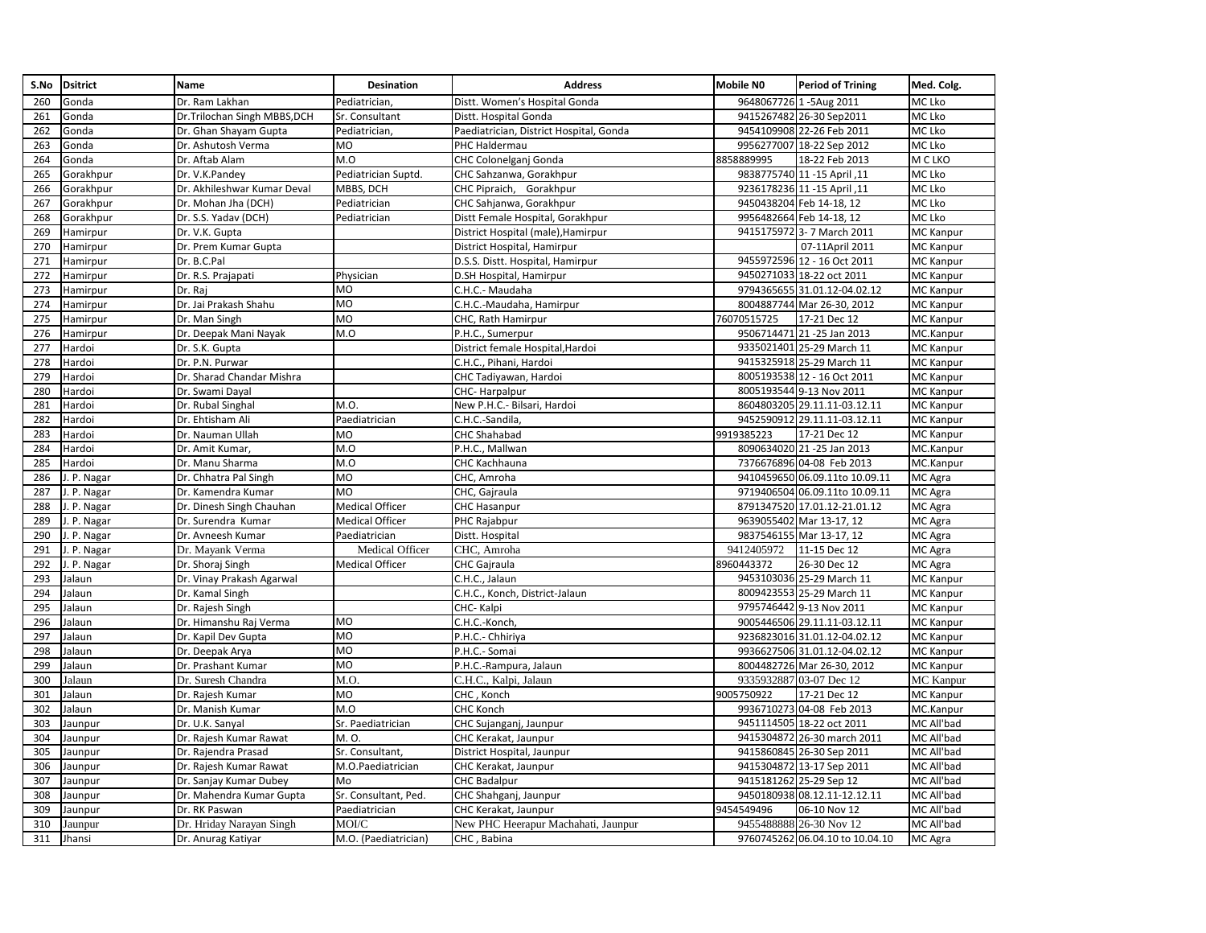| S.No | <b>Dsitrict</b> | Name                         | Desination             | <b>Address</b>                          | <b>Mobile NO</b> | <b>Period of Trining</b>        | Med. Colg.       |
|------|-----------------|------------------------------|------------------------|-----------------------------------------|------------------|---------------------------------|------------------|
| 260  | Gonda           | Dr. Ram Lakhan               | Pediatrician,          | Distt. Women's Hospital Gonda           |                  | 9648067726 1-5Aug 2011          | MC Lko           |
| 261  | Gonda           | Dr.Trilochan Singh MBBS, DCH | Sr. Consultant         | Distt. Hospital Gonda                   |                  | 9415267482 26-30 Sep2011        | MC Lko           |
| 262  | Gonda           | Dr. Ghan Shayam Gupta        | Pediatrician,          | Paediatrician, District Hospital, Gonda |                  | 9454109908 22-26 Feb 2011       | MC Lko           |
| 263  | Gonda           | Dr. Ashutosh Verma           | MO                     | PHC Haldermau                           |                  | 9956277007 18-22 Sep 2012       | MC Lko           |
| 264  | Gonda           | Dr. Aftab Alam               | M.O                    | CHC Colonelganj Gonda                   | 8858889995       | 18-22 Feb 2013                  | M C LKO          |
| 265  | Gorakhpur       | Dr. V.K.Pandey               | Pediatrician Suptd.    | CHC Sahzanwa, Gorakhpur                 |                  | 9838775740 11 -15 April ,11     | MC Lko           |
| 266  | Gorakhpur       | Dr. Akhileshwar Kumar Deval  | MBBS, DCH              | CHC Pipraich, Gorakhpur                 |                  | 9236178236 11 -15 April ,11     | MC Lko           |
| 267  | Gorakhpur       | Dr. Mohan Jha (DCH)          | Pediatrician           | CHC Sahjanwa, Gorakhpur                 |                  | 9450438204 Feb 14-18, 12        | MC Lko           |
| 268  | Gorakhpur       | Dr. S.S. Yadav (DCH)         | Pediatrician           | Distt Female Hospital, Gorakhpur        |                  | 9956482664 Feb 14-18, 12        | MC Lko           |
| 269  | Hamirpur        | Dr. V.K. Gupta               |                        | District Hospital (male), Hamirpur      |                  | 9415175972 3- 7 March 2011      | MC Kanpur        |
| 270  | Hamirpur        | Dr. Prem Kumar Gupta         |                        | District Hospital, Hamirpur             |                  | 07-11April 2011                 | MC Kanpur        |
| 271  | Hamirpur        | Dr. B.C.Pal                  |                        | D.S.S. Distt. Hospital, Hamirpur        |                  | 9455972596 12 - 16 Oct 2011     | MC Kanpur        |
| 272  | Hamirpur        | Dr. R.S. Prajapati           | Physician              | D.SH Hospital, Hamirpur                 |                  | 9450271033 18-22 oct 2011       | MC Kanpur        |
| 273  | Hamirpur        | Dr. Raj                      | MO                     | C.H.C.- Maudaha                         |                  | 9794365655 31.01.12-04.02.12    | MC Kanpur        |
| 274  | Hamirpur        | Dr. Jai Prakash Shahu        | <b>MO</b>              | C.H.C.-Maudaha, Hamirpur                |                  | 8004887744 Mar 26-30, 2012      | MC Kanpur        |
| 275  | Hamirpur        | Dr. Man Singh                | MO                     | CHC, Rath Hamirpur                      | 76070515725      | 17-21 Dec 12                    | MC Kanpur        |
| 276  | Hamirpur        | Dr. Deepak Mani Nayak        | M.O                    | P.H.C., Sumerpur                        |                  | 9506714471 21 -25 Jan 2013      | MC.Kanpur        |
| 277  | Hardoi          | Dr. S.K. Gupta               |                        | District female Hospital, Hardoi        |                  | 9335021401 25-29 March 11       | MC Kanpur        |
| 278  | Hardoi          | Dr. P.N. Purwar              |                        | C.H.C., Pihani, Hardoi                  |                  | 9415325918 25-29 March 11       | MC Kanpur        |
| 279  | Hardoi          | Dr. Sharad Chandar Mishra    |                        | CHC Tadiyawan, Hardoi                   |                  | 8005193538 12 - 16 Oct 2011     | <b>MC Kanpur</b> |
| 280  | Hardoi          | Dr. Swami Dayal              |                        | CHC-Harpalpur                           |                  | 8005193544 9-13 Nov 2011        | MC Kanpur        |
| 281  | Hardoi          | Dr. Rubal Singhal            | M.O.                   | New P.H.C.- Bilsari, Hardoi             |                  | 8604803205 29.11.11-03.12.11    | MC Kanpur        |
| 282  | Hardoi          | Dr. Ehtisham Ali             | Paediatrician          | C.H.C.-Sandila,                         |                  | 9452590912 29.11.11-03.12.11    | MC Kanpur        |
| 283  | Hardoi          | Dr. Nauman Ullah             | MO                     | CHC Shahabad                            | 9919385223       | 17-21 Dec 12                    | MC Kanpur        |
| 284  | Hardoi          | Dr. Amit Kumar,              | M.O                    | P.H.C., Mallwan                         |                  | 8090634020 21 -25 Jan 2013      | MC.Kanpur        |
| 285  | Hardoi          | Dr. Manu Sharma              | M.O                    | CHC Kachhauna                           |                  | 7376676896 04-08 Feb 2013       | MC.Kanpur        |
| 286  | I. P. Nagar     | Dr. Chhatra Pal Singh        | <b>MO</b>              | CHC, Amroha                             |                  | 9410459650 06.09.11to 10.09.11  | MC Agra          |
| 287  | . P. Nagar      | Dr. Kamendra Kumar           | MO                     | CHC, Gajraula                           |                  | 9719406504 06.09.11to 10.09.11  | MC Agra          |
| 288  | . P. Nagar      | Dr. Dinesh Singh Chauhan     | <b>Medical Officer</b> | <b>CHC Hasanpur</b>                     |                  | 8791347520 17.01.12-21.01.12    | MC Agra          |
| 289  | . P. Nagar      | Dr. Surendra Kumar           | <b>Medical Officer</b> | PHC Rajabpur                            |                  | 9639055402 Mar 13-17, 12        | MC Agra          |
| 290  | J. P. Nagar     | Dr. Avneesh Kumar            | Paediatrician          | Distt. Hospital                         |                  | 9837546155 Mar 13-17, 12        | MC Agra          |
| 291  | J. P. Nagar     | Dr. Mayank Verma             | Medical Officer        | CHC, Amroha                             | 9412405972       | 11-15 Dec 12                    | MC Agra          |
| 292  | . P. Nagar      | Dr. Shoraj Singh             | <b>Medical Officer</b> | CHC Gajraula                            | 8960443372       | 26-30 Dec 12                    | MC Agra          |
| 293  | Jalaun          | Dr. Vinay Prakash Agarwal    |                        | C.H.C., Jalaun                          |                  | 9453103036 25-29 March 11       | MC Kanpur        |
| 294  | Jalaun          | Dr. Kamal Singh              |                        | C.H.C., Konch, District-Jalaun          |                  | 8009423553 25-29 March 11       | MC Kanpur        |
| 295  | Jalaun          | Dr. Rajesh Singh             |                        | CHC-Kalpi                               |                  | 9795746442 9-13 Nov 2011        | MC Kanpur        |
| 296  | Jalaun          | Dr. Himanshu Raj Verma       | <b>MO</b>              | C.H.C.-Konch                            |                  | 9005446506 29.11.11-03.12.11    | MC Kanpur        |
| 297  | Jalaun          | Dr. Kapil Dev Gupta          | <b>MO</b>              | P.H.C.- Chhiriya                        |                  | 9236823016 31.01.12-04.02.12    | MC Kanpur        |
| 298  | Jalaun          | Dr. Deepak Arya              | MO                     | P.H.C.- Somai                           |                  | 9936627506 31.01.12-04.02.12    | MC Kanpur        |
| 299  | Jalaun          | Dr. Prashant Kumar           | <b>MO</b>              | P.H.C.-Rampura, Jalaun                  |                  | 8004482726 Mar 26-30, 2012      | MC Kanpur        |
| 300  | Jalaun          | Dr. Suresh Chandra           | M.O.                   | C.H.C., Kalpi, Jalaun                   |                  | 9335932887 03-07 Dec 12         | MC Kanpur        |
| 301  | Jalaun          | Dr. Rajesh Kumar             | MO                     | CHC, Konch                              | 9005750922       | 17-21 Dec 12                    | MC Kanpur        |
| 302  | Jalaun          | Dr. Manish Kumar             | M.O                    | <b>CHC Konch</b>                        |                  | 9936710273 04-08 Feb 2013       | MC.Kanpur        |
| 303  | Jaunpur         | Dr. U.K. Sanyal              | Sr. Paediatrician      | CHC Sujanganj, Jaunpur                  |                  | 9451114505 18-22 oct 2011       | MC All'bad       |
| 304  | Jaunpur         | Dr. Rajesh Kumar Rawat       | M. O.                  | CHC Kerakat, Jaunpur                    |                  | 9415304872 26-30 march 2011     | MC All'bad       |
| 305  | Jaunpur         | Dr. Rajendra Prasad          | Sr. Consultant,        | District Hospital, Jaunpur              |                  | 9415860845 26-30 Sep 2011       | MC All'bad       |
| 306  | Jaunpur         | Dr. Rajesh Kumar Rawat       | M.O.Paediatrician      | CHC Kerakat, Jaunpur                    |                  | 9415304872 13-17 Sep 2011       | MC All'bad       |
| 307  | Jaunpur         | Dr. Sanjay Kumar Dubey       | Mo                     | <b>CHC Badalpur</b>                     |                  | 9415181262 25-29 Sep 12         | MC All'bad       |
| 308  | Jaunpur         | Dr. Mahendra Kumar Gupta     | Sr. Consultant, Ped.   | CHC Shahganj, Jaunpur                   |                  | 9450180938 08.12.11-12.12.11    | MC All'bad       |
| 309  | Jaunpur         | Dr. RK Paswan                | Paediatrician          | CHC Kerakat, Jaunpur                    | 9454549496       | 06-10 Nov 12                    | MC All'bad       |
| 310  | Jaunpur         | Dr. Hriday Narayan Singh     | MOI/C                  | New PHC Heerapur Machahati, Jaunpur     |                  | 9455488888 26-30 Nov 12         | MC All'bad       |
| 311  | Jhansi          | Dr. Anurag Katiyar           | M.O. (Paediatrician)   | CHC, Babina                             |                  | 9760745262 06.04.10 to 10.04.10 | MC Agra          |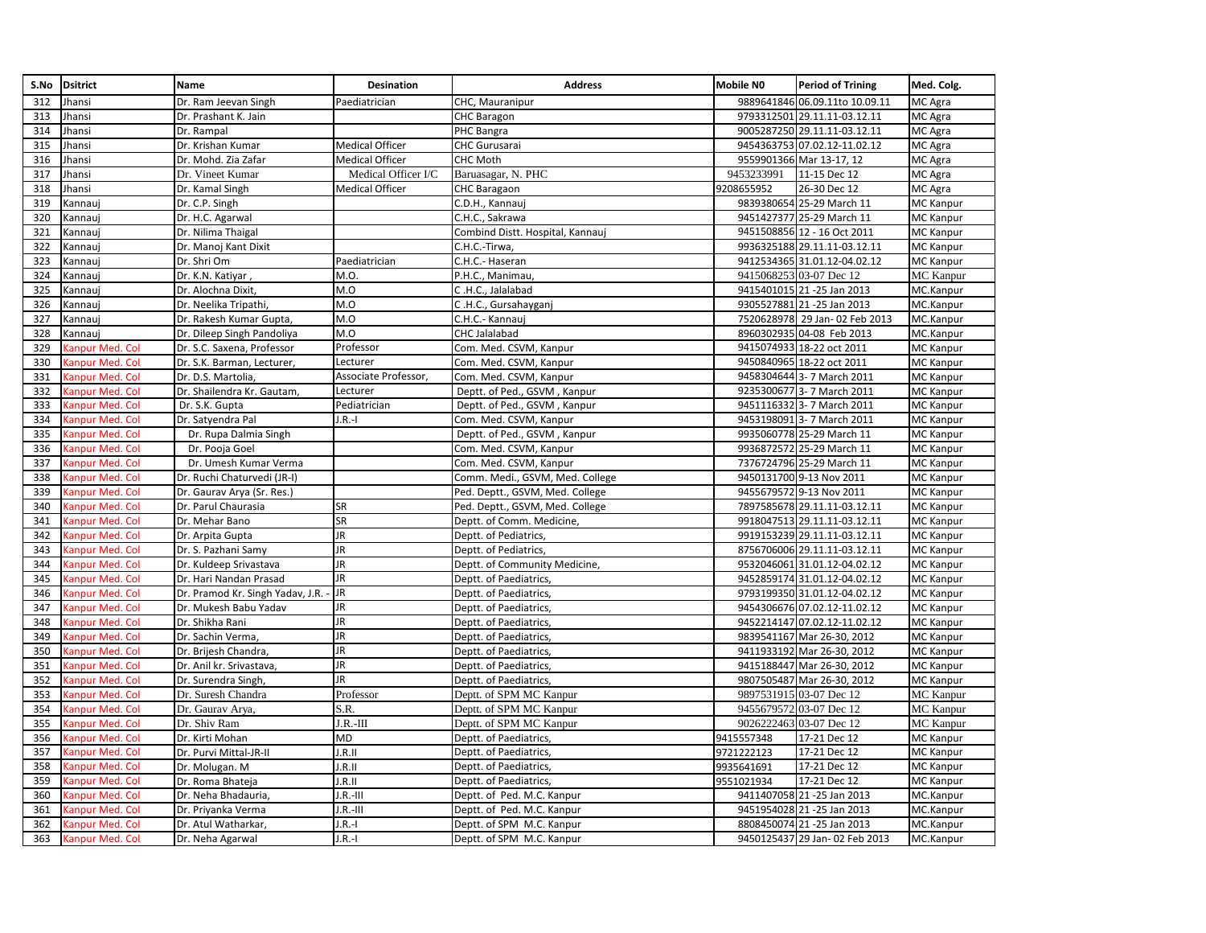|     | S.No Dsitrict          | Name                             | Desination             | <b>Address</b>                   | <b>Mobile NO</b> | <b>Period of Trining</b>       | Med. Colg.       |
|-----|------------------------|----------------------------------|------------------------|----------------------------------|------------------|--------------------------------|------------------|
| 312 | Jhansi                 | Dr. Ram Jeevan Singh             | Paediatrician          | CHC, Mauranipur                  |                  | 9889641846 06.09.11to 10.09.11 | MC Agra          |
| 313 | Jhansi                 | Dr. Prashant K. Jain             |                        | <b>CHC Baragon</b>               |                  | 9793312501 29.11.11-03.12.11   | MC Agra          |
| 314 | Jhansi                 | Dr. Rampal                       |                        | PHC Bangra                       |                  | 9005287250 29.11.11-03.12.11   | MC Agra          |
| 315 | Jhansi                 | Dr. Krishan Kumar                | <b>Medical Officer</b> | <b>CHC Gurusarai</b>             |                  | 9454363753 07.02.12-11.02.12   | MC Agra          |
| 316 | Jhansi                 | Dr. Mohd. Zia Zafar              | <b>Medical Officer</b> | <b>CHC Moth</b>                  |                  | 9559901366 Mar 13-17, 12       | MC Agra          |
| 317 | Jhansi                 | Dr. Vineet Kumar                 | Medical Officer I/C    | Baruasagar, N. PHC               | 9453233991       | 11-15 Dec 12                   | MC Agra          |
| 318 | Jhansi                 | Dr. Kamal Singh                  | <b>Medical Officer</b> | <b>CHC Baragaon</b>              | 9208655952       | 26-30 Dec 12                   | MC Agra          |
| 319 | Kannauj                | Dr. C.P. Singh                   |                        | C.D.H., Kannauj                  |                  | 9839380654 25-29 March 11      | MC Kanpur        |
| 320 | Kannauj                | Dr. H.C. Agarwal                 |                        | C.H.C., Sakrawa                  |                  | 9451427377 25-29 March 11      | MC Kanpur        |
| 321 | Kannauj                | Dr. Nilima Thaigal               |                        | Combind Distt. Hospital, Kannauj |                  | 9451508856 12 - 16 Oct 2011    | MC Kanpur        |
| 322 | Kannaui                | Dr. Manoj Kant Dixit             |                        | C.H.C.-Tirwa,                    |                  | 9936325188 29.11.11-03.12.11   | <b>MC Kanpur</b> |
| 323 | Kannauj                | Dr. Shri Om                      | Paediatrician          | C.H.C.- Haseran                  |                  | 9412534365 31.01.12-04.02.12   | <b>MC</b> Kanpur |
| 324 | Kannauj                | Dr. K.N. Katiyar,                | M.O.                   | P.H.C., Manimau,                 |                  | 9415068253 03-07 Dec 12        | <b>MC</b> Kanpur |
| 325 | Kannauj                | Dr. Alochna Dixit,               | M.O                    | C.H.C., Jalalabad                |                  | 9415401015 21 -25 Jan 2013     | MC.Kanpur        |
| 326 | Kannauj                | Dr. Neelika Tripathi,            | M.O                    | C.H.C., Gursahayganj             |                  | 9305527881 21 -25 Jan 2013     | MC.Kanpur        |
| 327 | Kannauj                | Dr. Rakesh Kumar Gupta,          | M.O                    | C.H.C.- Kannauj                  |                  | 7520628978 29 Jan- 02 Feb 2013 | MC.Kanpur        |
| 328 | Kannauj                | Dr. Dileep Singh Pandoliya       | M.O                    | CHC Jalalabad                    |                  | 8960302935 04-08 Feb 2013      | MC.Kanpur        |
| 329 | <b>Canpur Med. Col</b> | Dr. S.C. Saxena, Professor       | Professor              | Com. Med. CSVM, Kanpur           |                  | 9415074933 18-22 oct 2011      | MC Kanpur        |
| 330 | <b>Canpur Med. Col</b> | Dr. S.K. Barman, Lecturer,       | Lecturer               | Com. Med. CSVM, Kanpur           |                  | 9450840965 18-22 oct 2011      | MC Kanpur        |
| 331 | <b>Canpur Med. Col</b> | Dr. D.S. Martolia,               | Associate Professor,   | Com. Med. CSVM, Kanpur           |                  | 9458304644 3- 7 March 2011     | MC Kanpur        |
| 332 | <b>Canpur Med. Col</b> | Dr. Shailendra Kr. Gautam,       | Lecturer               | Deptt. of Ped., GSVM, Kanpur     |                  | 9235300677 3- 7 March 2011     | MC Kanpur        |
| 333 | <b>Canpur Med. Col</b> | Dr. S.K. Gupta                   | Pediatrician           | Deptt. of Ped., GSVM, Kanpur     |                  | 9451116332 3- 7 March 2011     | MC Kanpur        |
| 334 | <b>Canpur Med. Col</b> | Dr. Satyendra Pal                | $I.R.-I$               | Com. Med. CSVM, Kanpur           |                  | 9453198091 3- 7 March 2011     | MC Kanpur        |
| 335 | Ganpur Med. Col        | Dr. Rupa Dalmia Singh            |                        | Deptt. of Ped., GSVM, Kanpur     |                  | 9935060778 25-29 March 11      | MC Kanpur        |
| 336 | <b>Canpur Med. Col</b> | Dr. Pooja Goel                   |                        | Com. Med. CSVM, Kanpur           |                  | 9936872572 25-29 March 11      | MC Kanpur        |
| 337 | Kanpur Med. Col        | Dr. Umesh Kumar Verma            |                        | Com. Med. CSVM, Kanpur           |                  | 7376724796 25-29 March 11      | MC Kanpur        |
| 338 | <b>Canpur Med. Col</b> | Dr. Ruchi Chaturvedi (JR-I)      |                        | Comm. Medi., GSVM, Med. College  |                  | 9450131700 9-13 Nov 2011       | MC Kanpur        |
| 339 | <b>Canpur Med. Col</b> | Dr. Gaurav Arya (Sr. Res.)       |                        | Ped. Deptt., GSVM, Med. College  |                  | 9455679572 9-13 Nov 2011       | MC Kanpur        |
| 340 | <b>Canpur Med. Col</b> | Dr. Parul Chaurasia              | SR                     | Ped. Deptt., GSVM, Med. College  |                  | 7897585678 29.11.11-03.12.11   | <b>MC Kanpur</b> |
| 341 | <b>Canpur Med. Col</b> | Dr. Mehar Bano                   | SR                     | Deptt. of Comm. Medicine,        |                  | 9918047513 29.11.11-03.12.11   | MC Kanpur        |
| 342 | <b>Canpur Med. Col</b> | Dr. Arpita Gupta                 | JR                     | Deptt. of Pediatrics,            |                  | 9919153239 29.11.11-03.12.11   | MC Kanpur        |
| 343 | <b>Canpur Med. Col</b> | Dr. S. Pazhani Samy              | <b>JR</b>              | Deptt. of Pediatrics,            |                  | 8756706006 29.11.11-03.12.11   | <b>MC Kanpur</b> |
| 344 | anpur Med. Col         | Dr. Kuldeep Srivastava           | JR                     | Deptt. of Community Medicine,    |                  | 9532046061 31.01.12-04.02.12   | MC Kanpur        |
| 345 | <b>Canpur Med. Col</b> | Dr. Hari Nandan Prasad           | JR                     | Deptt. of Paediatrics,           |                  | 9452859174 31.01.12-04.02.12   | MC Kanpur        |
| 346 | <b>Canpur Med. Col</b> | Dr. Pramod Kr. Singh Yadav, J.R. | <b>JR</b>              | Deptt. of Paediatrics,           |                  | 9793199350 31.01.12-04.02.12   | MC Kanpur        |
| 347 | <b>Canpur Med. Col</b> | Dr. Mukesh Babu Yadav            | <b>JR</b>              | Deptt. of Paediatrics,           |                  | 9454306676 07.02.12-11.02.12   | MC Kanpur        |
| 348 | Canpur Med. Col        | Dr. Shikha Rani                  | <b>JR</b>              | Deptt. of Paediatrics,           |                  | 9452214147 07.02.12-11.02.12   | MC Kanpur        |
| 349 | anpur Med. Col         | Dr. Sachin Verma,                | <b>JR</b>              | Deptt. of Paediatrics,           |                  | 9839541167 Mar 26-30, 2012     | MC Kanpur        |
| 350 | <b>Canpur Med. Col</b> | Dr. Brijesh Chandra,             | JR                     | Deptt. of Paediatrics,           |                  | 9411933192 Mar 26-30, 2012     | MC Kanpur        |
| 351 | <b>Canpur Med. Col</b> | Dr. Anil kr. Srivastava,         | JR                     | Deptt. of Paediatrics,           |                  | 9415188447 Mar 26-30, 2012     | MC Kanpur        |
| 352 | <b>Canpur Med. Col</b> | Dr. Surendra Singh,              | JR.                    | Deptt. of Paediatrics,           |                  | 9807505487 Mar 26-30, 2012     | MC Kanpur        |
| 353 | Canpur Med. Col        | Dr. Suresh Chandra               | Professor              | Deptt. of SPM MC Kanpur          |                  | 9897531915 03-07 Dec 12        | MC Kanpur        |
| 354 | anpur Med. Col         | Dr. Gaurav Arya,                 | S.R.                   | Deptt. of SPM MC Kanpur          |                  | 9455679572 03-07 Dec 12        | <b>MC</b> Kanpur |
| 355 | <b>Canpur Med. Col</b> | Dr. Shiv Ram                     | $J.R.-III$             | Deptt. of SPM MC Kanpur          |                  | 9026222463 03-07 Dec 12        | <b>MC</b> Kanpur |
| 356 | <b>Canpur Med. Col</b> | Dr. Kirti Mohan                  | MD                     | Deptt. of Paediatrics,           | 9415557348       | 17-21 Dec 12                   | MC Kanpur        |
| 357 | Kanpur Med. Col        | Dr. Purvi Mittal-JR-II           | I.R.II                 | Deptt. of Paediatrics,           | 9721222123       | 17-21 Dec 12                   | MC Kanpur        |
| 358 | <b>Canpur Med. Col</b> | Dr. Molugan. M                   | I.R.II                 | Deptt. of Paediatrics,           | 9935641691       | 17-21 Dec 12                   | MC Kanpur        |
| 359 | anpur Med. Col         | Dr. Roma Bhateja                 | I.R.II                 | Deptt. of Paediatrics,           | 9551021934       | 17-21 Dec 12                   | MC Kanpur        |
| 360 | <b>Canpur Med. Col</b> | Dr. Neha Bhadauria,              | I.R.-III               | Deptt. of Ped. M.C. Kanpur       |                  | 9411407058 21 -25 Jan 2013     | MC.Kanpur        |
| 361 | <b>Canpur Med. Col</b> | Dr. Priyanka Verma               | $J.R.-III$             | Deptt. of Ped. M.C. Kanpur       |                  | 9451954028 21 -25 Jan 2013     | MC.Kanpur        |
| 362 | <b>Canpur Med. Col</b> | Dr. Atul Watharkar,              | $ R-1 $                | Deptt. of SPM M.C. Kanpur        |                  | 8808450074 21 -25 Jan 2013     | MC.Kanpur        |
| 363 | Kanpur Med. Col        | Dr. Neha Agarwal                 | $ R-1 $                | Deptt. of SPM M.C. Kanpur        |                  | 9450125437 29 Jan- 02 Feb 2013 | MC.Kanpur        |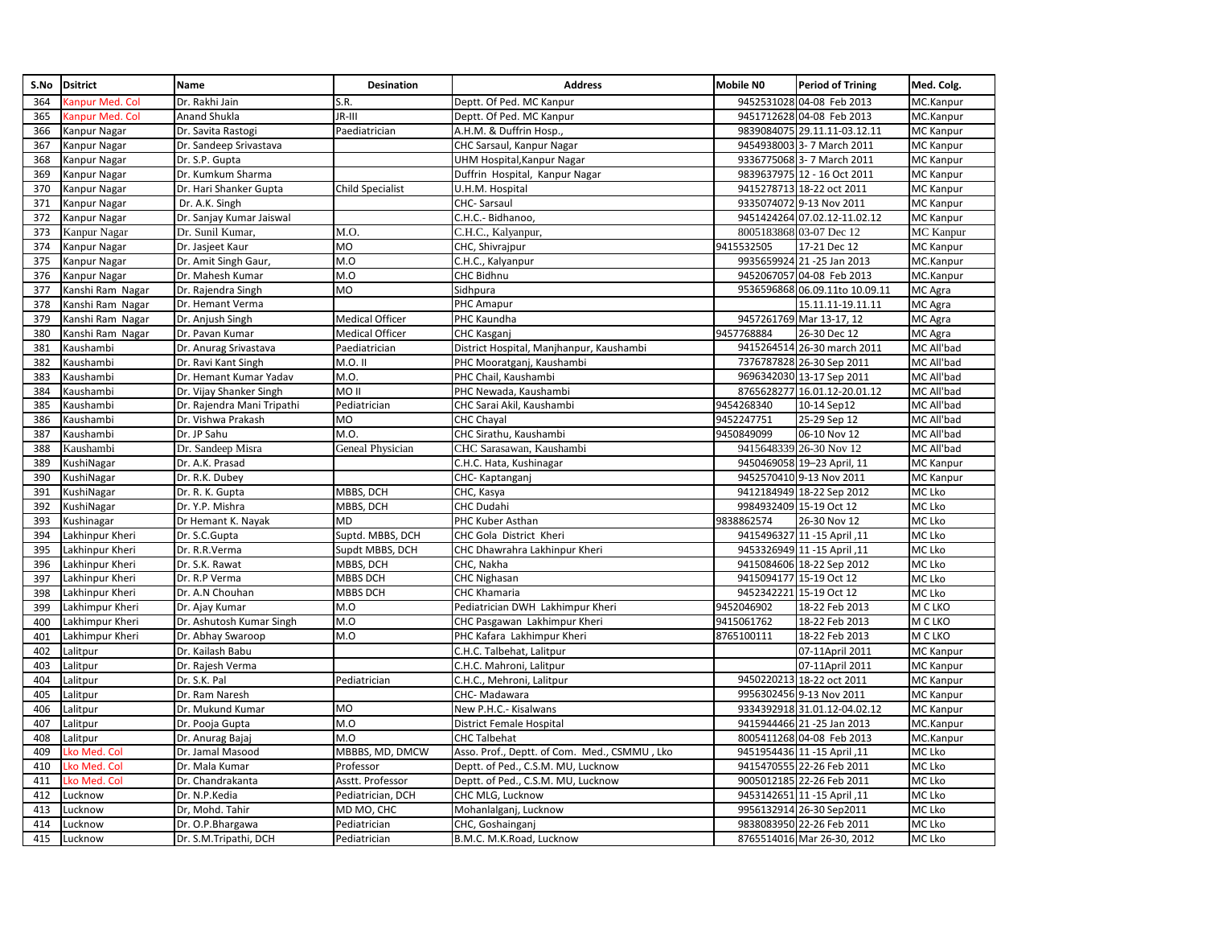| S.No | <b>Dsitrict</b>        | <b>Name</b>                | Desination              | <b>Address</b>                               | <b>Mobile NO</b> | <b>Period of Trining</b>       | Med. Colg.       |
|------|------------------------|----------------------------|-------------------------|----------------------------------------------|------------------|--------------------------------|------------------|
| 364  | Canpur Med. Col        | Dr. Rakhi Jain             | S.R.                    | Deptt. Of Ped. MC Kanpur                     |                  | 9452531028 04-08 Feb 2013      | MC.Kanpur        |
| 365  | <b>Canpur Med. Col</b> | Anand Shukla               | JR-III                  | Deptt. Of Ped. MC Kanpur                     |                  | 9451712628 04-08 Feb 2013      | MC.Kanpur        |
| 366  | Kanpur Nagar           | Dr. Savita Rastogi         | Paediatrician           | A.H.M. & Duffrin Hosp.                       |                  | 9839084075 29.11.11-03.12.11   | <b>MC Kanpur</b> |
| 367  | Kanpur Nagar           | Dr. Sandeep Srivastava     |                         | CHC Sarsaul, Kanpur Nagar                    |                  | 9454938003 3- 7 March 2011     | MC Kanpur        |
| 368  | Kanpur Nagar           | Dr. S.P. Gupta             |                         | UHM Hospital, Kanpur Nagar                   |                  | 9336775068 3- 7 March 2011     | MC Kanpur        |
| 369  | Kanpur Nagar           | Dr. Kumkum Sharma          |                         | Duffrin Hospital, Kanpur Nagar               |                  | 9839637975 12 - 16 Oct 2011    | MC Kanpur        |
| 370  | Kanpur Nagar           | Dr. Hari Shanker Gupta     | <b>Child Specialist</b> | U.H.M. Hospital                              |                  | 9415278713 18-22 oct 2011      | MC Kanpur        |
| 371  | Kanpur Nagar           | Dr. A.K. Singh             |                         | CHC-Sarsaul                                  |                  | 9335074072 9-13 Nov 2011       | MC Kanpur        |
| 372  | Kanpur Nagar           | Dr. Sanjay Kumar Jaiswal   |                         | C.H.C.- Bidhanoo,                            |                  | 9451424264 07.02.12-11.02.12   | <b>MC Kanpur</b> |
| 373  | Kanpur Nagar           | Dr. Sunil Kumar,           | M.O.                    | C.H.C., Kalyanpur,                           |                  | 8005183868 03-07 Dec 12        | MC Kanpur        |
| 374  | Kanpur Nagar           | Dr. Jasjeet Kaur           | MO                      | CHC, Shivrajpur                              | 9415532505       | 17-21 Dec 12                   | MC Kanpur        |
| 375  | Kanpur Nagar           | Dr. Amit Singh Gaur,       | M.O                     | C.H.C., Kalyanpur                            |                  | 9935659924 21-25 Jan 2013      | MC.Kanpur        |
| 376  | Kanpur Nagar           | Dr. Mahesh Kumar           | M.O                     | CHC Bidhnu                                   |                  | 9452067057 04-08 Feb 2013      | MC.Kanpur        |
| 377  | Kanshi Ram Nagar       | Dr. Rajendra Singh         | MO                      | Sidhpura                                     |                  | 9536596868 06.09.11to 10.09.11 | MC Agra          |
| 378  | Kanshi Ram Nagar       | Dr. Hemant Verma           |                         | PHC Amapur                                   |                  | 15.11.11-19.11.11              | MC Agra          |
| 379  | Kanshi Ram Nagar       | Dr. Anjush Singh           | <b>Medical Officer</b>  | PHC Kaundha                                  |                  | 9457261769 Mar 13-17, 12       | MC Agra          |
| 380  | Kanshi Ram Nagar       | Dr. Pavan Kumar            | Medical Officer         | <b>CHC Kasganj</b>                           | 9457768884       | 26-30 Dec 12                   | MC Agra          |
| 381  | Kaushambi              | Dr. Anurag Srivastava      | Paediatrician           | District Hospital, Manjhanpur, Kaushambi     |                  | 9415264514 26-30 march 2011    | MC All'bad       |
| 382  | Kaushambi              | Dr. Ravi Kant Singh        | M.O. II                 | PHC Mooratganj, Kaushambi                    |                  | 7376787828 26-30 Sep 2011      | MC All'bad       |
| 383  | Kaushambi              | Dr. Hemant Kumar Yadav     | M.O.                    | PHC Chail, Kaushambi                         |                  | 9696342030 13-17 Sep 2011      | MC All'bad       |
| 384  | Kaushambi              | Dr. Vijay Shanker Singh    | MO <sub>II</sub>        | PHC Newada, Kaushambi                        |                  | 8765628277 16.01.12-20.01.12   | MC All'bad       |
| 385  | Kaushambi              | Dr. Rajendra Mani Tripathi | Pediatrician            | CHC Sarai Akil, Kaushambi                    | 9454268340       | 10-14 Sep12                    | MC All'bad       |
| 386  | Kaushambi              | Dr. Vishwa Prakash         | MO                      | CHC Chayal                                   | 9452247751       | 25-29 Sep 12                   | MC All'bad       |
| 387  | Kaushambi              | Dr. JP Sahu                | M.O.                    | CHC Sirathu, Kaushambi                       | 9450849099       | 06-10 Nov 12                   | MC All'bad       |
| 388  | Kaushambi              | Dr. Sandeep Misra          | <b>Geneal Physician</b> | CHC Sarasawan, Kaushambi                     | 9415648339       | 26-30 Nov 12                   | MC All'bad       |
| 389  | KushiNagar             | Dr. A.K. Prasad            |                         | C.H.C. Hata, Kushinagar                      |                  | 9450469058 19-23 April, 11     | MC Kanpur        |
| 390  | KushiNagar             | Dr. R.K. Dubey             |                         | CHC- Kaptanganj                              |                  | 9452570410 9-13 Nov 2011       | <b>MC Kanpur</b> |
| 391  | KushiNagar             | Dr. R. K. Gupta            | MBBS, DCH               | CHC, Kasya                                   |                  | 9412184949 18-22 Sep 2012      | MC Lko           |
| 392  | KushiNagar             | Dr. Y.P. Mishra            | MBBS, DCH               | CHC Dudahi                                   |                  | 9984932409 15-19 Oct 12        | MC Lko           |
| 393  | Kushinagar             | Dr Hemant K. Nayak         | MD                      | PHC Kuber Asthan                             | 9838862574       | 26-30 Nov 12                   | MC Lko           |
| 394  | Lakhinpur Kheri        | Dr. S.C.Gupta              | Suptd. MBBS, DCH        | CHC Gola District Kheri                      |                  | 9415496327 11 -15 April ,11    | MC Lko           |
| 395  | Lakhinpur Kheri        | Dr. R.R.Verma              | Supdt MBBS, DCH         | CHC Dhawrahra Lakhinpur Kheri                |                  | 9453326949 11-15 April ,11     | MC Lko           |
| 396  | Lakhinpur Kheri        | Dr. S.K. Rawat             | MBBS, DCH               | CHC, Nakha                                   |                  | 9415084606 18-22 Sep 2012      | MC Lko           |
| 397  | Lakhinpur Kheri        | Dr. R.P Verma              | MBBS DCH                | <b>CHC Nighasan</b>                          |                  | 9415094177 15-19 Oct 12        | MC Lko           |
| 398  | Lakhinpur Kheri        | Dr. A.N Chouhan            | MBBS DCH                | <b>CHC Khamaria</b>                          | 9452342221       | 15-19 Oct 12                   | MC Lko           |
| 399  | Lakhimpur Kheri        | Dr. Ajay Kumar             | M.O                     | Pediatrician DWH Lakhimpur Kheri             | 9452046902       | 18-22 Feb 2013                 | M C LKO          |
| 400  | Lakhimpur Kheri        | Dr. Ashutosh Kumar Singh   | M.O                     | CHC Pasgawan Lakhimpur Kheri                 | 9415061762       | 18-22 Feb 2013                 | M C LKO          |
| 401  | Lakhimpur Kheri        | Dr. Abhay Swaroop          | M.O                     | PHC Kafara Lakhimpur Kheri                   | 8765100111       | 18-22 Feb 2013                 | M C LKO          |
| 402  | Lalitpur               | Dr. Kailash Babu           |                         | C.H.C. Talbehat, Lalitpur                    |                  | 07-11April 2011                | <b>MC Kanpur</b> |
| 403  | Lalitpur               | Dr. Rajesh Verma           |                         | C.H.C. Mahroni, Lalitpur                     |                  | 07-11April 2011                | MC Kanpur        |
| 404  | Lalitpur               | Dr. S.K. Pal               | Pediatrician            | C.H.C., Mehroni, Lalitpur                    |                  | 9450220213 18-22 oct 2011      | MC Kanpur        |
| 405  | Lalitpur               | Dr. Ram Naresh             |                         | CHC- Madawara                                |                  | 9956302456 9-13 Nov 2011       | MC Kanpur        |
| 406  | Lalitpur               | Dr. Mukund Kumar           | MO                      | New P.H.C.- Kisalwans                        |                  | 9334392918 31.01.12-04.02.12   | MC Kanpur        |
| 407  | Lalitpur               | Dr. Pooja Gupta            | M.O                     | <b>District Female Hospital</b>              |                  | 9415944466 21 -25 Jan 2013     | MC.Kanpur        |
| 408  | Lalitpur               | Dr. Anurag Bajaj           | M.O                     | <b>CHC Talbehat</b>                          |                  | 8005411268 04-08 Feb 2013      | MC.Kanpur        |
| 409  | Lko Med. Col           | Dr. Jamal Masood           | MBBBS, MD, DMCW         | Asso. Prof., Deptt. of Com. Med., CSMMU, Lko |                  | 9451954436 11 -15 April ,11    | MC Lko           |
| 410  | ko Med. Col            | Dr. Mala Kumar             | Professor               | Deptt. of Ped., C.S.M. MU, Lucknow           |                  | 9415470555 22-26 Feb 2011      | MC Lko           |
| 411  | ko Med. Col            | Dr. Chandrakanta           | Asstt. Professor        | Deptt. of Ped., C.S.M. MU, Lucknow           |                  | 9005012185 22-26 Feb 2011      | MC Lko           |
| 412  | Lucknow                | Dr. N.P.Kedia              | Pediatrician, DCH       | CHC MLG, Lucknow                             |                  | 9453142651 11 -15 April ,11    | MC Lko           |
| 413  | .ucknow                | Dr, Mohd. Tahir            | MD MO, CHC              | Mohanlalganj, Lucknow                        |                  | 9956132914 26-30 Sep2011       | MC Lko           |
| 414  | Lucknow                | Dr. O.P.Bhargawa           | Pediatrician            | CHC, Goshainganj                             |                  | 9838083950 22-26 Feb 2011      | MC Lko           |
| 415  | Lucknow                | Dr. S.M.Tripathi, DCH      | Pediatrician            | B.M.C. M.K.Road, Lucknow                     |                  | 8765514016 Mar 26-30, 2012     | MC Lko           |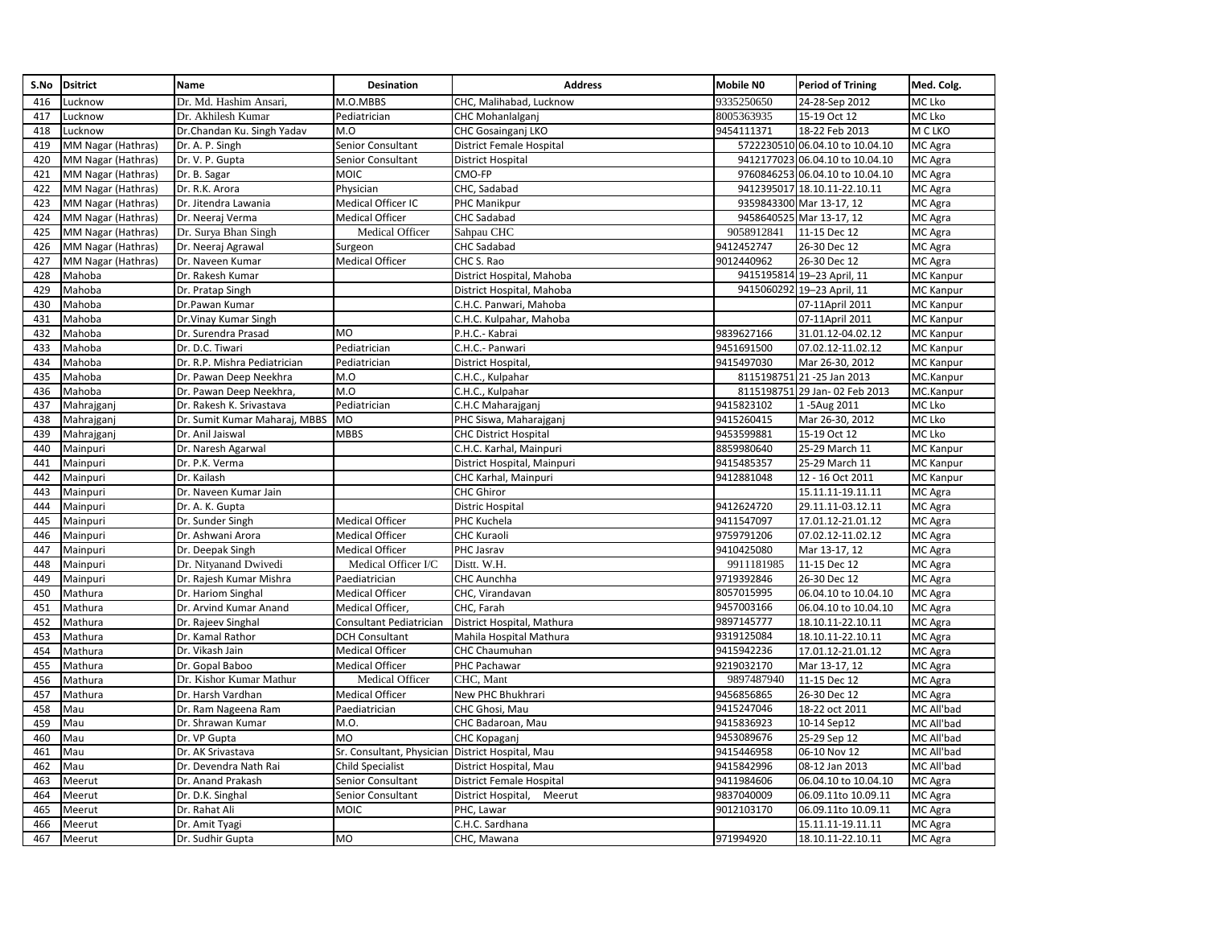| S.No | <b>Dsitrict</b>    | <b>Name</b>                   | Desination                | <b>Address</b>                  | <b>Mobile NO</b> | <b>Period of Trining</b>        | Med. Colg.       |
|------|--------------------|-------------------------------|---------------------------|---------------------------------|------------------|---------------------------------|------------------|
| 416  | Lucknow            | Dr. Md. Hashim Ansari,        | M.O.MBBS                  | CHC, Malihabad, Lucknow         | 9335250650       | 24-28-Sep 2012                  | MC Lko           |
| 417  | ucknow.            | Dr. Akhilesh Kumar            | Pediatrician              | CHC Mohanlalganj                | 8005363935       | 15-19 Oct 12                    | MC Lko           |
| 418  | Lucknow            | Dr.Chandan Ku. Singh Yadav    | M.O                       | CHC Gosainganj LKO              | 9454111371       | 18-22 Feb 2013                  | M C LKO          |
| 419  | MM Nagar (Hathras) | Dr. A. P. Singh               | Senior Consultant         | <b>District Female Hospital</b> |                  | 5722230510 06.04.10 to 10.04.10 | MC Agra          |
| 420  | MM Nagar (Hathras) | Dr. V. P. Gupta               | Senior Consultant         | <b>District Hospital</b>        |                  | 9412177023 06.04.10 to 10.04.10 | MC Agra          |
| 421  | MM Nagar (Hathras) | Dr. B. Sagar                  | MOIC                      | CMO-FP                          |                  | 9760846253 06.04.10 to 10.04.10 | MC Agra          |
| 422  | MM Nagar (Hathras) | Dr. R.K. Arora                | Physician                 | CHC, Sadabad                    |                  | 9412395017 18.10.11-22.10.11    | MC Agra          |
| 423  | MM Nagar (Hathras) | Dr. Jitendra Lawania          | Medical Officer IC        | PHC Manikpur                    |                  | 9359843300 Mar 13-17, 12        | MC Agra          |
| 424  | MM Nagar (Hathras) | Dr. Neeraj Verma              | <b>Medical Officer</b>    | <b>CHC Sadabad</b>              |                  | 9458640525 Mar 13-17, 12        | MC Agra          |
| 425  | MM Nagar (Hathras) | Dr. Surya Bhan Singh          | Medical Officer           | Sahpau CHC                      | 9058912841       | 11-15 Dec 12                    | MC Agra          |
| 426  | MM Nagar (Hathras) | Dr. Neeraj Agrawal            | Surgeon                   | CHC Sadabad                     | 9412452747       | 26-30 Dec 12                    | MC Agra          |
| 427  | MM Nagar (Hathras) | Dr. Naveen Kumar              | <b>Medical Officer</b>    | CHC S. Rao                      | 9012440962       | 26-30 Dec 12                    | MC Agra          |
| 428  | Mahoba             | Dr. Rakesh Kumar              |                           | District Hospital, Mahoba       |                  | 9415195814 19-23 April, 11      | MC Kanpur        |
| 429  | Mahoba             | Dr. Pratap Singh              |                           | District Hospital, Mahoba       |                  | 9415060292 19-23 April, 11      | MC Kanpur        |
| 430  | Mahoba             | Dr.Pawan Kumar                |                           | C.H.C. Panwari, Mahoba          |                  | 07-11April 2011                 | MC Kanpur        |
| 431  | Mahoba             | Dr. Vinay Kumar Singh         |                           | C.H.C. Kulpahar, Mahoba         |                  | 07-11April 2011                 | MC Kanpur        |
| 432  | Mahoba             | Dr. Surendra Prasad           | <b>MO</b>                 | P.H.C.- Kabrai                  | 9839627166       | 31.01.12-04.02.12               | MC Kanpur        |
| 433  | Mahoba             | Dr. D.C. Tiwari               | Pediatrician              | C.H.C.- Panwari                 | 9451691500       | 07.02.12-11.02.12               | MC Kanpur        |
| 434  | Mahoba             | Dr. R.P. Mishra Pediatrician  | Pediatrician              | <b>District Hospital</b>        | 9415497030       | Mar 26-30, 2012                 | MC Kanpur        |
| 435  | Mahoba             | Dr. Pawan Deep Neekhra        | M.O                       | C.H.C., Kulpahar                | 8115198751       | 21-25 Jan 2013                  | MC.Kanpur        |
| 436  | Mahoba             | Dr. Pawan Deep Neekhra,       | M.O                       | C.H.C., Kulpahar                |                  | 8115198751 29 Jan- 02 Feb 2013  | MC.Kanpur        |
| 437  | Mahrajganj         | Dr. Rakesh K. Srivastava      | Pediatrician              | C.H.C Maharajganj               | 9415823102       | 1-5Aug 2011                     | MC Lko           |
| 438  | Mahrajganj         | Dr. Sumit Kumar Maharaj, MBBS | MO                        | PHC Siswa, Maharajganj          | 9415260415       | Mar 26-30, 2012                 | MC Lko           |
| 439  | Mahrajganj         | Dr. Anil Jaiswal              | MBBS                      | <b>CHC District Hospital</b>    | 9453599881       | 15-19 Oct 12                    | MC Lko           |
| 440  | Mainpuri           | Dr. Naresh Agarwal            |                           | C.H.C. Karhal, Mainpuri         | 8859980640       | 25-29 March 11                  | <b>MC Kanpur</b> |
| 441  | Mainpuri           | Dr. P.K. Verma                |                           | District Hospital, Mainpuri     | 9415485357       | 25-29 March 11                  | MC Kanpur        |
| 442  | Mainpuri           | Dr. Kailash                   |                           | CHC Karhal, Mainpuri            | 9412881048       | 12 - 16 Oct 2011                | MC Kanpur        |
| 443  | Mainpuri           | Dr. Naveen Kumar Jain         |                           | <b>CHC Ghiror</b>               |                  | 15.11.11-19.11.11               | MC Agra          |
| 444  | Mainpuri           | Dr. A. K. Gupta               |                           | <b>Distric Hospital</b>         | 9412624720       | 29.11.11-03.12.11               | MC Agra          |
| 445  | Mainpuri           | Dr. Sunder Singh              | <b>Medical Officer</b>    | <b>PHC Kuchela</b>              | 9411547097       | 17.01.12-21.01.12               | MC Agra          |
| 446  | Mainpuri           | Dr. Ashwani Arora             | <b>Medical Officer</b>    | <b>CHC Kuraoli</b>              | 9759791206       | 07.02.12-11.02.12               | MC Agra          |
| 447  | Mainpuri           | Dr. Deepak Singh              | Medical Officer           | PHC Jasrav                      | 9410425080       | Mar 13-17, 12                   | MC Agra          |
| 448  | Mainpuri           | Dr. Nityanand Dwivedi         | Medical Officer I/C       | Distt. W.H.                     | 9911181985       | 11-15 Dec 12                    | MC Agra          |
| 449  | Mainpuri           | Dr. Rajesh Kumar Mishra       | Paediatrician             | CHC Aunchha                     | 9719392846       | 26-30 Dec 12                    | MC Agra          |
| 450  | Mathura            | Dr. Hariom Singhal            | <b>Medical Officer</b>    | CHC, Virandavan                 | 8057015995       | 06.04.10 to 10.04.10            | MC Agra          |
| 451  | Mathura            | Dr. Arvind Kumar Anand        | Medical Officer,          | CHC, Farah                      | 9457003166       | 06.04.10 to 10.04.10            | MC Agra          |
| 452  | Mathura            | Dr. Rajeev Singhal            | Consultant Pediatrician   | District Hospital, Mathura      | 9897145777       | 18.10.11-22.10.11               | MC Agra          |
| 453  | Mathura            | Dr. Kamal Rathor              | <b>DCH Consultant</b>     | Mahila Hospital Mathura         | 9319125084       | 18.10.11-22.10.11               | MC Agra          |
| 454  | Mathura            | Dr. Vikash Jain               | Medical Officer           | <b>CHC Chaumuhan</b>            | 9415942236       | 17.01.12-21.01.12               | MC Agra          |
| 455  | Mathura            | Dr. Gopal Baboo               | <b>Medical Officer</b>    | PHC Pachawar                    | 9219032170       | Mar 13-17, 12                   | MC Agra          |
| 456  | Mathura            | Dr. Kishor Kumar Mathur       | Medical Officer           | CHC, Mant                       | 9897487940       | 11-15 Dec 12                    | MC Agra          |
| 457  | Mathura            | Dr. Harsh Vardhan             | Medical Officer           | New PHC Bhukhrari               | 9456856865       | 26-30 Dec 12                    | MC Agra          |
| 458  | Mau                | Dr. Ram Nageena Ram           | Paediatrician             | CHC Ghosi, Mau                  | 9415247046       | 18-22 oct 2011                  | MC All'bad       |
| 459  | Mau                | Dr. Shrawan Kumar             | M.O.                      | CHC Badaroan, Mau               | 9415836923       | 10-14 Sep12                     | MC All'bad       |
| 460  | Mau                | Dr. VP Gupta                  | MO                        | <b>CHC Kopaganj</b>             | 9453089676       | 25-29 Sep 12                    | MC All'bad       |
| 461  | Mau                | Dr. AK Srivastava             | Sr. Consultant, Physician | District Hospital, Mau          | 9415446958       | 06-10 Nov 12                    | MC All'bad       |
| 462  | Mau                | Dr. Devendra Nath Rai         | <b>Child Specialist</b>   | District Hospital, Mau          | 9415842996       | 08-12 Jan 2013                  | MC All'bad       |
| 463  | Meerut             | Dr. Anand Prakash             | Senior Consultant         | <b>District Female Hospital</b> | 9411984606       | 06.04.10 to 10.04.10            | MC Agra          |
| 464  | Meerut             | Dr. D.K. Singhal              | Senior Consultant         | District Hospital,<br>Meerut    | 9837040009       | 06.09.11to 10.09.11             | MC Agra          |
| 465  | Meerut             | Dr. Rahat Ali                 | MOIC                      | PHC, Lawar                      | 9012103170       | 06.09.11to 10.09.11             | MC Agra          |
| 466  | Meerut             | Dr. Amit Tyagi                |                           | C.H.C. Sardhana                 |                  | 15.11.11-19.11.11               | MC Agra          |
| 467  | Meerut             | Dr. Sudhir Gupta              | MO                        | CHC, Mawana                     | 971994920        | 18.10.11-22.10.11               | MC Agra          |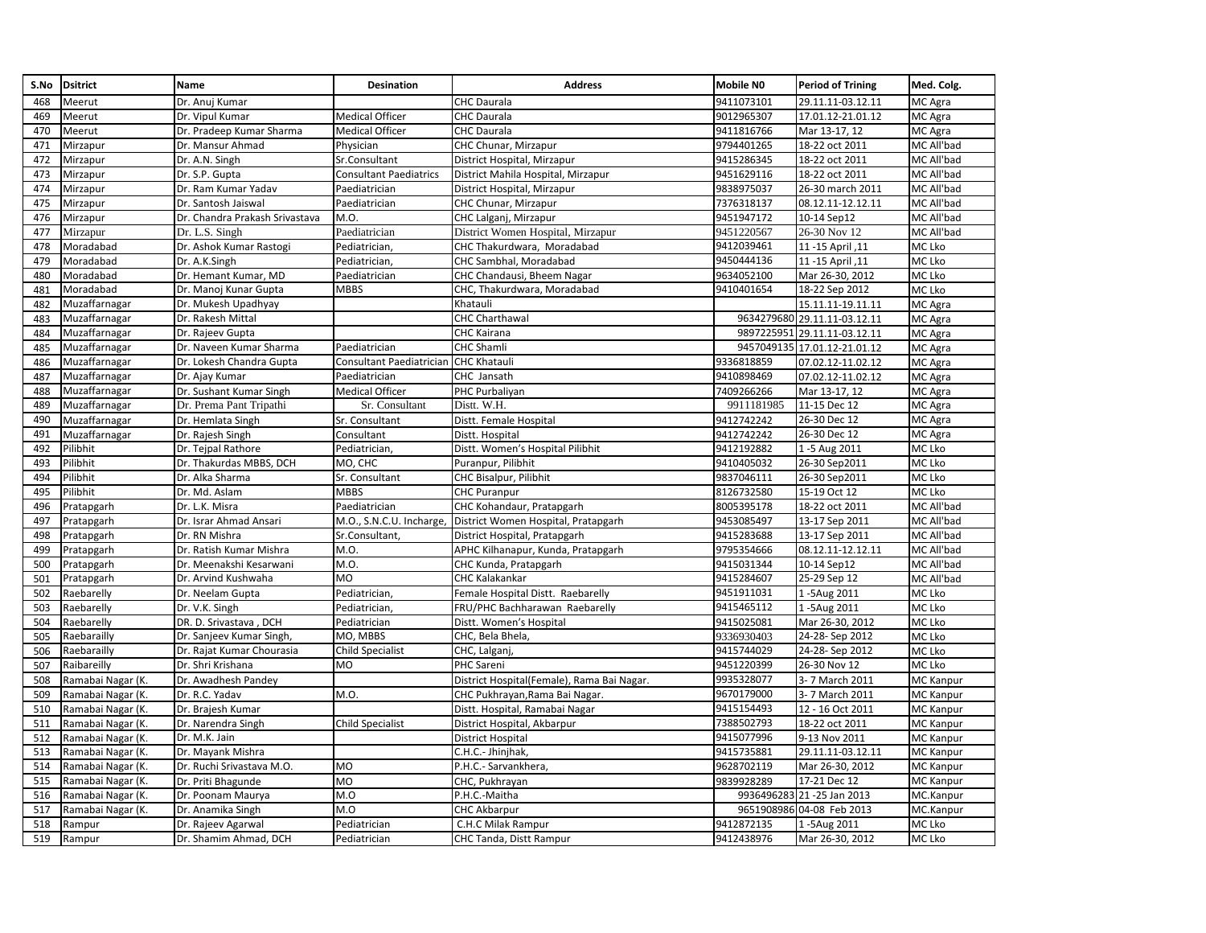| S.No | <b>Dsitrict</b>   | Name                           | Desination                    | <b>Address</b>                             | Mobile NO  | <b>Period of Trining</b>     | Med. Colg.       |
|------|-------------------|--------------------------------|-------------------------------|--------------------------------------------|------------|------------------------------|------------------|
| 468  | Meerut            | Dr. Anuj Kumar                 |                               | <b>CHC</b> Daurala                         | 9411073101 | 29.11.11-03.12.11            | MC Agra          |
| 469  | Meerut            | Dr. Vipul Kumar                | <b>Medical Officer</b>        | <b>CHC Daurala</b>                         | 9012965307 | 17.01.12-21.01.12            | MC Agra          |
| 470  | Meerut            | Dr. Pradeep Kumar Sharma       | <b>Medical Officer</b>        | <b>CHC Daurala</b>                         | 9411816766 | Mar 13-17, 12                | MC Agra          |
| 471  | Mirzapur          | Dr. Mansur Ahmad               | Physician                     | CHC Chunar, Mirzapur                       | 9794401265 | 18-22 oct 2011               | MC All'bad       |
| 472  | Mirzapur          | Dr. A.N. Singh                 | Sr.Consultant                 | District Hospital, Mirzapur                | 9415286345 | 18-22 oct 2011               | MC All'bad       |
| 473  | Mirzapur          | Dr. S.P. Gupta                 | <b>Consultant Paediatrics</b> | District Mahila Hospital, Mirzapur         | 9451629116 | 18-22 oct 2011               | MC All'bad       |
| 474  | Mirzapur          | Dr. Ram Kumar Yadav            | Paediatrician                 | District Hospital, Mirzapur                | 9838975037 | 26-30 march 2011             | MC All'bad       |
| 475  | Mirzapur          | Dr. Santosh Jaiswal            | Paediatrician                 | CHC Chunar, Mirzapur                       | 7376318137 | 08.12.11-12.12.11            | MC All'bad       |
| 476  | Mirzapur          | Dr. Chandra Prakash Srivastava | M.O.                          | CHC Lalganj, Mirzapur                      | 9451947172 | 10-14 Sep12                  | MC All'bad       |
| 477  | Mirzapur          | Dr. L.S. Singh                 | Paediatrician                 | District Women Hospital, Mirzapur          | 9451220567 | 26-30 Nov 12                 | MC All'bad       |
| 478  | Moradabad         | Dr. Ashok Kumar Rastogi        | Pediatrician,                 | CHC Thakurdwara, Moradabad                 | 9412039461 | 11, 15 April                 | MC Lko           |
| 479  | Moradabad         | Dr. A.K.Singh                  | Pediatrician,                 | CHC Sambhal, Moradabad                     | 9450444136 | 11, 15 April                 | MC Lko           |
| 480  | Moradabad         | Dr. Hemant Kumar, MD           | Paediatrician                 | CHC Chandausi, Bheem Nagar                 | 9634052100 | Mar 26-30, 2012              | MC Lko           |
| 481  | Moradabad         | Dr. Manoj Kunar Gupta          | <b>MBBS</b>                   | CHC, Thakurdwara, Moradabad                | 9410401654 | 18-22 Sep 2012               | MC Lko           |
| 482  | Muzaffarnagar     | Dr. Mukesh Upadhyay            |                               | Khatauli                                   |            | 15.11.11-19.11.11            | MC Agra          |
| 483  | Muzaffarnagar     | Dr. Rakesh Mittal              |                               | <b>CHC Charthawal</b>                      |            | 9634279680 29.11.11-03.12.11 | MC Agra          |
| 484  | Muzaffarnagar     | Dr. Rajeev Gupta               |                               | <b>CHC Kairana</b>                         | 9897225951 | 29.11.11-03.12.11            | MC Agra          |
| 485  | Muzaffarnagar     | Dr. Naveen Kumar Sharma        | Paediatrician                 | <b>CHC Shamli</b>                          |            | 9457049135 17.01.12-21.01.12 | MC Agra          |
| 486  | Muzaffarnagar     | Dr. Lokesh Chandra Gupta       | Consultant Paediatrician      | <b>CHC Khatauli</b>                        | 9336818859 | 07.02.12-11.02.12            | MC Agra          |
| 487  | Muzaffarnagar     | Dr. Ajay Kumar                 | Paediatrician                 | CHC Jansath                                | 9410898469 | 07.02.12-11.02.12            | MC Agra          |
| 488  | Muzaffarnagar     | Dr. Sushant Kumar Singh        | <b>Medical Officer</b>        | PHC Purbaliyan                             | 7409266266 | Mar 13-17, 12                | MC Agra          |
| 489  | Muzaffarnagar     | Dr. Prema Pant Tripathi        | Sr. Consultant                | Distt. W.H.                                | 9911181985 | 11-15 Dec 12                 | MC Agra          |
| 490  | Muzaffarnagar     | Dr. Hemlata Singh              | Sr. Consultant                | Distt. Female Hospital                     | 9412742242 | 26-30 Dec 12                 | MC Agra          |
| 491  | Muzaffarnagar     | Dr. Rajesh Singh               | Consultant                    | Distt. Hospital                            | 9412742242 | 26-30 Dec 12                 | MC Agra          |
| 492  | Pilibhit          | Dr. Tejpal Rathore             | Pediatrician,                 | Distt. Women's Hospital Pilibhit           | 9412192882 | 1-5 Aug 2011                 | MC Lko           |
| 493  | Pilibhit          | Dr. Thakurdas MBBS, DCH        | MO, CHC                       | Puranpur, Pilibhit                         | 9410405032 | 26-30 Sep2011                | MC Lko           |
| 494  | Pilibhit          | Dr. Alka Sharma                | Sr. Consultant                | CHC Bisalpur, Pilibhit                     | 9837046111 | 26-30 Sep2011                | MC Lko           |
| 495  | Pilibhit          | Dr. Md. Aslam                  | MBBS                          | <b>CHC Puranpur</b>                        | 8126732580 | 15-19 Oct 12                 | MC Lko           |
| 496  | Pratapgarh        | Dr. L.K. Misra                 | Paediatrician                 | CHC Kohandaur, Pratapgarh                  | 8005395178 | 18-22 oct 2011               | MC All'bad       |
| 497  | Pratapgarh        | Dr. Israr Ahmad Ansari         | M.O., S.N.C.U. Incharge,      | District Women Hospital, Pratapgarh        | 9453085497 | 13-17 Sep 2011               | MC All'bad       |
| 498  | Pratapgarh        | Dr. RN Mishra                  | Sr.Consultant,                | District Hospital, Pratapgarh              | 9415283688 | 13-17 Sep 2011               | MC All'bad       |
| 499  | Pratapgarh        | Dr. Ratish Kumar Mishra        | M.O.                          | APHC Kilhanapur, Kunda, Pratapgarh         | 9795354666 | 08.12.11-12.12.11            | MC All'bad       |
| 500  | Pratapgarh        | Dr. Meenakshi Kesarwani        | M.O.                          | CHC Kunda, Pratapgarh                      | 9415031344 | 10-14 Sep12                  | MC All'bad       |
| 501  | Pratapgarh        | Dr. Arvind Kushwaha            | MO                            | <b>CHC Kalakankar</b>                      | 9415284607 | 25-29 Sep 12                 | MC All'bad       |
| 502  | Raebarelly        | Dr. Neelam Gupta               | Pediatrician,                 | Female Hospital Distt. Raebarelly          | 9451911031 | 1-5Aug 2011                  | MC Lko           |
| 503  | Raebarelly        | Dr. V.K. Singh                 | Pediatrician,                 | FRU/PHC Bachharawan Raebarelly             | 9415465112 | 1-5Aug 2011                  | MC Lko           |
| 504  | Raebarelly        | DR. D. Srivastava, DCH         | Pediatrician                  | Distt. Women's Hospital                    | 9415025081 | Mar 26-30, 2012              | MC Lko           |
| 505  | Raebarailly       | Dr. Sanjeev Kumar Singh        | MO. MBBS                      | CHC, Bela Bhela,                           | 9336930403 | 24-28-Sep 2012               | MC Lko           |
| 506  | Raebarailly       | Dr. Rajat Kumar Chourasia      | <b>Child Specialist</b>       | CHC, Lalganj,                              | 9415744029 | 24-28-Sep 2012               | MC Lko           |
| 507  | Raibareilly       | Dr. Shri Krishana              | <b>MO</b>                     | <b>PHC Sareni</b>                          | 9451220399 | 26-30 Nov 12                 | MC Lko           |
| 508  | Ramabai Nagar (K. | Dr. Awadhesh Pandey            |                               | District Hospital(Female), Rama Bai Nagar. | 9935328077 | 3-7 March 2011               | <b>MC Kanpur</b> |
| 509  | Ramabai Nagar (K. | Dr. R.C. Yadav                 | M.O.                          | CHC Pukhrayan, Rama Bai Nagar.             | 9670179000 | 3-7 March 2011               | MC Kanpur        |
| 510  | Ramabai Nagar (K. | Dr. Brajesh Kumar              |                               | Distt. Hospital, Ramabai Nagar             | 9415154493 | 12 - 16 Oct 2011             | <b>MC Kanpur</b> |
| 511  | Ramabai Nagar (K. | Dr. Narendra Singh             | <b>Child Specialist</b>       | District Hospital, Akbarpur                | 7388502793 | 18-22 oct 2011               | <b>MC</b> Kanpur |
| 512  | Ramabai Nagar (K. | Dr. M.K. Jain                  |                               | District Hospital                          | 9415077996 | 9-13 Nov 2011                | <b>MC</b> Kanpur |
| 513  | Ramabai Nagar (K. | Dr. Mayank Mishra              |                               | C.H.C.- Jhinjhak,                          | 9415735881 | 29.11.11-03.12.11            | <b>MC Kanpur</b> |
| 514  | Ramabai Nagar (K. | Dr. Ruchi Srivastava M.O.      | <b>MO</b>                     | P.H.C.- Sarvankhera,                       | 9628702119 | Mar 26-30, 2012              | <b>MC Kanpur</b> |
| 515  | Ramabai Nagar (K. | Dr. Priti Bhagunde             | MO                            | CHC, Pukhrayan                             | 9839928289 | 17-21 Dec 12                 | <b>MC Kanpur</b> |
| 516  | Ramabai Nagar (K. | Dr. Poonam Maurya              | M.O                           | P.H.C.-Maitha                              | 9936496283 | 21-25 Jan 2013               | MC.Kanpur        |
| 517  | Ramabai Nagar (K. | Dr. Anamika Singh              | M.O                           | <b>CHC Akbarpur</b>                        | 9651908986 | 04-08 Feb 2013               | MC.Kanpur        |
| 518  | Rampur            | Dr. Rajeev Agarwal             | Pediatrician                  | C.H.C Milak Rampur                         | 9412872135 | 1-5Aug 2011                  | MC Lko           |
| 519  | Rampur            | Dr. Shamim Ahmad, DCH          | Pediatrician                  | CHC Tanda, Distt Rampur                    | 9412438976 | Mar 26-30, 2012              | MC Lko           |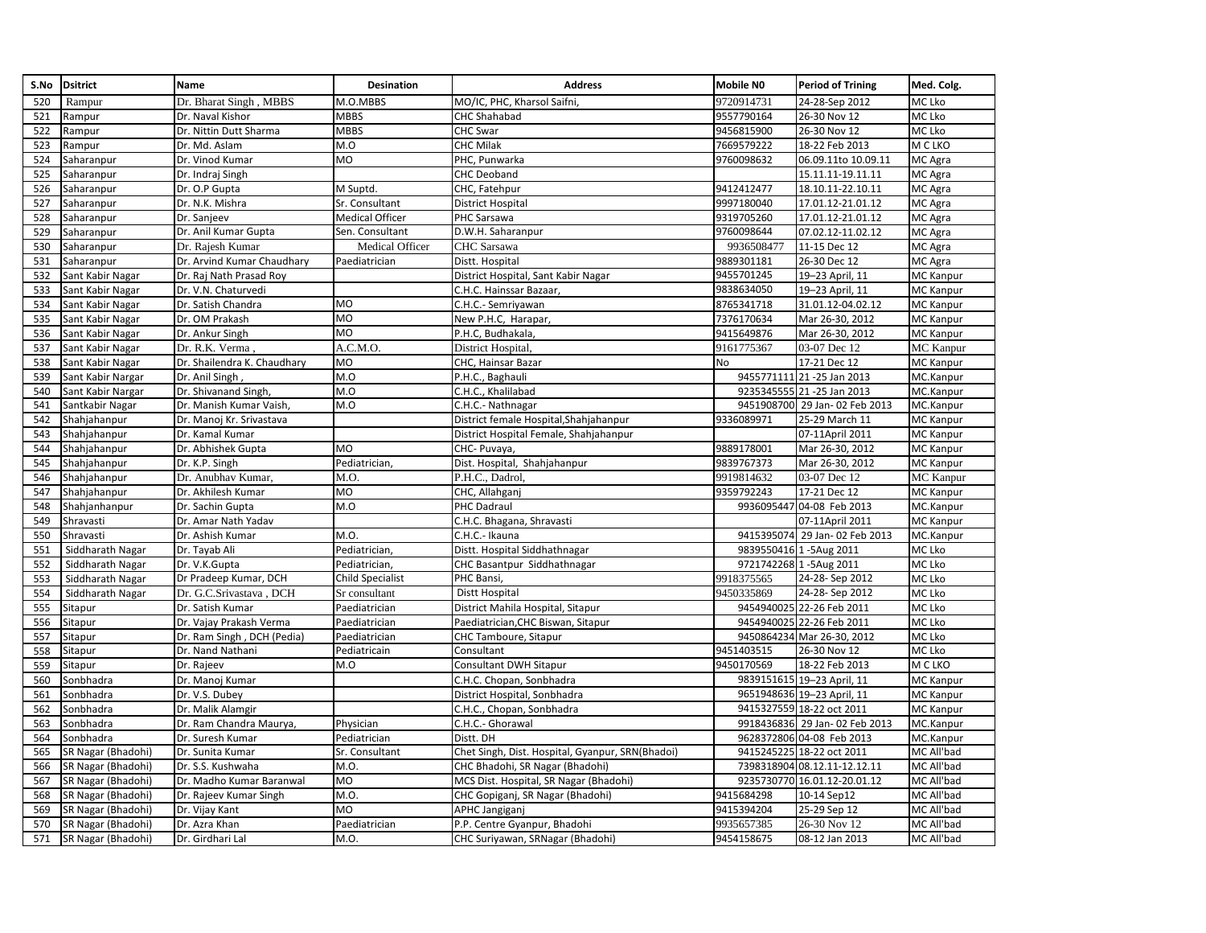| S.No | <b>Dsitrict</b>    | Name                        | Desination              | <b>Address</b>                                   | Mobile NO  | <b>Period of Trining</b>       | Med. Colg.       |
|------|--------------------|-----------------------------|-------------------------|--------------------------------------------------|------------|--------------------------------|------------------|
| 520  | Rampur             | Dr. Bharat Singh, MBBS      | M.O.MBBS                | MO/IC, PHC, Kharsol Saifni,                      | 9720914731 | 24-28-Sep 2012                 | MC Lko           |
| 521  | Rampur             | Dr. Naval Kishor            | <b>MBBS</b>             | <b>CHC Shahabad</b>                              | 9557790164 | 26-30 Nov 12                   | MC Lko           |
| 522  | Rampur             | Dr. Nittin Dutt Sharma      | <b>MBBS</b>             | CHC Swar                                         | 9456815900 | 26-30 Nov 12                   | MC Lko           |
| 523  | Rampur             | Dr. Md. Aslam               | M.O                     | <b>CHC Milak</b>                                 | 7669579222 | 18-22 Feb 2013                 | M C LKO          |
| 524  | Saharanpur         | Dr. Vinod Kumar             | M <sub>O</sub>          | PHC, Punwarka                                    | 9760098632 | 06.09.11to 10.09.11            | MC Agra          |
| 525  | Saharanpur         | Dr. Indraj Singh            |                         | <b>CHC Deoband</b>                               |            | 15.11.11-19.11.11              | MC Agra          |
| 526  | Saharanpur         | Dr. O.P Gupta               | M Suptd.                | CHC, Fatehpur                                    | 9412412477 | 18.10.11-22.10.11              | MC Agra          |
| 527  | Saharanpur         | Dr. N.K. Mishra             | Sr. Consultant          | <b>District Hospital</b>                         | 9997180040 | 17.01.12-21.01.12              | MC Agra          |
| 528  | Saharanpur         | Dr. Sanjeev                 | <b>Medical Officer</b>  | PHC Sarsawa                                      | 9319705260 | 17.01.12-21.01.12              | MC Agra          |
| 529  | Saharanpur         | Dr. Anil Kumar Gupta        | Sen. Consultant         | D.W.H. Saharanpur                                | 9760098644 | 07.02.12-11.02.12              | MC Agra          |
| 530  | Saharanpur         | Dr. Rajesh Kumar            | Medical Officer         | <b>CHC</b> Sarsawa                               | 9936508477 | 11-15 Dec 12                   | MC Agra          |
| 531  | Saharanpur         | Dr. Arvind Kumar Chaudhary  | Paediatrician           | Distt. Hospital                                  | 9889301181 | 26-30 Dec 12                   | MC Agra          |
| 532  | Sant Kabir Nagar   | Dr. Raj Nath Prasad Roy     |                         | District Hospital, Sant Kabir Nagar              | 9455701245 | 19-23 April, 11                | <b>MC</b> Kanpur |
| 533  | Sant Kabir Nagar   | Dr. V.N. Chaturvedi         |                         | C.H.C. Hainssar Bazaar,                          | 9838634050 | 19-23 April, 11                | <b>MC Kanpur</b> |
| 534  | Sant Kabir Nagar   | Dr. Satish Chandra          | <b>MO</b>               | C.H.C.- Semriyawan                               | 8765341718 | 31.01.12-04.02.12              | <b>MC</b> Kanpur |
| 535  | Sant Kabir Nagar   | Dr. OM Prakash              | MO                      | New P.H.C, Harapar,                              | 7376170634 | Mar 26-30, 2012                | <b>MC Kanpur</b> |
| 536  | Sant Kabir Nagar   | Dr. Ankur Singh             | M <sub>O</sub>          | P.H.C, Budhakala,                                | 9415649876 | Mar 26-30, 2012                | MC Kanpur        |
| 537  | Sant Kabir Nagar   | Dr. R.K. Verma.             | A.C.M.O.                | District Hospital,                               | 9161775367 | 03-07 Dec 12                   | <b>MC</b> Kanpur |
| 538  | Sant Kabir Nagar   | Dr. Shailendra K. Chaudhary | MO                      | CHC, Hainsar Bazar                               | No         | 17-21 Dec 12                   | MC Kanpur        |
| 539  | Sant Kabir Nargar  | Dr. Anil Singh              | M.O                     | P.H.C., Baghauli                                 |            | 9455771111 21 -25 Jan 2013     | MC.Kanpur        |
| 540  | Sant Kabir Nargar  | Dr. Shivanand Singh,        | M.O                     | C.H.C., Khalilabad                               |            | 9235345555 21 -25 Jan 2013     | MC.Kanpur        |
| 541  | Santkabir Nagar    | Dr. Manish Kumar Vaish,     | M.O                     | C.H.C.- Nathnagar                                |            | 9451908700 29 Jan- 02 Feb 2013 | MC.Kanpur        |
| 542  | Shahjahanpur       | Dr. Manoj Kr. Srivastava    |                         | District female Hospital, Shahjahanpur           | 9336089971 | 25-29 March 11                 | <b>MC Kanpur</b> |
| 543  | Shahjahanpur       | Dr. Kamal Kumar             |                         | District Hospital Female, Shahjahanpur           |            | 07-11April 2011                | MC Kanpur        |
| 544  | Shahjahanpur       | Dr. Abhishek Gupta          | MO                      | CHC- Puvaya,                                     | 9889178001 | Mar 26-30, 2012                | <b>MC</b> Kanpur |
| 545  | Shahjahanpur       | Dr. K.P. Singh              | Pediatrician,           | Dist. Hospital, Shahjahanpur                     | 9839767373 | Mar 26-30, 2012                | <b>MC Kanpur</b> |
| 546  | Shahjahanpur       | Dr. Anubhav Kumar           | M.O.                    | P.H.C., Dadrol.                                  | 9919814632 | 03-07 Dec 12                   | MC Kanpur        |
| 547  | Shahjahanpur       | Dr. Akhilesh Kumar          | MO                      | CHC, Allahgani                                   | 9359792243 | 17-21 Dec 12                   | <b>MC Kanpur</b> |
| 548  | Shahjanhanpur      | Dr. Sachin Gupta            | M.O                     | PHC Dadraul                                      |            | 9936095447 04-08 Feb 2013      | MC.Kanpur        |
| 549  | Shravasti          | Dr. Amar Nath Yadav         |                         | C.H.C. Bhagana, Shravasti                        |            | 07-11April 2011                | <b>MC Kanpur</b> |
| 550  | Shravasti          | Dr. Ashish Kumar            | M.O.                    | C.H.C.- Ikauna                                   |            | 9415395074 29 Jan- 02 Feb 2013 | MC.Kanpur        |
| 551  | Siddharath Nagar   | Dr. Tayab Ali               | Pediatrician,           | Distt. Hospital Siddhathnagar                    |            | 9839550416 1-5Aug 2011         | MC Lko           |
| 552  | Siddharath Nagar   | Dr. V.K.Gupta               | Pediatrician,           | CHC Basantpur Siddhathnagar                      |            | 9721742268 1-5Aug 2011         | MC Lko           |
| 553  | Siddharath Nagar   | Dr Pradeep Kumar, DCH       | <b>Child Specialist</b> | PHC Bansi,                                       | 9918375565 | 24-28-Sep 2012                 | MC Lko           |
| 554  | Siddharath Nagar   | Dr. G.C.Srivastava, DCH     | Sr consultant           | <b>Distt Hospital</b>                            | 9450335869 | 24-28-Sep 2012                 | MC Lko           |
| 555  | Sitapur            | Dr. Satish Kumar            | Paediatrician           | District Mahila Hospital, Sitapur                |            | 9454940025 22-26 Feb 2011      | MC Lko           |
| 556  | Sitapur            | Dr. Vajay Prakash Verma     | Paediatrician           | Paediatrician, CHC Biswan, Sitapur               |            | 9454940025 22-26 Feb 2011      | MC Lko           |
| 557  | Sitapur            | Dr. Ram Singh, DCH (Pedia)  | Paediatrician           | <b>CHC Tamboure, Sitapur</b>                     |            | 9450864234 Mar 26-30, 2012     | MC Lko           |
| 558  | Sitapur            | Dr. Nand Nathani            | Pediatricain            | Consultant                                       | 9451403515 | 26-30 Nov 12                   | MC Lko           |
| 559  | Sitapur            | Dr. Rajeev                  | M.O                     | Consultant DWH Sitapur                           | 9450170569 | 18-22 Feb 2013                 | M C LKO          |
| 560  | Sonbhadra          | Dr. Manoj Kumar             |                         | C.H.C. Chopan, Sonbhadra                         | 9839151615 | 19-23 April, 11                | <b>MC</b> Kanpur |
| 561  | Sonbhadra          | Dr. V.S. Dubey              |                         | District Hospital, Sonbhadra                     |            | 9651948636 19-23 April, 11     | MC Kanpur        |
| 562  | Sonbhadra          | Dr. Malik Alamgir           |                         | C.H.C., Chopan, Sonbhadra                        |            | 9415327559 18-22 oct 2011      | <b>MC Kanpur</b> |
| 563  | Sonbhadra          | Dr. Ram Chandra Maurya,     | Physician               | C.H.C.- Ghorawal                                 | 9918436836 | 29 Jan- 02 Feb 2013            | MC.Kanpur        |
| 564  | Sonbhadra          | Dr. Suresh Kumar            | Pediatrician            | Distt. DH                                        |            | 9628372806 04-08 Feb 2013      | MC.Kanpur        |
| 565  | SR Nagar (Bhadohi) | Dr. Sunita Kumar            | Sr. Consultant          | Chet Singh, Dist. Hospital, Gyanpur, SRN(Bhadoi) |            | 9415245225 18-22 oct 2011      | MC All'bad       |
| 566  | SR Nagar (Bhadohi) | Dr. S.S. Kushwaha           | M.O.                    | CHC Bhadohi, SR Nagar (Bhadohi)                  |            | 7398318904 08.12.11-12.12.11   | MC All'bad       |
| 567  | SR Nagar (Bhadohi) | Dr. Madho Kumar Baranwal    | MO                      | MCS Dist. Hospital, SR Nagar (Bhadohi)           |            | 9235730770 16.01.12-20.01.12   | MC All'bad       |
| 568  | SR Nagar (Bhadohi) | Dr. Rajeev Kumar Singh      | M.O.                    | CHC Gopiganj, SR Nagar (Bhadohi)                 | 9415684298 | 10-14 Sep12                    | MC All'bad       |
| 569  | SR Nagar (Bhadohi) | Dr. Vijay Kant              | MO                      | APHC Jangiganj                                   | 9415394204 | 25-29 Sep 12                   | MC All'bad       |
| 570  | SR Nagar (Bhadohi) | Dr. Azra Khan               | Paediatrician           | P.P. Centre Gyanpur, Bhadohi                     | 9935657385 | 26-30 Nov 12                   | MC All'bad       |
| 571  | SR Nagar (Bhadohi) | Dr. Girdhari Lal            | M.O.                    | CHC Suriyawan, SRNagar (Bhadohi)                 | 9454158675 | 08-12 Jan 2013                 | MC All'bad       |